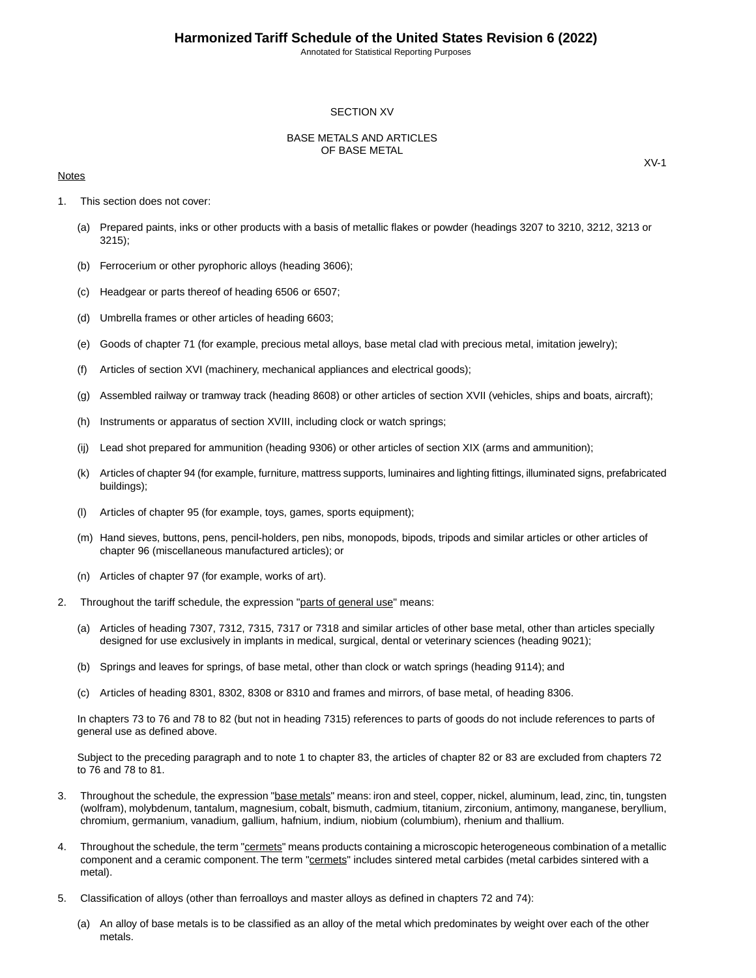#### SECTION XV

### BASE METALS AND ARTICLES OF BASE METAL

#### **Notes**

- 1. This section does not cover:
	- (a) Prepared paints, inks or other products with a basis of metallic flakes or powder (headings 3207 to 3210, 3212, 3213 or 3215);
	- (b) Ferrocerium or other pyrophoric alloys (heading 3606);
	- (c) Headgear or parts thereof of heading 6506 or 6507;
	- (d) Umbrella frames or other articles of heading 6603;
	- (e) Goods of chapter 71 (for example, precious metal alloys, base metal clad with precious metal, imitation jewelry);
	- (f) Articles of section XVI (machinery, mechanical appliances and electrical goods);
	- (g) Assembled railway or tramway track (heading 8608) or other articles of section XVII (vehicles, ships and boats, aircraft);
	- (h) Instruments or apparatus of section XVIII, including clock or watch springs;
	- (ij) Lead shot prepared for ammunition (heading 9306) or other articles of section XIX (arms and ammunition);
	- (k) Articles of chapter 94 (for example, furniture, mattress supports, luminaires and lighting fittings, illuminated signs, prefabricated buildings);
	- (l) Articles of chapter 95 (for example, toys, games, sports equipment);
	- (m) Hand sieves, buttons, pens, pencil-holders, pen nibs, monopods, bipods, tripods and similar articles or other articles of chapter 96 (miscellaneous manufactured articles); or
	- (n) Articles of chapter 97 (for example, works of art).
- 2. Throughout the tariff schedule, the expression "parts of general use" means:
	- (a) Articles of heading 7307, 7312, 7315, 7317 or 7318 and similar articles of other base metal, other than articles specially designed for use exclusively in implants in medical, surgical, dental or veterinary sciences (heading 9021);
	- (b) Springs and leaves for springs, of base metal, other than clock or watch springs (heading 9114); and
	- (c) Articles of heading 8301, 8302, 8308 or 8310 and frames and mirrors, of base metal, of heading 8306.

In chapters 73 to 76 and 78 to 82 (but not in heading 7315) references to parts of goods do not include references to parts of general use as defined above.

Subject to the preceding paragraph and to note 1 to chapter 83, the articles of chapter 82 or 83 are excluded from chapters 72 to 76 and 78 to 81.

- 3. Throughout the schedule, the expression "base metals" means: iron and steel, copper, nickel, aluminum, lead, zinc, tin, tungsten (wolfram), molybdenum, tantalum, magnesium, cobalt, bismuth, cadmium, titanium, zirconium, antimony, manganese, beryllium, chromium, germanium, vanadium, gallium, hafnium, indium, niobium (columbium), rhenium and thallium.
- 4. Throughout the schedule, the term "cermets" means products containing a microscopic heterogeneous combination of a metallic component and a ceramic component. The term "cermets" includes sintered metal carbides (metal carbides sintered with a metal).
- 5. Classification of alloys (other than ferroalloys and master alloys as defined in chapters 72 and 74):
	- (a) An alloy of base metals is to be classified as an alloy of the metal which predominates by weight over each of the other metals.

XV-1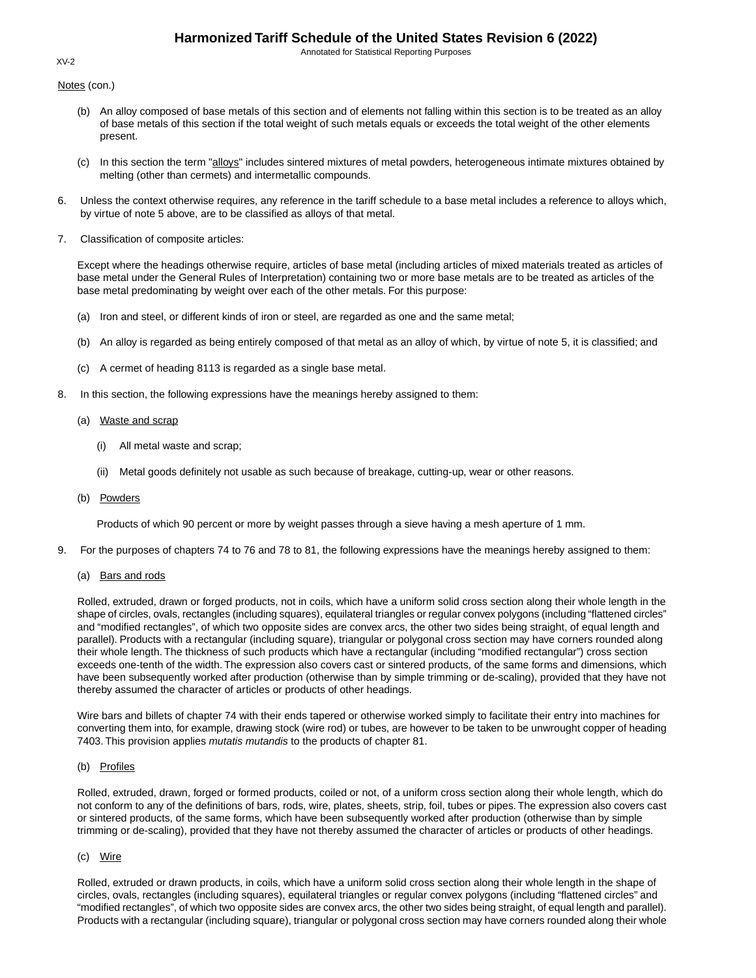Annotated for Statistical Reporting Purposes

Notes (con.)

- (b) An alloy composed of base metals of this section and of elements not falling within this section is to be treated as an alloy of base metals of this section if the total weight of such metals equals or exceeds the total weight of the other elements present.
- (c) In this section the term "alloys" includes sintered mixtures of metal powders, heterogeneous intimate mixtures obtained by melting (other than cermets) and intermetallic compounds.
- 6. Unless the context otherwise requires, any reference in the tariff schedule to a base metal includes a reference to alloys which, by virtue of note 5 above, are to be classified as alloys of that metal.
- 7. Classification of composite articles:

Except where the headings otherwise require, articles of base metal (including articles of mixed materials treated as articles of base metal under the General Rules of Interpretation) containing two or more base metals are to be treated as articles of the base metal predominating by weight over each of the other metals. For this purpose:

- (a) Iron and steel, or different kinds of iron or steel, are regarded as one and the same metal;
- (b) An alloy is regarded as being entirely composed of that metal as an alloy of which, by virtue of note 5, it is classified; and
- (c) A cermet of heading 8113 is regarded as a single base metal.
- 8. In this section, the following expressions have the meanings hereby assigned to them:
	- (a) Waste and scrap
		- (i) All metal waste and scrap;
		- (ii) Metal goods definitely not usable as such because of breakage, cutting-up, wear or other reasons.
	- (b) Powders

Products of which 90 percent or more by weight passes through a sieve having a mesh aperture of 1 mm.

- 9. For the purposes of chapters 74 to 76 and 78 to 81, the following expressions have the meanings hereby assigned to them:
	- (a) Bars and rods

Rolled, extruded, drawn or forged products, not in coils, which have a uniform solid cross section along their whole length in the shape of circles, ovals, rectangles (including squares), equilateral triangles or regular convex polygons (including "flattened circles" and "modified rectangles", of which two opposite sides are convex arcs, the other two sides being straight, of equal length and parallel). Products with a rectangular (including square), triangular or polygonal cross section may have corners rounded along their whole length. The thickness of such products which have a rectangular (including "modified rectangular") cross section exceeds one-tenth of the width. The expression also covers cast or sintered products, of the same forms and dimensions, which have been subsequently worked after production (otherwise than by simple trimming or de-scaling), provided that they have not thereby assumed the character of articles or products of other headings.

Wire bars and billets of chapter 74 with their ends tapered or otherwise worked simply to facilitate their entry into machines for converting them into, for example, drawing stock (wire rod) or tubes, are however to be taken to be unwrought copper of heading 7403. This provision applies *mutatis mutandis* to the products of chapter 81.

### (b) Profiles

Rolled, extruded, drawn, forged or formed products, coiled or not, of a uniform cross section along their whole length, which do not conform to any of the definitions of bars, rods, wire, plates, sheets, strip, foil, tubes or pipes. The expression also covers cast or sintered products, of the same forms, which have been subsequently worked after production (otherwise than by simple trimming or de-scaling), provided that they have not thereby assumed the character of articles or products of other headings.

#### (c) Wire

Rolled, extruded or drawn products, in coils, which have a uniform solid cross section along their whole length in the shape of circles, ovals, rectangles (including squares), equilateral triangles or regular convex polygons (including "flattened circles" and "modified rectangles", of which two opposite sides are convex arcs, the other two sides being straight, of equal length and parallel). Products with a rectangular (including square), triangular or polygonal cross section may have corners rounded along their whole

XV-2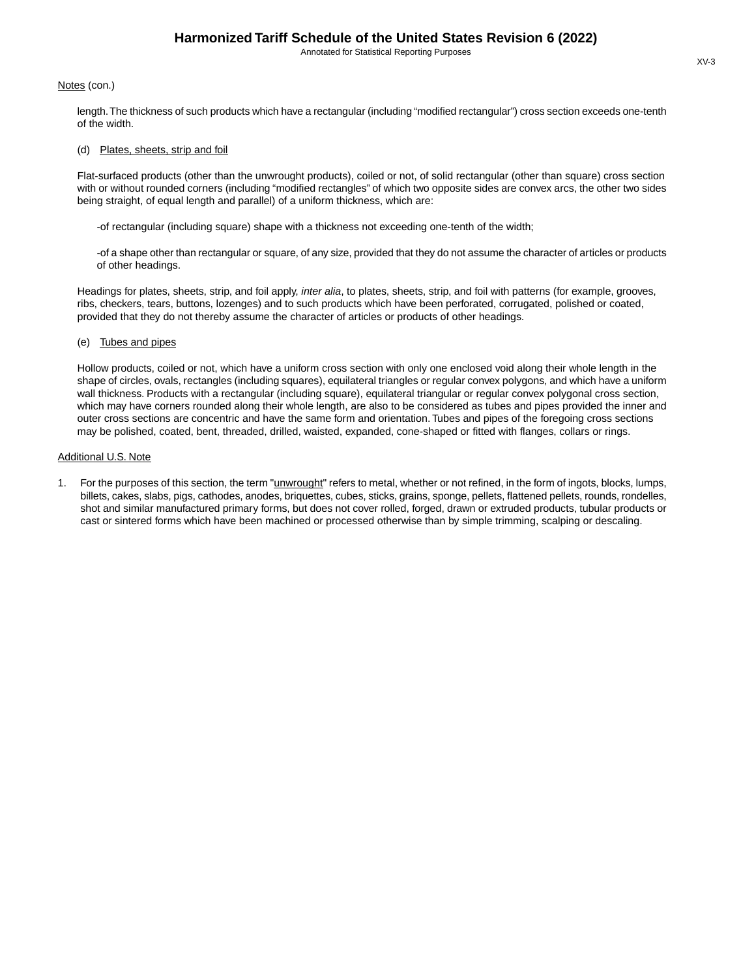#### Notes (con.)

length.The thickness of such products which have a rectangular (including "modified rectangular") cross section exceeds one-tenth of the width.

#### (d) Plates, sheets, strip and foil

Flat-surfaced products (other than the unwrought products), coiled or not, of solid rectangular (other than square) cross section with or without rounded corners (including "modified rectangles" of which two opposite sides are convex arcs, the other two sides being straight, of equal length and parallel) of a uniform thickness, which are:

-of rectangular (including square) shape with a thickness not exceeding one-tenth of the width;

-of a shape other than rectangular or square, of any size, provided that they do not assume the character of articles or products of other headings.

Headings for plates, sheets, strip, and foil apply, *inter alia*, to plates, sheets, strip, and foil with patterns (for example, grooves, ribs, checkers, tears, buttons, lozenges) and to such products which have been perforated, corrugated, polished or coated, provided that they do not thereby assume the character of articles or products of other headings.

#### (e) Tubes and pipes

Hollow products, coiled or not, which have a uniform cross section with only one enclosed void along their whole length in the shape of circles, ovals, rectangles (including squares), equilateral triangles or regular convex polygons, and which have a uniform wall thickness. Products with a rectangular (including square), equilateral triangular or regular convex polygonal cross section, which may have corners rounded along their whole length, are also to be considered as tubes and pipes provided the inner and outer cross sections are concentric and have the same form and orientation. Tubes and pipes of the foregoing cross sections may be polished, coated, bent, threaded, drilled, waisted, expanded, cone-shaped or fitted with flanges, collars or rings.

#### Additional U.S. Note

1. For the purposes of this section, the term "*unwrought*" refers to metal, whether or not refined, in the form of ingots, blocks, lumps, billets, cakes, slabs, pigs, cathodes, anodes, briquettes, cubes, sticks, grains, sponge, pellets, flattened pellets, rounds, rondelles, shot and similar manufactured primary forms, but does not cover rolled, forged, drawn or extruded products, tubular products or cast or sintered forms which have been machined or processed otherwise than by simple trimming, scalping or descaling.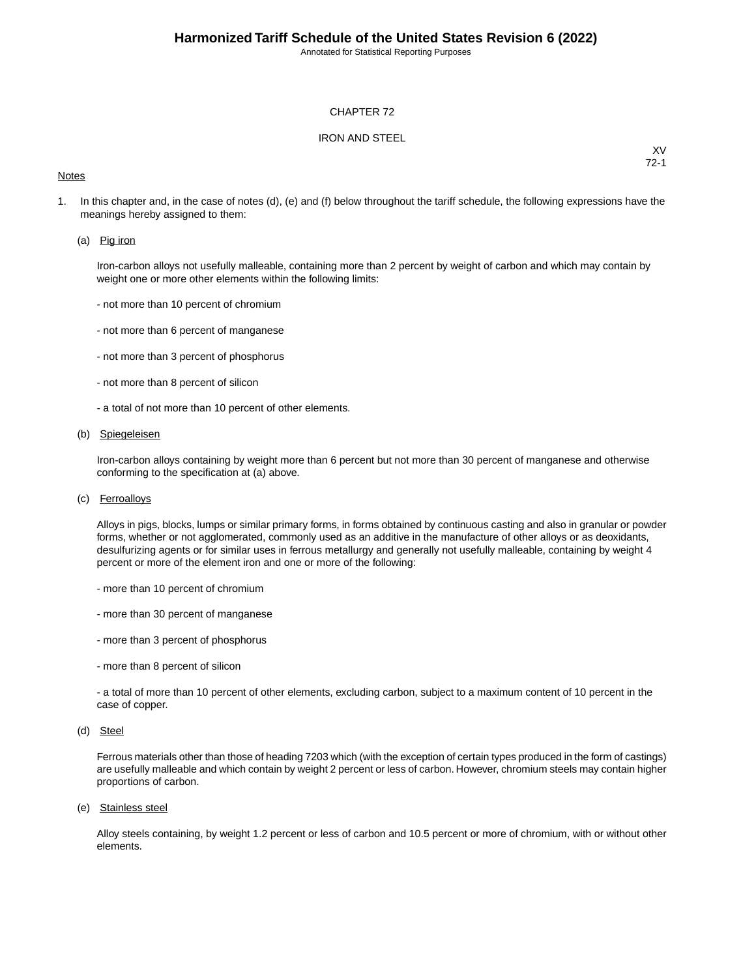#### CHAPTER 72

### IRON AND STEEL

#### **Notes**

XV 72-1

1. In this chapter and, in the case of notes (d), (e) and (f) below throughout the tariff schedule, the following expressions have the meanings hereby assigned to them:

#### (a) Pig iron

Iron-carbon alloys not usefully malleable, containing more than 2 percent by weight of carbon and which may contain by weight one or more other elements within the following limits:

- not more than 10 percent of chromium
- not more than 6 percent of manganese
- not more than 3 percent of phosphorus
- not more than 8 percent of silicon
- a total of not more than 10 percent of other elements.

### (b) Spiegeleisen

Iron-carbon alloys containing by weight more than 6 percent but not more than 30 percent of manganese and otherwise conforming to the specification at (a) above.

(c) Ferroalloys

Alloys in pigs, blocks, lumps or similar primary forms, in forms obtained by continuous casting and also in granular or powder forms, whether or not agglomerated, commonly used as an additive in the manufacture of other alloys or as deoxidants, desulfurizing agents or for similar uses in ferrous metallurgy and generally not usefully malleable, containing by weight 4 percent or more of the element iron and one or more of the following:

- more than 10 percent of chromium
- more than 30 percent of manganese
- more than 3 percent of phosphorus
- more than 8 percent of silicon

- a total of more than 10 percent of other elements, excluding carbon, subject to a maximum content of 10 percent in the case of copper.

(d) Steel

Ferrous materials other than those of heading 7203 which (with the exception of certain types produced in the form of castings) are usefully malleable and which contain by weight 2 percent or less of carbon. However, chromium steels may contain higher proportions of carbon.

(e) Stainless steel

Alloy steels containing, by weight 1.2 percent or less of carbon and 10.5 percent or more of chromium, with or without other elements.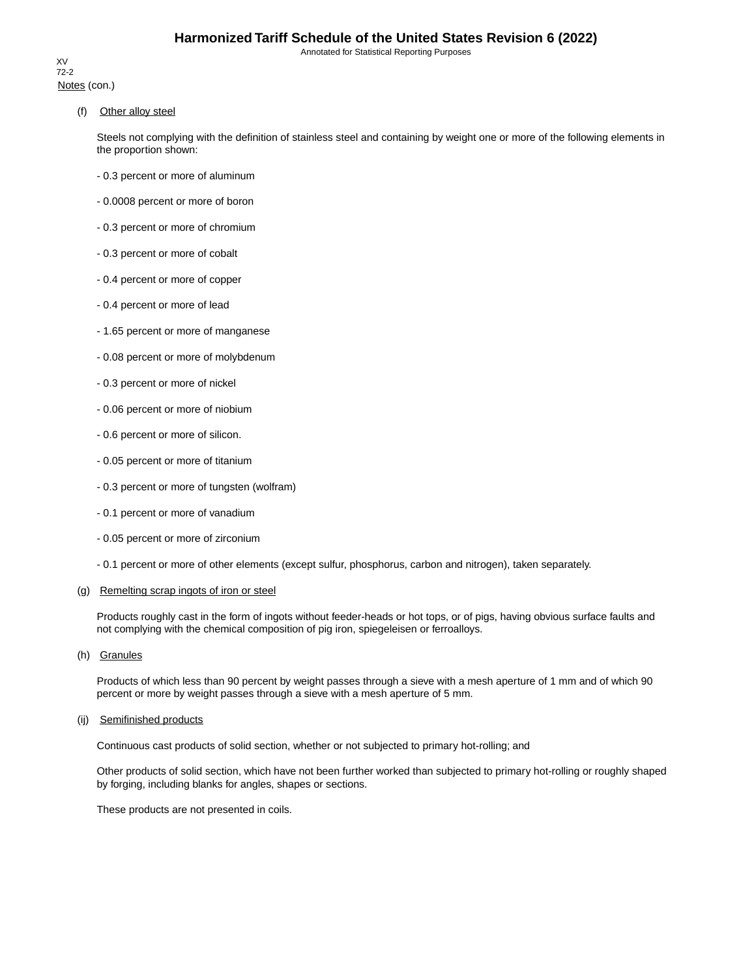Notes (con.) XV 72-2

(f) Other alloy steel

Steels not complying with the definition of stainless steel and containing by weight one or more of the following elements in the proportion shown:

- 0.3 percent or more of aluminum
- 0.0008 percent or more of boron
- 0.3 percent or more of chromium
- 0.3 percent or more of cobalt
- 0.4 percent or more of copper
- 0.4 percent or more of lead
- 1.65 percent or more of manganese
- 0.08 percent or more of molybdenum
- 0.3 percent or more of nickel
- 0.06 percent or more of niobium
- 0.6 percent or more of silicon.
- 0.05 percent or more of titanium
- 0.3 percent or more of tungsten (wolfram)
- 0.1 percent or more of vanadium
- 0.05 percent or more of zirconium
- 0.1 percent or more of other elements (except sulfur, phosphorus, carbon and nitrogen), taken separately.

### (g) Remelting scrap ingots of iron or steel

Products roughly cast in the form of ingots without feeder-heads or hot tops, or of pigs, having obvious surface faults and not complying with the chemical composition of pig iron, spiegeleisen or ferroalloys.

(h) Granules

Products of which less than 90 percent by weight passes through a sieve with a mesh aperture of 1 mm and of which 90 percent or more by weight passes through a sieve with a mesh aperture of 5 mm.

#### (ij) Semifinished products

Continuous cast products of solid section, whether or not subjected to primary hot-rolling; and

Other products of solid section, which have not been further worked than subjected to primary hot-rolling or roughly shaped by forging, including blanks for angles, shapes or sections.

These products are not presented in coils.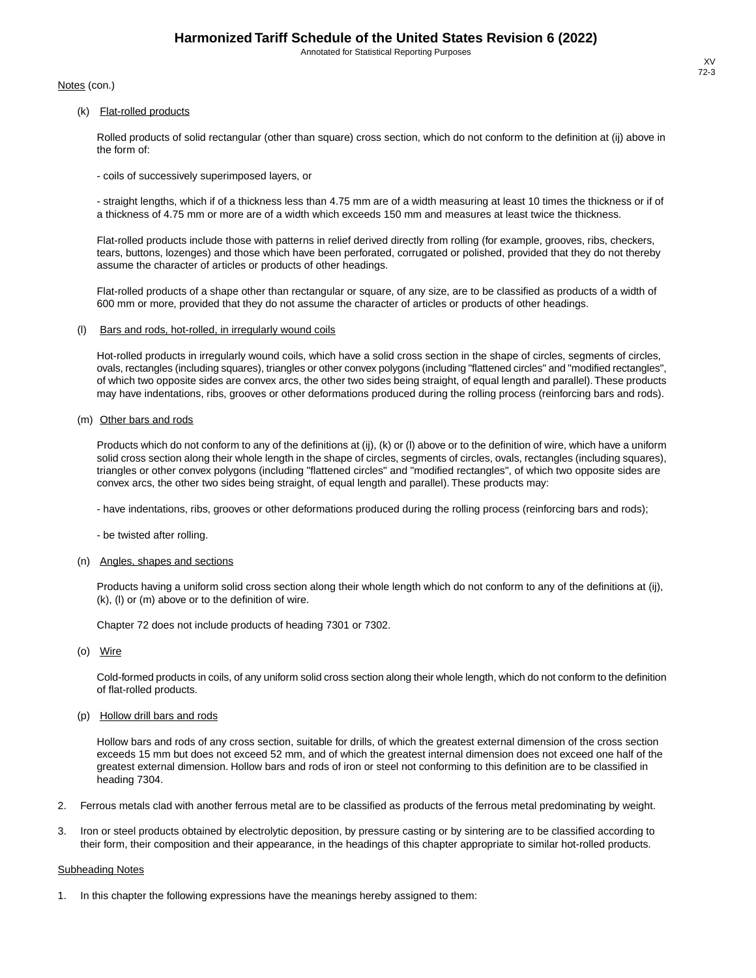Notes (con.)

(k) Flat-rolled products

Rolled products of solid rectangular (other than square) cross section, which do not conform to the definition at (ij) above in the form of:

- coils of successively superimposed layers, or

- straight lengths, which if of a thickness less than 4.75 mm are of a width measuring at least 10 times the thickness or if of a thickness of 4.75 mm or more are of a width which exceeds 150 mm and measures at least twice the thickness.

Flat-rolled products include those with patterns in relief derived directly from rolling (for example, grooves, ribs, checkers, tears, buttons, lozenges) and those which have been perforated, corrugated or polished, provided that they do not thereby assume the character of articles or products of other headings.

Flat-rolled products of a shape other than rectangular or square, of any size, are to be classified as products of a width of 600 mm or more, provided that they do not assume the character of articles or products of other headings.

(l) Bars and rods, hot-rolled, in irregularly wound coils

Hot-rolled products in irregularly wound coils, which have a solid cross section in the shape of circles, segments of circles, ovals, rectangles (including squares), triangles or other convex polygons (including "flattened circles" and "modified rectangles", of which two opposite sides are convex arcs, the other two sides being straight, of equal length and parallel).These products may have indentations, ribs, grooves or other deformations produced during the rolling process (reinforcing bars and rods).

(m) Other bars and rods

Products which do not conform to any of the definitions at (ij), (k) or (l) above or to the definition of wire, which have a uniform solid cross section along their whole length in the shape of circles, segments of circles, ovals, rectangles (including squares), triangles or other convex polygons (including "flattened circles" and "modified rectangles", of which two opposite sides are convex arcs, the other two sides being straight, of equal length and parallel). These products may:

- have indentations, ribs, grooves or other deformations produced during the rolling process (reinforcing bars and rods);

- be twisted after rolling.

#### (n) Angles, shapes and sections

Products having a uniform solid cross section along their whole length which do not conform to any of the definitions at (ij), (k), (l) or (m) above or to the definition of wire.

Chapter 72 does not include products of heading 7301 or 7302.

(o) Wire

Cold-formed products in coils, of any uniform solid cross section along their whole length, which do not conform to the definition of flat-rolled products.

(p) Hollow drill bars and rods

Hollow bars and rods of any cross section, suitable for drills, of which the greatest external dimension of the cross section exceeds 15 mm but does not exceed 52 mm, and of which the greatest internal dimension does not exceed one half of the greatest external dimension. Hollow bars and rods of iron or steel not conforming to this definition are to be classified in heading 7304.

- 2. Ferrous metals clad with another ferrous metal are to be classified as products of the ferrous metal predominating by weight.
- 3. Iron or steel products obtained by electrolytic deposition, by pressure casting or by sintering are to be classified according to their form, their composition and their appearance, in the headings of this chapter appropriate to similar hot-rolled products.

#### Subheading Notes

In this chapter the following expressions have the meanings hereby assigned to them: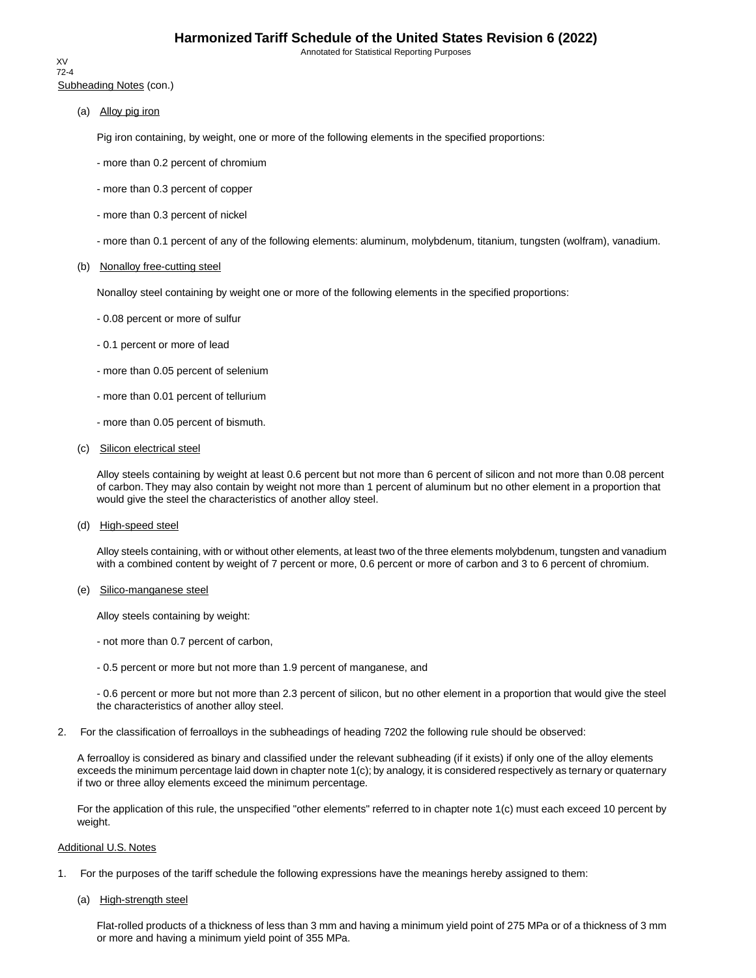Subheading Notes (con.) XV 72-4

(a) Alloy pig iron

Pig iron containing, by weight, one or more of the following elements in the specified proportions:

- more than 0.2 percent of chromium
- more than 0.3 percent of copper
- more than 0.3 percent of nickel
- more than 0.1 percent of any of the following elements: aluminum, molybdenum, titanium, tungsten (wolfram), vanadium.

#### (b) Nonalloy free-cutting steel

Nonalloy steel containing by weight one or more of the following elements in the specified proportions:

- 0.08 percent or more of sulfur
- 0.1 percent or more of lead
- more than 0.05 percent of selenium
- more than 0.01 percent of tellurium
- more than 0.05 percent of bismuth.
- (c) Silicon electrical steel

Alloy steels containing by weight at least 0.6 percent but not more than 6 percent of silicon and not more than 0.08 percent of carbon. They may also contain by weight not more than 1 percent of aluminum but no other element in a proportion that would give the steel the characteristics of another alloy steel.

(d) High-speed steel

Alloy steels containing, with or without other elements, at least two of the three elements molybdenum, tungsten and vanadium with a combined content by weight of 7 percent or more, 0.6 percent or more of carbon and 3 to 6 percent of chromium.

(e) Silico-manganese steel

Alloy steels containing by weight:

- not more than 0.7 percent of carbon,
- 0.5 percent or more but not more than 1.9 percent of manganese, and

- 0.6 percent or more but not more than 2.3 percent of silicon, but no other element in a proportion that would give the steel the characteristics of another alloy steel.

2. For the classification of ferroalloys in the subheadings of heading 7202 the following rule should be observed:

A ferroalloy is considered as binary and classified under the relevant subheading (if it exists) if only one of the alloy elements exceeds the minimum percentage laid down in chapter note 1(c); by analogy, it is considered respectively as ternary or quaternary if two or three alloy elements exceed the minimum percentage.

For the application of this rule, the unspecified "other elements" referred to in chapter note 1(c) must each exceed 10 percent by weight.

### Additional U.S. Notes

- 1. For the purposes of the tariff schedule the following expressions have the meanings hereby assigned to them:
	- (a) High-strength steel

Flat-rolled products of a thickness of less than 3 mm and having a minimum yield point of 275 MPa or of a thickness of 3 mm or more and having a minimum yield point of 355 MPa.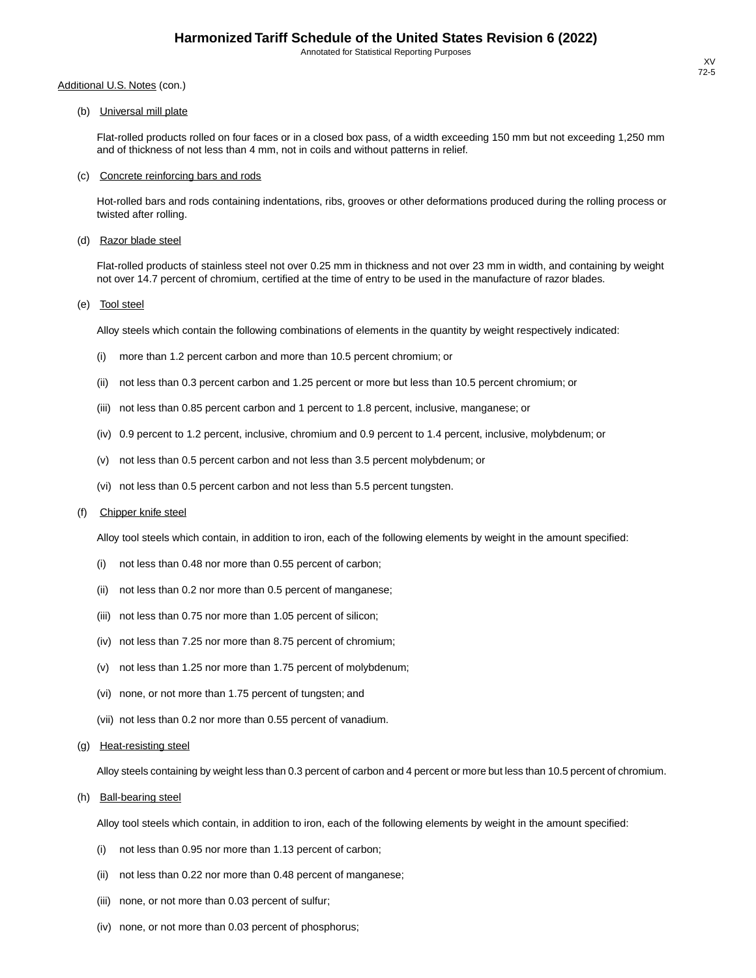(b) Universal mill plate

Flat-rolled products rolled on four faces or in a closed box pass, of a width exceeding 150 mm but not exceeding 1,250 mm and of thickness of not less than 4 mm, not in coils and without patterns in relief.

#### (c) Concrete reinforcing bars and rods

Hot-rolled bars and rods containing indentations, ribs, grooves or other deformations produced during the rolling process or twisted after rolling.

(d) Razor blade steel

Flat-rolled products of stainless steel not over 0.25 mm in thickness and not over 23 mm in width, and containing by weight not over 14.7 percent of chromium, certified at the time of entry to be used in the manufacture of razor blades.

(e) Tool steel

Alloy steels which contain the following combinations of elements in the quantity by weight respectively indicated:

- (i) more than 1.2 percent carbon and more than 10.5 percent chromium; or
- (ii) not less than 0.3 percent carbon and 1.25 percent or more but less than 10.5 percent chromium; or
- (iii) not less than 0.85 percent carbon and 1 percent to 1.8 percent, inclusive, manganese; or
- (iv) 0.9 percent to 1.2 percent, inclusive, chromium and 0.9 percent to 1.4 percent, inclusive, molybdenum; or
- (v) not less than 0.5 percent carbon and not less than 3.5 percent molybdenum; or
- (vi) not less than 0.5 percent carbon and not less than 5.5 percent tungsten.

#### (f) Chipper knife steel

Alloy tool steels which contain, in addition to iron, each of the following elements by weight in the amount specified:

- (i) not less than 0.48 nor more than 0.55 percent of carbon;
- (ii) not less than 0.2 nor more than 0.5 percent of manganese;
- (iii) not less than 0.75 nor more than 1.05 percent of silicon;
- (iv) not less than 7.25 nor more than 8.75 percent of chromium;
- (v) not less than 1.25 nor more than 1.75 percent of molybdenum;
- (vi) none, or not more than 1.75 percent of tungsten; and
- (vii) not less than 0.2 nor more than 0.55 percent of vanadium.
- (g) Heat-resisting steel

Alloy steels containing by weight less than 0.3 percent of carbon and 4 percent or more but less than 10.5 percent of chromium.

(h) Ball-bearing steel

Alloy tool steels which contain, in addition to iron, each of the following elements by weight in the amount specified:

- (i) not less than 0.95 nor more than 1.13 percent of carbon;
- (ii) not less than 0.22 nor more than 0.48 percent of manganese;
- (iii) none, or not more than 0.03 percent of sulfur;
- (iv) none, or not more than 0.03 percent of phosphorus;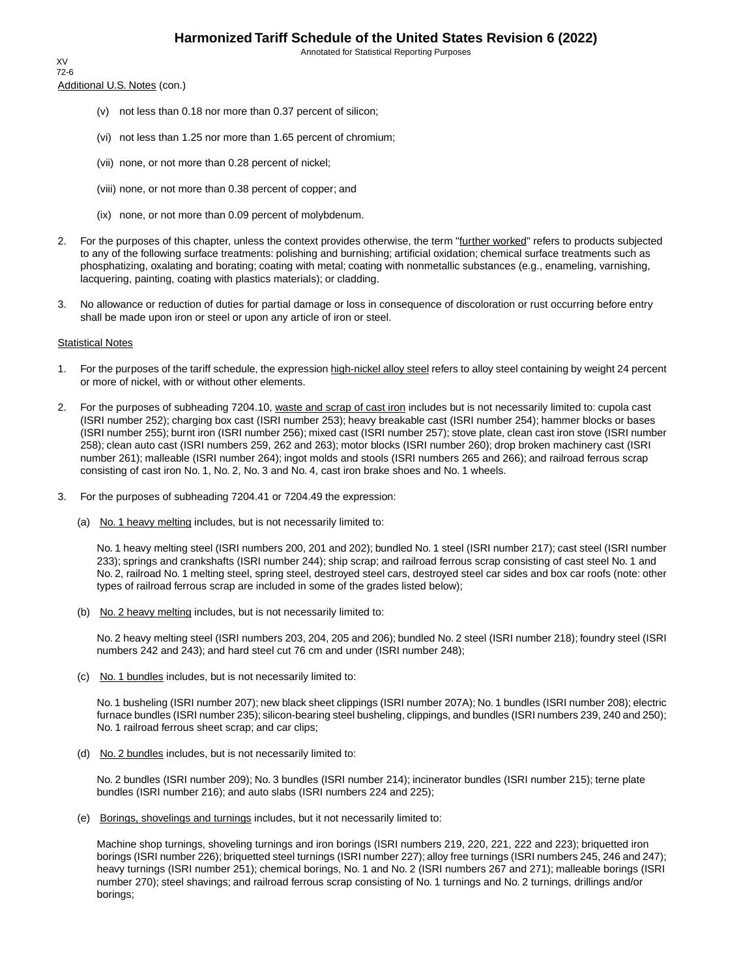Annotated for Statistical Reporting Purposes

Additional U.S. Notes (con.) XV 72-6

- (v) not less than 0.18 nor more than 0.37 percent of silicon;
- (vi) not less than 1.25 nor more than 1.65 percent of chromium;
- (vii) none, or not more than 0.28 percent of nickel;
- (viii) none, or not more than 0.38 percent of copper; and
- (ix) none, or not more than 0.09 percent of molybdenum.
- 2. For the purposes of this chapter, unless the context provides otherwise, the term "further worked" refers to products subjected to any of the following surface treatments: polishing and burnishing; artificial oxidation; chemical surface treatments such as phosphatizing, oxalating and borating; coating with metal; coating with nonmetallic substances (e.g., enameling, varnishing, lacquering, painting, coating with plastics materials); or cladding.
- 3. No allowance or reduction of duties for partial damage or loss in consequence of discoloration or rust occurring before entry shall be made upon iron or steel or upon any article of iron or steel.

#### Statistical Notes

- 1. For the purposes of the tariff schedule, the expression high-nickel alloy steel refers to alloy steel containing by weight 24 percent or more of nickel, with or without other elements.
- 2. For the purposes of subheading 7204.10, waste and scrap of cast iron includes but is not necessarily limited to: cupola cast (ISRI number 252); charging box cast (ISRI number 253); heavy breakable cast (ISRI number 254); hammer blocks or bases (ISRI number 255); burnt iron (ISRI number 256); mixed cast (ISRI number 257); stove plate, clean cast iron stove (ISRI number 258); clean auto cast (ISRI numbers 259, 262 and 263); motor blocks (ISRI number 260); drop broken machinery cast (ISRI number 261); malleable (ISRI number 264); ingot molds and stools (ISRI numbers 265 and 266); and railroad ferrous scrap consisting of cast iron No. 1, No. 2, No. 3 and No. 4, cast iron brake shoes and No. 1 wheels.
- 3. For the purposes of subheading 7204.41 or 7204.49 the expression:
	- (a) No. 1 heavy melting includes, but is not necessarily limited to:

No. 1 heavy melting steel (ISRI numbers 200, 201 and 202); bundled No. 1 steel (ISRI number 217); cast steel (ISRI number 233); springs and crankshafts (ISRI number 244); ship scrap; and railroad ferrous scrap consisting of cast steel No. 1 and No. 2, railroad No. 1 melting steel, spring steel, destroyed steel cars, destroyed steel car sides and box car roofs (note: other types of railroad ferrous scrap are included in some of the grades listed below);

(b) No. 2 heavy melting includes, but is not necessarily limited to:

No. 2 heavy melting steel (ISRI numbers 203, 204, 205 and 206); bundled No. 2 steel (ISRI number 218); foundry steel (ISRI numbers 242 and 243); and hard steel cut 76 cm and under (ISRI number 248);

(c) No. 1 bundles includes, but is not necessarily limited to:

No. 1 busheling (ISRI number 207); new black sheet clippings (ISRI number 207A); No. 1 bundles (ISRI number 208); electric furnace bundles (ISRI number 235); silicon-bearing steel busheling, clippings, and bundles (ISRI numbers 239, 240 and 250); No. 1 railroad ferrous sheet scrap; and car clips;

(d) No. 2 bundles includes, but is not necessarily limited to:

No. 2 bundles (ISRI number 209); No. 3 bundles (ISRI number 214); incinerator bundles (ISRI number 215); terne plate bundles (ISRI number 216); and auto slabs (ISRI numbers 224 and 225);

(e) Borings, shovelings and turnings includes, but it not necessarily limited to:

Machine shop turnings, shoveling turnings and iron borings (ISRI numbers 219, 220, 221, 222 and 223); briquetted iron borings (ISRI number 226); briquetted steel turnings (ISRI number 227); alloy free turnings (ISRI numbers 245, 246 and 247); heavy turnings (ISRI number 251); chemical borings, No. 1 and No. 2 (ISRI numbers 267 and 271); malleable borings (ISRI number 270); steel shavings; and railroad ferrous scrap consisting of No. 1 turnings and No. 2 turnings, drillings and/or borings;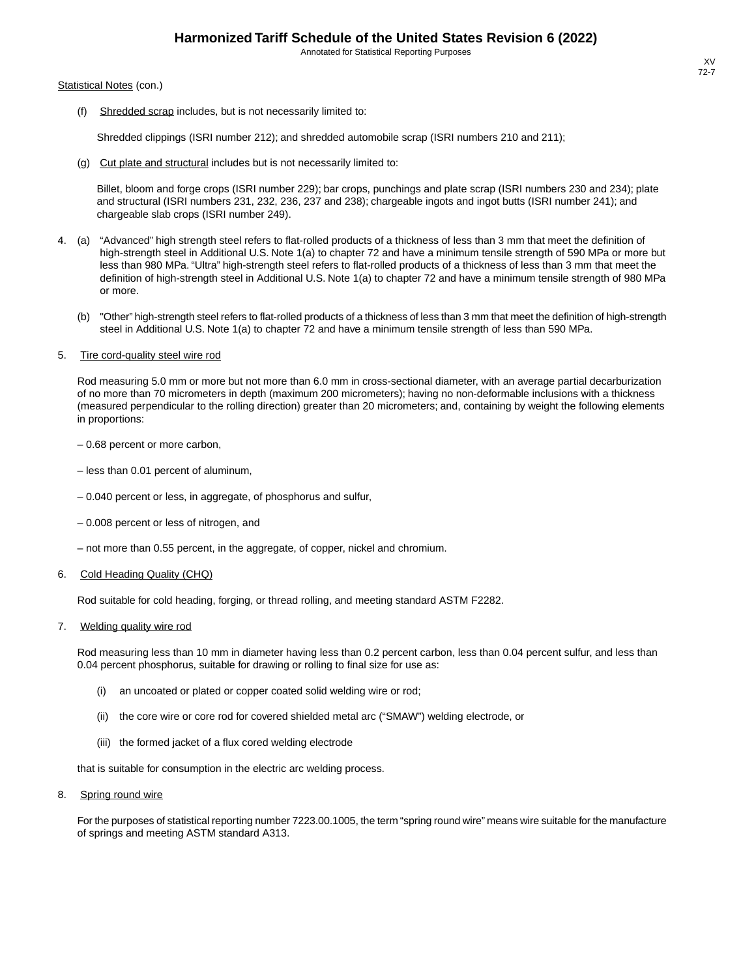#### Statistical Notes (con.)

(f) Shredded scrap includes, but is not necessarily limited to:

Shredded clippings (ISRI number 212); and shredded automobile scrap (ISRI numbers 210 and 211);

(g) Cut plate and structural includes but is not necessarily limited to:

Billet, bloom and forge crops (ISRI number 229); bar crops, punchings and plate scrap (ISRI numbers 230 and 234); plate and structural (ISRI numbers 231, 232, 236, 237 and 238); chargeable ingots and ingot butts (ISRI number 241); and chargeable slab crops (ISRI number 249).

- 4. (a) "Advanced" high strength steel refers to flat-rolled products of a thickness of less than 3 mm that meet the definition of high-strength steel in Additional U.S. Note 1(a) to chapter 72 and have a minimum tensile strength of 590 MPa or more but less than 980 MPa. "Ultra" high-strength steel refers to flat-rolled products of a thickness of less than 3 mm that meet the definition of high-strength steel in Additional U.S. Note 1(a) to chapter 72 and have a minimum tensile strength of 980 MPa or more.
	- (b) "Other" high-strength steel refers to flat-rolled products of a thickness of less than 3 mm that meet the definition of high-strength steel in Additional U.S. Note 1(a) to chapter 72 and have a minimum tensile strength of less than 590 MPa.

#### 5. Tire cord-quality steel wire rod

Rod measuring 5.0 mm or more but not more than 6.0 mm in cross-sectional diameter, with an average partial decarburization of no more than 70 micrometers in depth (maximum 200 micrometers); having no non-deformable inclusions with a thickness (measured perpendicular to the rolling direction) greater than 20 micrometers; and, containing by weight the following elements in proportions:

– 0.68 percent or more carbon,

- less than 0.01 percent of aluminum,
- 0.040 percent or less, in aggregate, of phosphorus and sulfur,
- 0.008 percent or less of nitrogen, and
- not more than 0.55 percent, in the aggregate, of copper, nickel and chromium.

#### 6. Cold Heading Quality (CHQ)

Rod suitable for cold heading, forging, or thread rolling, and meeting standard ASTM F2282.

#### 7. Welding quality wire rod

Rod measuring less than 10 mm in diameter having less than 0.2 percent carbon, less than 0.04 percent sulfur, and less than 0.04 percent phosphorus, suitable for drawing or rolling to final size for use as:

- (i) an uncoated or plated or copper coated solid welding wire or rod;
- (ii) the core wire or core rod for covered shielded metal arc ("SMAW") welding electrode, or
- (iii) the formed jacket of a flux cored welding electrode

that is suitable for consumption in the electric arc welding process.

8. Spring round wire

For the purposes of statistical reporting number 7223.00.1005, the term "spring round wire" means wire suitable for the manufacture of springs and meeting ASTM standard A313.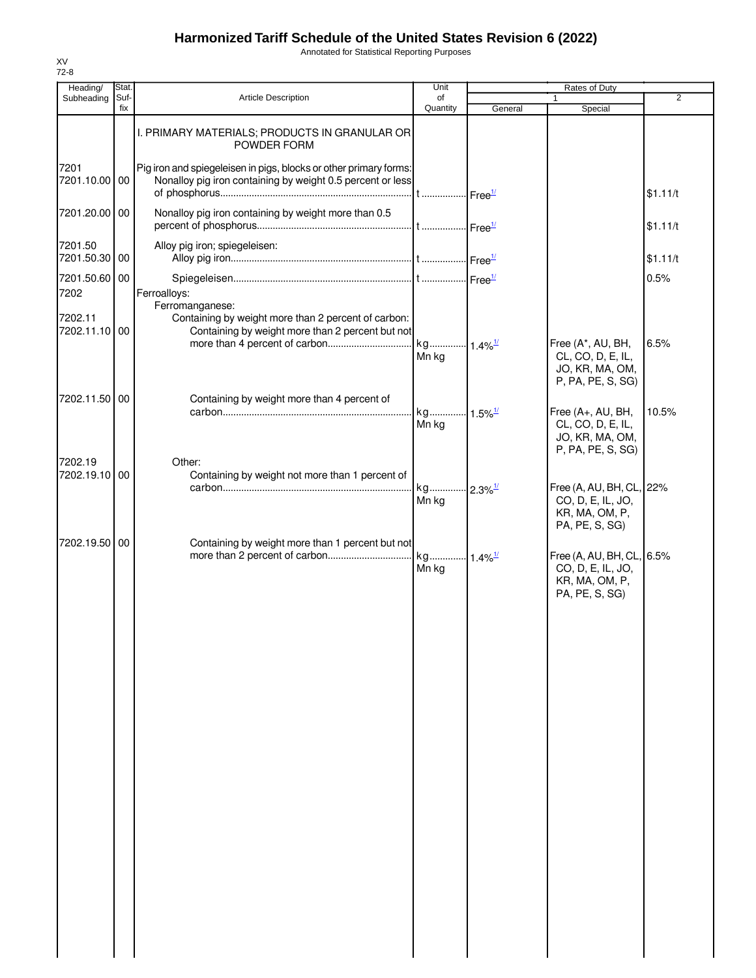Annotated for Statistical Reporting Purposes

| Heading/                 | Stat.       |                                                                                                                                 | Unit                           |         | Rates of Duty                                                                      |          |
|--------------------------|-------------|---------------------------------------------------------------------------------------------------------------------------------|--------------------------------|---------|------------------------------------------------------------------------------------|----------|
| Subheading               | Suf-<br>fix | <b>Article Description</b>                                                                                                      | of<br>Quantity                 | General | $\mathbf{1}$<br>Special                                                            | 2        |
|                          |             | I. PRIMARY MATERIALS; PRODUCTS IN GRANULAR OR<br>POWDER FORM                                                                    |                                |         |                                                                                    |          |
| 7201<br>7201.10.00 00    |             | Pig iron and spiegeleisen in pigs, blocks or other primary forms:<br>Nonalloy pig iron containing by weight 0.5 percent or less |                                |         |                                                                                    | \$1.11/t |
| 7201.20.00 00            |             | Nonalloy pig iron containing by weight more than 0.5                                                                            |                                |         |                                                                                    | \$1.11/t |
| 7201.50<br>7201.50.30 00 |             | Alloy pig iron; spiegeleisen:                                                                                                   |                                |         |                                                                                    | \$1.11/t |
| 7201.50.60 00<br>7202    |             | Ferroalloys:                                                                                                                    |                                |         |                                                                                    | 0.5%     |
| 7202.11<br>7202.11.10 00 |             | Ferromanganese:<br>Containing by weight more than 2 percent of carbon:<br>Containing by weight more than 2 percent but not      |                                |         | Free (A*, AU, BH,                                                                  | 6.5%     |
|                          |             |                                                                                                                                 | Mn kg                          |         | CL, CO, D, E, IL,<br>JO, KR, MA, OM,<br>P, PA, PE, S, SG)                          |          |
| 7202.11.50 00            |             | Containing by weight more than 4 percent of                                                                                     | kg 1.5% <sup>1/</sup>          |         | Free (A+, AU, BH,                                                                  | 10.5%    |
|                          |             |                                                                                                                                 | Mn kg                          |         | CL, CO, D, E, IL,<br>JO, KR, MA, OM,<br>P, PA, PE, S, SG)                          |          |
| 7202.19<br>7202.19.10 00 |             | Other:<br>Containing by weight not more than 1 percent of                                                                       |                                |         |                                                                                    |          |
|                          |             |                                                                                                                                 | kg 2.3% <sup>1/</sup><br>Mn kg |         | Free (A, AU, BH, CL, 22%<br>CO, D, E, IL, JO,<br>KR, MA, OM, P,<br>PA, PE, S, SG)  |          |
| 7202.19.50 00            |             | Containing by weight more than 1 percent but not                                                                                | Mn kg                          |         | Free (A, AU, BH, CL, 6.5%<br>CO, D, E, IL, JO,<br>KR, MA, OM, P,<br>PA, PE, S, SG) |          |
|                          |             |                                                                                                                                 |                                |         |                                                                                    |          |
|                          |             |                                                                                                                                 |                                |         |                                                                                    |          |
|                          |             |                                                                                                                                 |                                |         |                                                                                    |          |
|                          |             |                                                                                                                                 |                                |         |                                                                                    |          |
|                          |             |                                                                                                                                 |                                |         |                                                                                    |          |
|                          |             |                                                                                                                                 |                                |         |                                                                                    |          |
|                          |             |                                                                                                                                 |                                |         |                                                                                    |          |
|                          |             |                                                                                                                                 |                                |         |                                                                                    |          |
|                          |             |                                                                                                                                 |                                |         |                                                                                    |          |
|                          |             |                                                                                                                                 |                                |         |                                                                                    |          |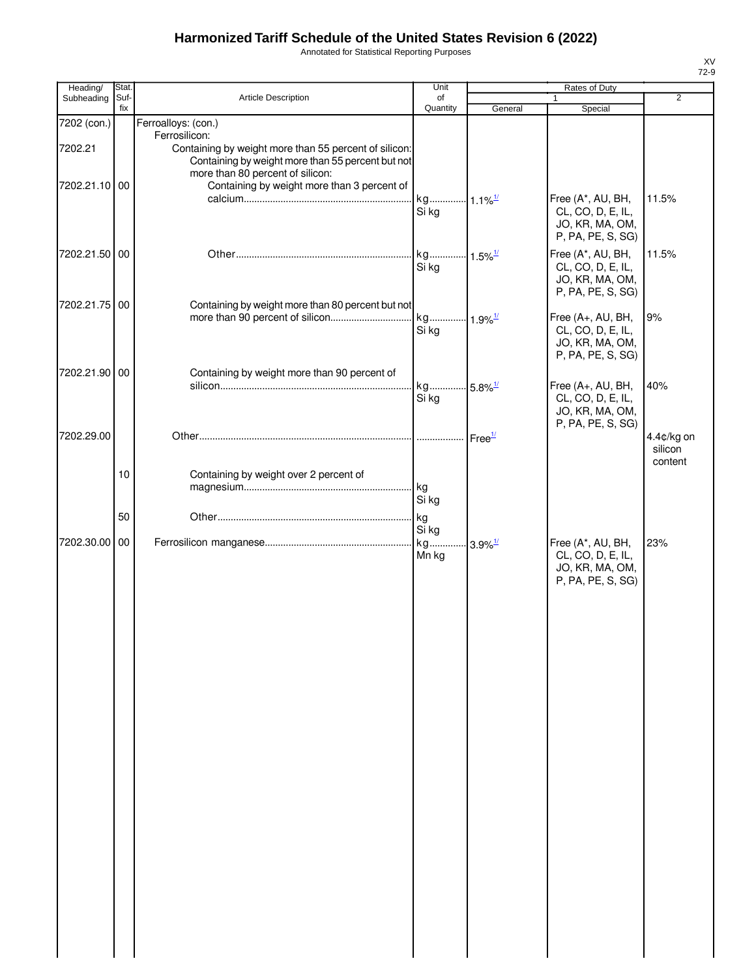Annotated for Statistical Reporting Purposes

| Heading/                 | Stat.       |                                                                                                                                                                                                                | Unit                                    |                    | Rates of Duty                                                                  |                                  |
|--------------------------|-------------|----------------------------------------------------------------------------------------------------------------------------------------------------------------------------------------------------------------|-----------------------------------------|--------------------|--------------------------------------------------------------------------------|----------------------------------|
| Subheading               | Suf-<br>fix | Article Description                                                                                                                                                                                            | of<br>Quantity                          | General            | 1<br>Special                                                                   | $\overline{2}$                   |
| 7202 (con.)              |             | Ferroalloys: (con.)                                                                                                                                                                                            |                                         |                    |                                                                                |                                  |
| 7202.21<br>7202.21.10 00 |             | Ferrosilicon:<br>Containing by weight more than 55 percent of silicon:<br>Containing by weight more than 55 percent but not<br>more than 80 percent of silicon:<br>Containing by weight more than 3 percent of |                                         |                    |                                                                                |                                  |
|                          |             |                                                                                                                                                                                                                | kg 1.1% <sup>1/</sup><br>Si kg          |                    | Free (A*, AU, BH,<br>CL, CO, D, E, IL,<br>JO, KR, MA, OM,<br>P, PA, PE, S, SG) | 11.5%                            |
| 7202.21.50 00            |             |                                                                                                                                                                                                                | kg 1.5% <sup>1/</sup><br>Si kg          |                    | Free (A*, AU, BH,<br>CL, CO, D, E, IL,<br>JO, KR, MA, OM,<br>P, PA, PE, S, SG) | 11.5%                            |
| 7202.21.75 00            |             | Containing by weight more than 80 percent but not                                                                                                                                                              |                                         |                    |                                                                                |                                  |
|                          |             |                                                                                                                                                                                                                | Si kg                                   |                    | Free (A+, AU, BH,<br>CL, CO, D, E, IL,<br>JO, KR, MA, OM,<br>P, PA, PE, S, SG) | 9%                               |
| 7202.21.90 00            |             | Containing by weight more than 90 percent of                                                                                                                                                                   |                                         |                    |                                                                                |                                  |
|                          |             |                                                                                                                                                                                                                | kg 5.8% <sup>1/</sup><br>Si kg          |                    | Free (A+, AU, BH,<br>CL, CO, D, E, IL,<br>JO, KR, MA, OM,<br>P, PA, PE, S, SG) | 40%                              |
| 7202.29.00               |             |                                                                                                                                                                                                                |                                         | Free <sup>1/</sup> |                                                                                | 4.4¢/kg on<br>silicon<br>content |
|                          | 10          | Containing by weight over 2 percent of                                                                                                                                                                         | kg<br>Si kg                             |                    |                                                                                |                                  |
|                          | 50          |                                                                                                                                                                                                                | kg                                      |                    |                                                                                |                                  |
| 7202.30.00               | 00          |                                                                                                                                                                                                                | Si kg<br>kg 3.9% <sup>1/</sup><br>Mn kg |                    | Free (A*, AU, BH,<br>CL, CO, D, E, IL,<br>JO, KR, MA, OM,                      | 23%                              |
|                          |             |                                                                                                                                                                                                                |                                         |                    | P, PA, PE, S, SG)                                                              |                                  |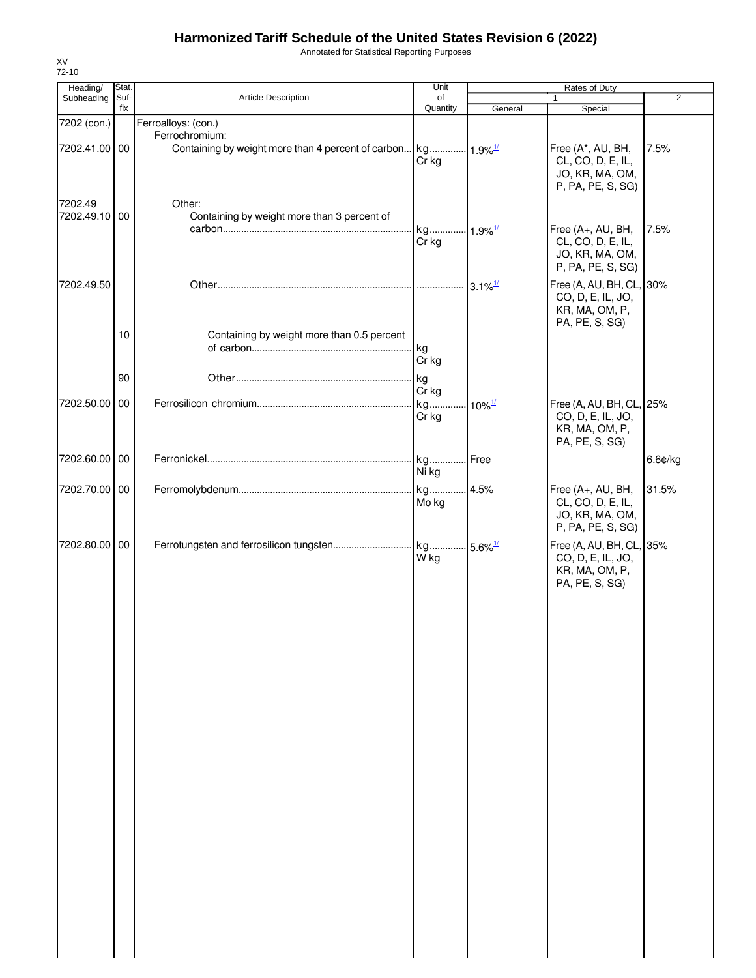Annotated for Statistical Reporting Purposes

| Subheading<br>7202 (con.)<br>7202.41.00 00<br>7202.49<br>7202.49.10 00<br>7202.49.50 | Suf-<br>fix | Article Description<br>Ferroalloys: (con.)<br>Ferrochromium: | of<br>Quantity<br>Cr kg | General                                    | $\mathbf{1}$<br>Special<br>Free (A*, AU, BH, | $\overline{2}$<br>7.5% |
|--------------------------------------------------------------------------------------|-------------|--------------------------------------------------------------|-------------------------|--------------------------------------------|----------------------------------------------|------------------------|
|                                                                                      |             |                                                              |                         |                                            |                                              |                        |
|                                                                                      |             |                                                              |                         |                                            |                                              |                        |
|                                                                                      |             |                                                              |                         |                                            |                                              |                        |
|                                                                                      |             |                                                              |                         |                                            |                                              |                        |
|                                                                                      |             |                                                              |                         |                                            | CL, CO, D, E, IL,                            |                        |
|                                                                                      |             |                                                              |                         |                                            | JO, KR, MA, OM,<br>P, PA, PE, S, SG)         |                        |
|                                                                                      |             |                                                              |                         |                                            |                                              |                        |
|                                                                                      |             | Other:                                                       |                         |                                            |                                              |                        |
|                                                                                      |             | Containing by weight more than 3 percent of                  |                         |                                            |                                              |                        |
|                                                                                      |             |                                                              | kg 1.9% <sup>1/</sup>   |                                            | Free (A+, AU, BH,                            | 7.5%                   |
|                                                                                      |             |                                                              | Cr kg                   |                                            | CL, CO, D, E, IL,                            |                        |
|                                                                                      |             |                                                              |                         |                                            | JO, KR, MA, OM,<br>P, PA, PE, S, SG)         |                        |
|                                                                                      |             |                                                              |                         |                                            |                                              |                        |
|                                                                                      |             |                                                              |                         |                                            | Free (A, AU, BH, CL, 30%                     |                        |
|                                                                                      |             |                                                              |                         |                                            | CO, D, E, IL, JO,                            |                        |
|                                                                                      |             |                                                              |                         |                                            | KR, MA, OM, P,                               |                        |
|                                                                                      |             |                                                              |                         |                                            | PA, PE, S, SG)                               |                        |
|                                                                                      | 10          | Containing by weight more than 0.5 percent                   |                         |                                            |                                              |                        |
|                                                                                      |             |                                                              | kg                      |                                            |                                              |                        |
|                                                                                      |             |                                                              | Cr kg                   |                                            |                                              |                        |
|                                                                                      | 90          |                                                              | kg                      |                                            |                                              |                        |
|                                                                                      |             |                                                              | Cr kg                   |                                            |                                              |                        |
| 7202.50.00 00                                                                        |             |                                                              | kg                      | $10\%$ <sup><math>\frac{1}{2}</math></sup> | Free (A, AU, BH, CL, 25%                     |                        |
|                                                                                      |             |                                                              | Cr kg                   |                                            | CO, D, E, IL, JO,                            |                        |
|                                                                                      |             |                                                              |                         |                                            | KR, MA, OM, P,                               |                        |
|                                                                                      |             |                                                              |                         |                                            | PA, PE, S, SG)                               |                        |
| 7202.60.00 00                                                                        |             |                                                              |                         |                                            |                                              | 6.6¢/kg                |
|                                                                                      |             |                                                              | Ni kg                   |                                            |                                              |                        |
| 7202.70.00 00                                                                        |             |                                                              |                         |                                            | Free (A+, AU, BH,                            | 31.5%                  |
|                                                                                      |             |                                                              | Mo kg                   |                                            | CL, CO, D, E, IL,                            |                        |
|                                                                                      |             |                                                              |                         |                                            | JO, KR, MA, OM,                              |                        |
|                                                                                      |             |                                                              |                         |                                            | P, PA, PE, S, SG)                            |                        |
| 7202.80.00 00                                                                        |             |                                                              |                         |                                            | Free (A, AU, BH, CL, 35%                     |                        |
|                                                                                      |             |                                                              | W kg                    |                                            | CO, D, E, IL, JO,                            |                        |
|                                                                                      |             |                                                              |                         |                                            | KR, MA, OM, P,                               |                        |
|                                                                                      |             |                                                              |                         |                                            | PA, PE, S, SG)                               |                        |
|                                                                                      |             |                                                              |                         |                                            |                                              |                        |
|                                                                                      |             |                                                              |                         |                                            |                                              |                        |
|                                                                                      |             |                                                              |                         |                                            |                                              |                        |
|                                                                                      |             |                                                              |                         |                                            |                                              |                        |
|                                                                                      |             |                                                              |                         |                                            |                                              |                        |
|                                                                                      |             |                                                              |                         |                                            |                                              |                        |
|                                                                                      |             |                                                              |                         |                                            |                                              |                        |
|                                                                                      |             |                                                              |                         |                                            |                                              |                        |
|                                                                                      |             |                                                              |                         |                                            |                                              |                        |
|                                                                                      |             |                                                              |                         |                                            |                                              |                        |
|                                                                                      |             |                                                              |                         |                                            |                                              |                        |
|                                                                                      |             |                                                              |                         |                                            |                                              |                        |
|                                                                                      |             |                                                              |                         |                                            |                                              |                        |
|                                                                                      |             |                                                              |                         |                                            |                                              |                        |
|                                                                                      |             |                                                              |                         |                                            |                                              |                        |
|                                                                                      |             |                                                              |                         |                                            |                                              |                        |
|                                                                                      |             |                                                              |                         |                                            |                                              |                        |
|                                                                                      |             |                                                              |                         |                                            |                                              |                        |
|                                                                                      |             |                                                              |                         |                                            |                                              |                        |
|                                                                                      |             |                                                              |                         |                                            |                                              |                        |
|                                                                                      |             |                                                              |                         |                                            |                                              |                        |
|                                                                                      |             |                                                              |                         |                                            |                                              |                        |
|                                                                                      |             |                                                              |                         |                                            |                                              |                        |
|                                                                                      |             |                                                              |                         |                                            |                                              |                        |
|                                                                                      |             |                                                              |                         |                                            |                                              |                        |
|                                                                                      |             |                                                              |                         |                                            |                                              |                        |
|                                                                                      |             |                                                              |                         |                                            |                                              |                        |
|                                                                                      |             |                                                              |                         |                                            |                                              |                        |

XV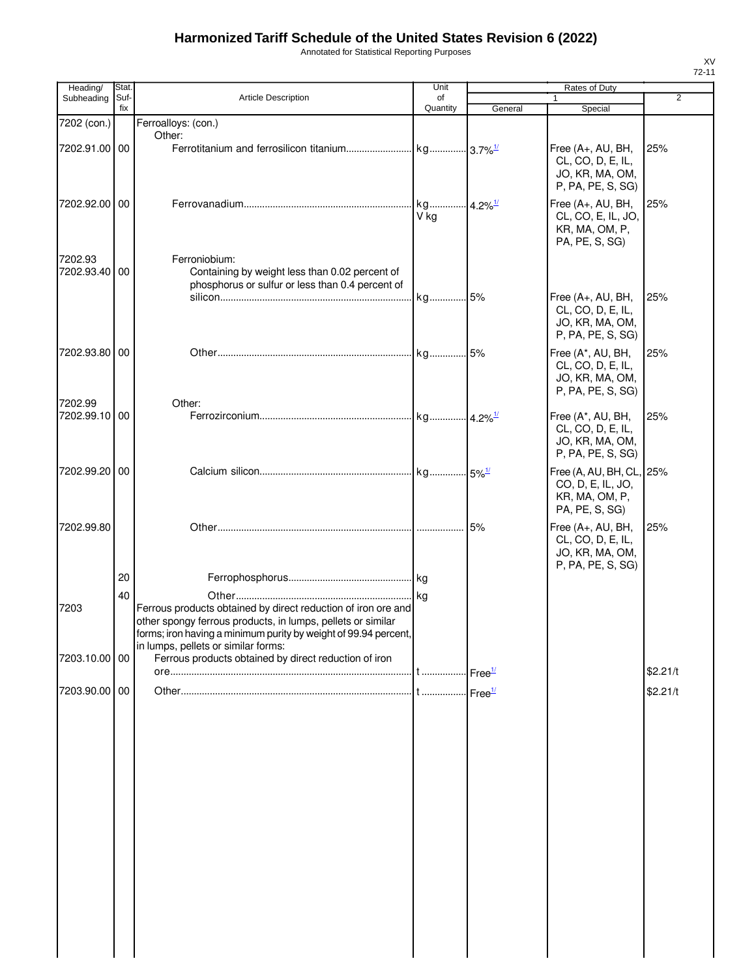| Annotated for Statistical Reporting Purposes |  |  |
|----------------------------------------------|--|--|
|----------------------------------------------|--|--|

| Heading/                 | Stat.       |                                                                                                                                                                                                 | Unit           |         | Rates of Duty                                                                     |                |
|--------------------------|-------------|-------------------------------------------------------------------------------------------------------------------------------------------------------------------------------------------------|----------------|---------|-----------------------------------------------------------------------------------|----------------|
| Subheading               | Suf-<br>fix | <b>Article Description</b>                                                                                                                                                                      | of<br>Quantity | General | 1<br>Special                                                                      | $\overline{2}$ |
| 7202 (con.)              |             | Ferroalloys: (con.)                                                                                                                                                                             |                |         |                                                                                   |                |
|                          |             | Other:                                                                                                                                                                                          |                |         |                                                                                   |                |
| 7202.91.00 00            |             |                                                                                                                                                                                                 |                |         | Free (A+, AU, BH,<br>CL, CO, D, E, IL,<br>JO, KR, MA, OM,<br>P, PA, PE, S, SG)    | 25%            |
| 7202.92.00 00            |             |                                                                                                                                                                                                 | V ka           |         | Free (A+, AU, BH,<br>CL, CO, E, IL, JO,<br>KR, MA, OM, P,<br>PA, PE, S, SG)       | 25%            |
| 7202.93<br>7202.93.40 00 |             | Ferroniobium:<br>Containing by weight less than 0.02 percent of<br>phosphorus or sulfur or less than 0.4 percent of                                                                             |                |         |                                                                                   |                |
|                          |             |                                                                                                                                                                                                 | kg 5%          |         | Free (A+, AU, BH,<br>CL, CO, D, E, IL,<br>JO, KR, MA, OM,<br>P, PA, PE, S, SG)    | 25%            |
| 7202.93.80 00            |             |                                                                                                                                                                                                 |                |         | Free (A*, AU, BH,<br>CL, CO, D, E, IL,<br>JO, KR, MA, OM,<br>P, PA, PE, S, SG)    | 25%            |
| 7202.99<br>7202.99.10    | 00          | Other:                                                                                                                                                                                          |                |         | Free (A*, AU, BH,<br>CL, CO, D, E, IL,<br>JO, KR, MA, OM,<br>P, PA, PE, S, SG)    | 25%            |
| 7202.99.20               | 00          |                                                                                                                                                                                                 |                |         | Free (A, AU, BH, CL, 25%<br>CO, D, E, IL, JO,<br>KR, MA, OM, P,<br>PA, PE, S, SG) |                |
| 7202.99.80               |             |                                                                                                                                                                                                 |                | 5%      | Free (A+, AU, BH,<br>CL, CO, D, E, IL,<br>JO, KR, MA, OM,<br>P, PA, PE, S, SG)    | 25%            |
|                          | 20          |                                                                                                                                                                                                 |                |         |                                                                                   |                |
| 7203                     | 40          | Ferrous products obtained by direct reduction of iron ore and<br>other spongy ferrous products, in lumps, pellets or similar<br>forms; iron having a minimum purity by weight of 99.94 percent, |                |         |                                                                                   |                |
| 7203.10.00 00            |             | in lumps, pellets or similar forms:<br>Ferrous products obtained by direct reduction of iron                                                                                                    |                |         |                                                                                   |                |
|                          |             |                                                                                                                                                                                                 |                |         |                                                                                   | \$2.21/t       |
| 7203.90.00 00            |             |                                                                                                                                                                                                 |                |         |                                                                                   | \$2.21/t       |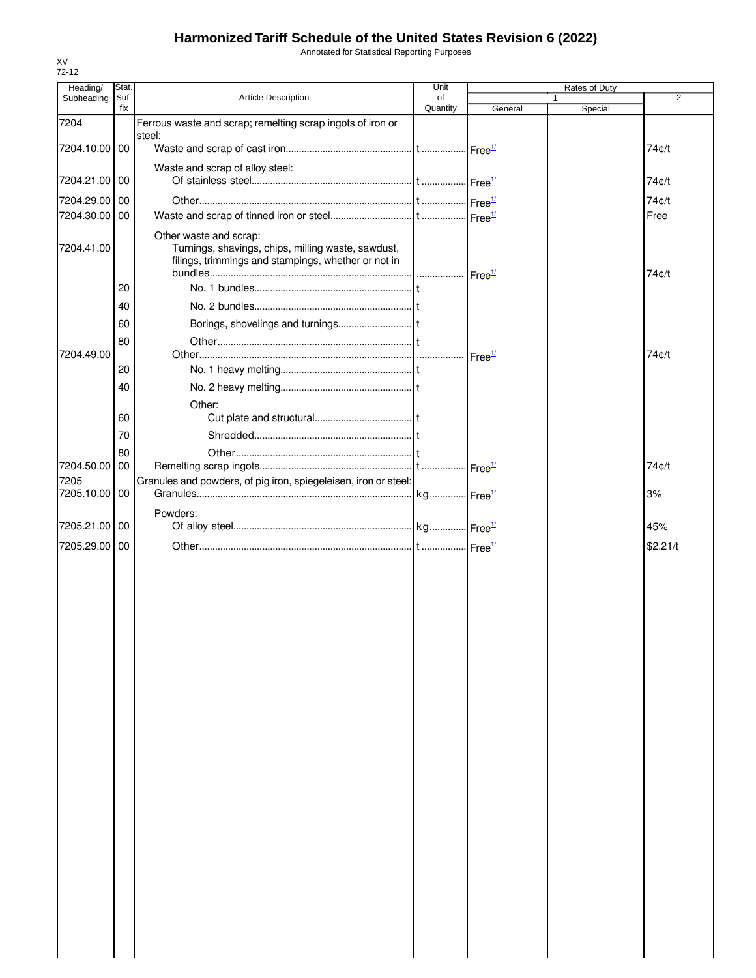Annotated for Statistical Reporting Purposes

| Heading/      | Stat.       |                                                                                                                                     | Unit           |                            | Rates of Duty |                |
|---------------|-------------|-------------------------------------------------------------------------------------------------------------------------------------|----------------|----------------------------|---------------|----------------|
| Subheading    | Suf-<br>fix | Article Description                                                                                                                 | of<br>Quantity | General                    | Special       | $\overline{2}$ |
| 7204          |             | Ferrous waste and scrap; remelting scrap ingots of iron or                                                                          |                |                            |               |                |
|               |             | steel:                                                                                                                              |                |                            |               |                |
| 7204.10.00 00 |             |                                                                                                                                     |                |                            |               | 74¢/t          |
|               |             | Waste and scrap of alloy steel:                                                                                                     |                |                            |               |                |
| 7204.21.00 00 |             |                                                                                                                                     |                |                            |               | 74¢/t          |
| 7204.29.00 00 |             |                                                                                                                                     |                | $\cdot$ Free $\frac{1}{2}$ |               | 74c/t          |
| 7204.30.00 00 |             |                                                                                                                                     |                |                            |               | Free           |
| 7204.41.00    |             | Other waste and scrap:<br>Turnings, shavings, chips, milling waste, sawdust,<br>filings, trimmings and stampings, whether or not in |                |                            |               | 74¢/t          |
|               | 20          |                                                                                                                                     |                |                            |               |                |
|               | 40          |                                                                                                                                     |                |                            |               |                |
|               | 60          |                                                                                                                                     |                |                            |               |                |
|               | 80          |                                                                                                                                     |                |                            |               |                |
| 7204.49.00    |             |                                                                                                                                     |                | Free <sup>1/</sup>         |               | 74c/t          |
|               | 20          |                                                                                                                                     |                |                            |               |                |
|               | 40          |                                                                                                                                     |                |                            |               |                |
|               |             | Other:                                                                                                                              |                |                            |               |                |
|               | 60          |                                                                                                                                     |                |                            |               |                |
|               | 70          |                                                                                                                                     |                |                            |               |                |
| 7204.50.00    | 80<br>00    |                                                                                                                                     |                |                            |               | 74¢/t          |
| 7205          |             | Granules and powders, of pig iron, spiegeleisen, iron or steel:                                                                     |                | $\cdot$ Free $\frac{1}{2}$ |               |                |
| 7205.10.00 00 |             |                                                                                                                                     |                |                            |               | 3%             |
|               |             | Powders:                                                                                                                            |                |                            |               |                |
| 7205.21.00    | 00          |                                                                                                                                     |                |                            |               | 45%            |
| 7205.29.00    | -00         |                                                                                                                                     |                |                            |               | \$2.21/t       |
|               |             |                                                                                                                                     |                |                            |               |                |
|               |             |                                                                                                                                     |                |                            |               |                |
|               |             |                                                                                                                                     |                |                            |               |                |
|               |             |                                                                                                                                     |                |                            |               |                |
|               |             |                                                                                                                                     |                |                            |               |                |
|               |             |                                                                                                                                     |                |                            |               |                |
|               |             |                                                                                                                                     |                |                            |               |                |
|               |             |                                                                                                                                     |                |                            |               |                |
|               |             |                                                                                                                                     |                |                            |               |                |
|               |             |                                                                                                                                     |                |                            |               |                |
|               |             |                                                                                                                                     |                |                            |               |                |
|               |             |                                                                                                                                     |                |                            |               |                |
|               |             |                                                                                                                                     |                |                            |               |                |
|               |             |                                                                                                                                     |                |                            |               |                |
|               |             |                                                                                                                                     |                |                            |               |                |
|               |             |                                                                                                                                     |                |                            |               |                |
|               |             |                                                                                                                                     |                |                            |               |                |
|               |             |                                                                                                                                     |                |                            |               |                |
|               |             |                                                                                                                                     |                |                            |               |                |
|               |             |                                                                                                                                     |                |                            |               |                |
|               |             |                                                                                                                                     |                |                            |               |                |
|               |             |                                                                                                                                     |                |                            |               |                |
|               |             |                                                                                                                                     |                |                            |               |                |
|               |             |                                                                                                                                     |                |                            |               |                |
|               |             |                                                                                                                                     |                |                            |               |                |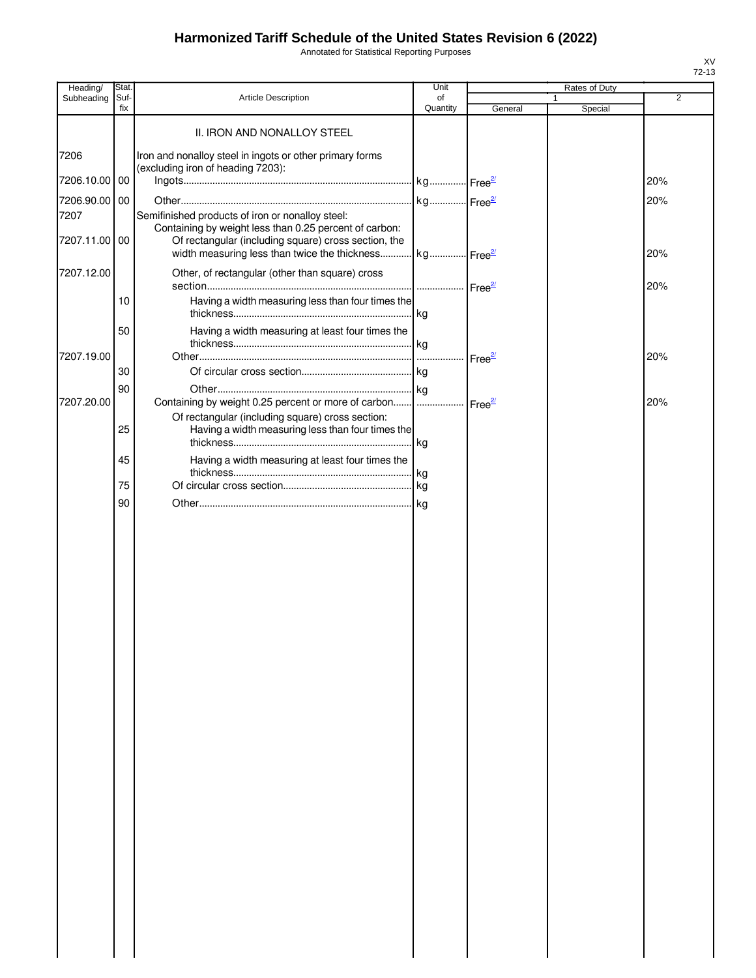Annotated for Statistical Reporting Purposes

| Heading/      | Stat.       |                                                                                                            | Unit           |                    | Rates of Duty |     |
|---------------|-------------|------------------------------------------------------------------------------------------------------------|----------------|--------------------|---------------|-----|
| Subheading    | Suf-<br>fix | Article Description                                                                                        | οf<br>Quantity | General            | 1<br>Special  | 2   |
|               |             | II. IRON AND NONALLOY STEEL                                                                                |                |                    |               |     |
| 7206          |             | Iron and nonalloy steel in ingots or other primary forms                                                   |                |                    |               |     |
| 7206.10.00 00 |             | (excluding iron of heading 7203):                                                                          |                |                    |               | 20% |
|               |             |                                                                                                            |                |                    |               |     |
| 7206.90.00    | 00          |                                                                                                            |                |                    |               | 20% |
| 7207          |             | Semifinished products of iron or nonalloy steel:<br>Containing by weight less than 0.25 percent of carbon: |                |                    |               |     |
| 7207.11.00 00 |             | Of rectangular (including square) cross section, the                                                       |                |                    |               |     |
|               |             | width measuring less than twice the thickness kg Free <sup>21</sup>                                        |                |                    |               | 20% |
| 7207.12.00    |             | Other, of rectangular (other than square) cross                                                            |                |                    |               | 20% |
|               | 10          | Having a width measuring less than four times the                                                          |                |                    |               |     |
|               | 50          | Having a width measuring at least four times the                                                           |                |                    |               |     |
|               |             |                                                                                                            |                |                    |               |     |
| 7207.19.00    |             |                                                                                                            |                | Free <sup>27</sup> |               | 20% |
|               | 30          |                                                                                                            |                |                    |               |     |
|               | 90          |                                                                                                            |                |                    |               |     |
| 7207.20.00    |             | Containing by weight 0.25 percent or more of carbon    Free <sup>27</sup>                                  |                |                    |               | 20% |
|               | 25          | Of rectangular (including square) cross section:<br>Having a width measuring less than four times the      |                |                    |               |     |
|               | 45          | Having a width measuring at least four times the                                                           |                |                    |               |     |
|               | 75          |                                                                                                            |                |                    |               |     |
|               | 90          |                                                                                                            |                |                    |               |     |
|               |             |                                                                                                            |                |                    |               |     |
|               |             |                                                                                                            |                |                    |               |     |
|               |             |                                                                                                            |                |                    |               |     |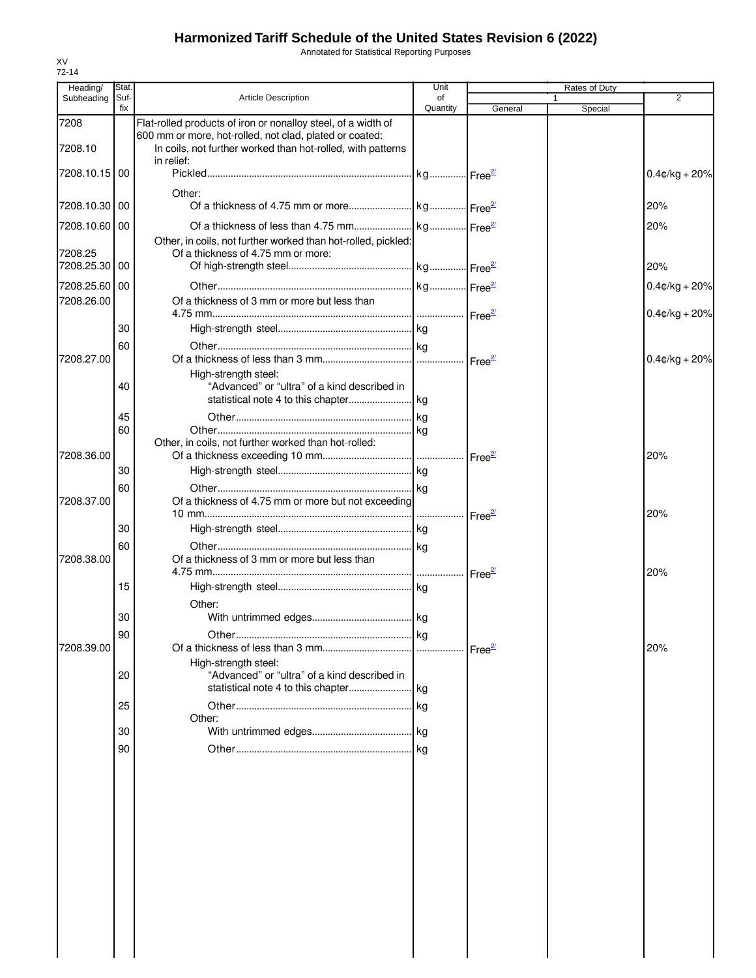Annotated for Statistical Reporting Purposes

| Heading/                    | Stat.       |                                                                                                                                      | Unit           |         |              | Rates of Duty |                                      |
|-----------------------------|-------------|--------------------------------------------------------------------------------------------------------------------------------------|----------------|---------|--------------|---------------|--------------------------------------|
| Subheading                  | Suf-<br>fix | <b>Article Description</b>                                                                                                           | of<br>Quantity | General | $\mathbf{1}$ | Special       | 2                                    |
| 7208                        |             | Flat-rolled products of iron or nonalloy steel, of a width of                                                                        |                |         |              |               |                                      |
| 7208.10                     |             | 600 mm or more, hot-rolled, not clad, plated or coated:<br>In coils, not further worked than hot-rolled, with patterns<br>in relief: |                |         |              |               |                                      |
| 7208.10.15   00             |             |                                                                                                                                      |                |         |              |               | $0.4$ ¢/kg + 20%                     |
| 7208.10.30 00               |             | Other:                                                                                                                               |                |         |              |               | 20%                                  |
| 7208.10.60 00               |             |                                                                                                                                      |                |         |              |               | 20%                                  |
| 7208.25                     |             | Other, in coils, not further worked than hot-rolled, pickled:<br>Of a thickness of 4.75 mm or more:                                  |                |         |              |               |                                      |
| 7208.25.30 00               |             |                                                                                                                                      |                |         |              |               | 20%                                  |
| 7208.25.60 00<br>7208.26.00 |             | Of a thickness of 3 mm or more but less than                                                                                         |                |         |              |               | $0.4$ ¢/kg + 20%<br>$0.4$ ¢/kg + 20% |
|                             | 30          |                                                                                                                                      |                |         |              |               |                                      |
|                             | 60          |                                                                                                                                      |                |         |              |               |                                      |
| 7208.27.00                  |             | High-strength steel:                                                                                                                 |                |         |              |               | $0.4$ ¢/kg + 20%                     |
|                             | 40          | "Advanced" or "ultra" of a kind described in                                                                                         |                |         |              |               |                                      |
|                             | 45          |                                                                                                                                      |                |         |              |               |                                      |
|                             | 60          | Other, in coils, not further worked than hot-rolled:                                                                                 |                |         |              |               |                                      |
| 7208.36.00                  |             |                                                                                                                                      |                |         |              |               | 20%                                  |
|                             | 30          |                                                                                                                                      |                |         |              |               |                                      |
| 7208.37.00                  | 60          | Of a thickness of 4.75 mm or more but not exceeding                                                                                  |                |         |              |               |                                      |
|                             | 30          |                                                                                                                                      |                |         |              |               | 20%                                  |
|                             | 60          |                                                                                                                                      |                |         |              |               |                                      |
| 7208.38.00                  |             | Of a thickness of 3 mm or more but less than                                                                                         |                |         |              |               | 20%                                  |
|                             | 15          | Other:                                                                                                                               |                |         |              |               |                                      |
|                             | 30          |                                                                                                                                      |                |         |              |               |                                      |
|                             | 90          |                                                                                                                                      |                |         |              |               |                                      |
| 7208.39.00                  |             |                                                                                                                                      |                |         |              |               | 20%                                  |
|                             | 20          | High-strength steel:<br>"Advanced" or "ultra" of a kind described in                                                                 |                |         |              |               |                                      |
|                             | 25          |                                                                                                                                      |                |         |              |               |                                      |
|                             |             | Other:                                                                                                                               |                |         |              |               |                                      |
|                             | 30<br>90    |                                                                                                                                      |                |         |              |               |                                      |
|                             |             |                                                                                                                                      |                |         |              |               |                                      |
|                             |             |                                                                                                                                      |                |         |              |               |                                      |
|                             |             |                                                                                                                                      |                |         |              |               |                                      |
|                             |             |                                                                                                                                      |                |         |              |               |                                      |
|                             |             |                                                                                                                                      |                |         |              |               |                                      |
|                             |             |                                                                                                                                      |                |         |              |               |                                      |
|                             |             |                                                                                                                                      |                |         |              |               |                                      |
|                             |             |                                                                                                                                      |                |         |              |               |                                      |
|                             |             |                                                                                                                                      |                |         |              |               |                                      |
|                             |             |                                                                                                                                      |                |         |              |               |                                      |
|                             |             |                                                                                                                                      |                |         |              |               |                                      |
|                             |             |                                                                                                                                      |                |         |              |               |                                      |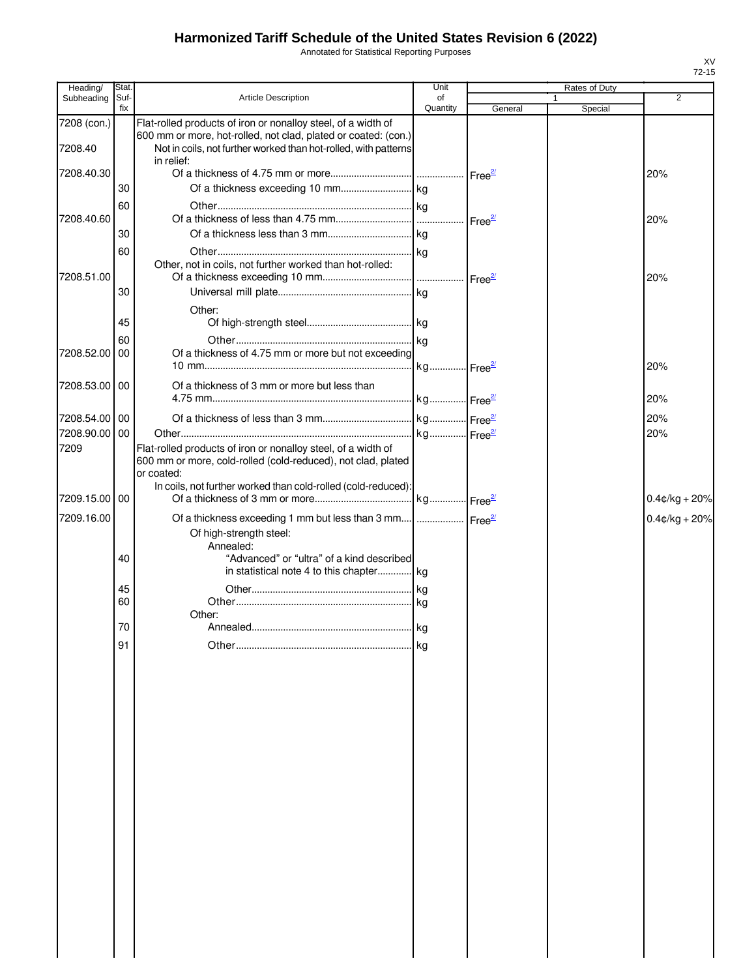Annotated for Statistical Reporting Purposes

| Heading/      | Stat.       |                                                                                                                                                 | Unit               |         | Rates of Duty           |                  |
|---------------|-------------|-------------------------------------------------------------------------------------------------------------------------------------------------|--------------------|---------|-------------------------|------------------|
| Subheading    | Suf-<br>fix | <b>Article Description</b>                                                                                                                      | of<br>Quantity     | General | $\mathbf{1}$<br>Special | 2                |
| 7208 (con.)   |             | Flat-rolled products of iron or nonalloy steel, of a width of                                                                                   |                    |         |                         |                  |
| 7208.40       |             | 600 mm or more, hot-rolled, not clad, plated or coated: (con.)<br>Not in coils, not further worked than hot-rolled, with patterns<br>in relief: |                    |         |                         |                  |
| 7208.40.30    |             |                                                                                                                                                 |                    |         |                         | 20%              |
|               | 30          |                                                                                                                                                 |                    |         |                         |                  |
|               | 60          |                                                                                                                                                 |                    |         |                         |                  |
| 7208.40.60    |             |                                                                                                                                                 | Free <sup>2/</sup> |         |                         | 20%              |
|               | 30          |                                                                                                                                                 |                    |         |                         |                  |
|               | 60          |                                                                                                                                                 |                    |         |                         |                  |
| 7208.51.00    |             | Other, not in coils, not further worked than hot-rolled:                                                                                        |                    |         |                         | 20%              |
|               | 30          |                                                                                                                                                 |                    |         |                         |                  |
|               |             | Other:                                                                                                                                          |                    |         |                         |                  |
|               | 45          |                                                                                                                                                 |                    |         |                         |                  |
|               | 60          |                                                                                                                                                 |                    |         |                         |                  |
| 7208.52.00    | 00          | Of a thickness of 4.75 mm or more but not exceeding                                                                                             |                    |         |                         | 20%              |
| 7208.53.00 00 |             | Of a thickness of 3 mm or more but less than                                                                                                    |                    |         |                         |                  |
|               |             |                                                                                                                                                 |                    |         |                         | 20%              |
| 7208.54.00 00 |             |                                                                                                                                                 |                    |         |                         | 20%              |
| 7208.90.00 00 |             |                                                                                                                                                 |                    |         |                         | 20%              |
| 7209          |             | Flat-rolled products of iron or nonalloy steel, of a width of<br>600 mm or more, cold-rolled (cold-reduced), not clad, plated<br>or coated:     |                    |         |                         |                  |
| 7209.15.00    | 00          | In coils, not further worked than cold-rolled (cold-reduced):                                                                                   |                    |         |                         | $0.4¢/kg + 20%$  |
| 7209.16.00    |             | Of a thickness exceeding 1 mm but less than 3 mm  Free <sup>27</sup>                                                                            |                    |         |                         | $0.4$ ¢/kg + 20% |
|               |             | Of high-strength steel:<br>Annealed:                                                                                                            |                    |         |                         |                  |
|               | 40          | "Advanced" or "ultra" of a kind described<br>in statistical note 4 to this chapter kg                                                           |                    |         |                         |                  |
|               | 45          |                                                                                                                                                 |                    |         |                         |                  |
|               | 60          |                                                                                                                                                 |                    |         |                         |                  |
|               |             | Other:                                                                                                                                          |                    |         |                         |                  |
|               | 70          |                                                                                                                                                 |                    |         |                         |                  |
|               | 91          |                                                                                                                                                 | ka                 |         |                         |                  |
|               |             |                                                                                                                                                 |                    |         |                         |                  |
|               |             |                                                                                                                                                 |                    |         |                         |                  |
|               |             |                                                                                                                                                 |                    |         |                         |                  |
|               |             |                                                                                                                                                 |                    |         |                         |                  |
|               |             |                                                                                                                                                 |                    |         |                         |                  |
|               |             |                                                                                                                                                 |                    |         |                         |                  |
|               |             |                                                                                                                                                 |                    |         |                         |                  |
|               |             |                                                                                                                                                 |                    |         |                         |                  |
|               |             |                                                                                                                                                 |                    |         |                         |                  |
|               |             |                                                                                                                                                 |                    |         |                         |                  |
|               |             |                                                                                                                                                 |                    |         |                         |                  |
|               |             |                                                                                                                                                 |                    |         |                         |                  |
|               |             |                                                                                                                                                 |                    |         |                         |                  |
|               |             |                                                                                                                                                 |                    |         |                         |                  |
|               |             |                                                                                                                                                 |                    |         |                         |                  |
|               |             |                                                                                                                                                 |                    |         |                         |                  |
|               |             |                                                                                                                                                 |                    |         |                         |                  |
|               |             |                                                                                                                                                 |                    |         |                         |                  |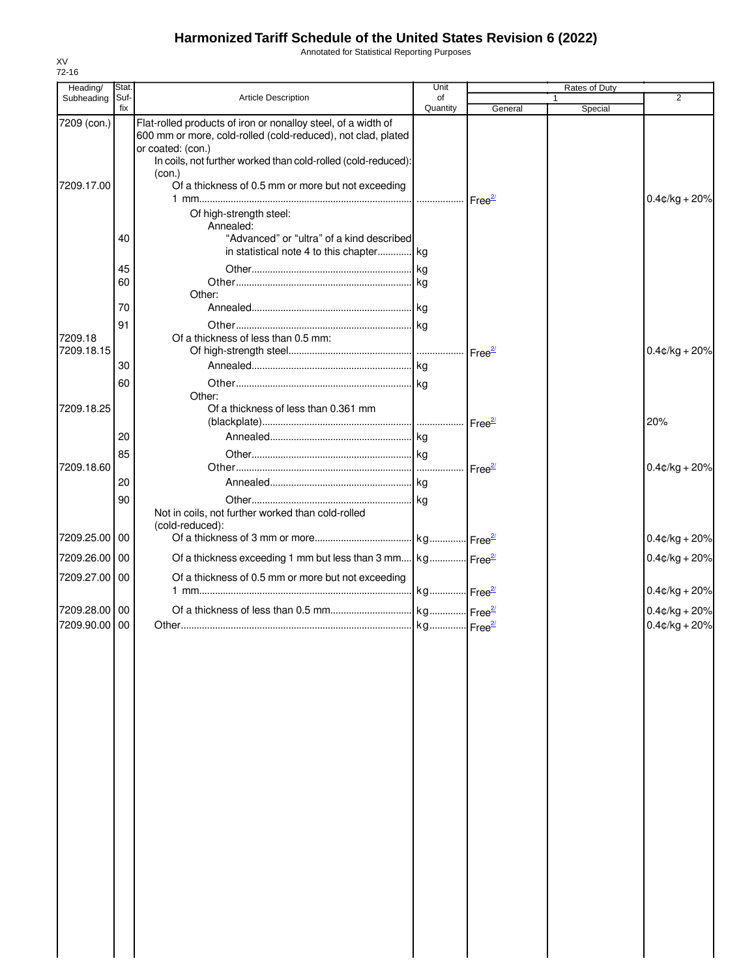Annotated for Statistical Reporting Purposes

| Heading/              | Stat.       |                                                                                                                                                                                                                     | Unit           |                    | Rates of Duty          |                  |
|-----------------------|-------------|---------------------------------------------------------------------------------------------------------------------------------------------------------------------------------------------------------------------|----------------|--------------------|------------------------|------------------|
| Subheading            | Suf-<br>fix | <b>Article Description</b>                                                                                                                                                                                          | of<br>Quantity | General            | $\mathbf 1$<br>Special | $\overline{2}$   |
| 7209 (con.)           |             | Flat-rolled products of iron or nonalloy steel, of a width of<br>600 mm or more, cold-rolled (cold-reduced), not clad, plated<br>or coated: (con.)<br>In coils, not further worked than cold-rolled (cold-reduced): |                |                    |                        |                  |
| 7209.17.00            |             | (con.)<br>Of a thickness of 0.5 mm or more but not exceeding                                                                                                                                                        |                |                    |                        | $0.4$ ¢/kg + 20% |
|                       |             | Of high-strength steel:<br>Annealed:                                                                                                                                                                                |                |                    |                        |                  |
|                       | 40          | "Advanced" or "ultra" of a kind described<br>in statistical note 4 to this chapter kg                                                                                                                               |                |                    |                        |                  |
|                       | 45<br>60    | Other:                                                                                                                                                                                                              |                |                    |                        |                  |
|                       | 70          |                                                                                                                                                                                                                     |                |                    |                        |                  |
|                       | 91          |                                                                                                                                                                                                                     |                |                    |                        |                  |
| 7209.18<br>7209.18.15 |             | Of a thickness of less than 0.5 mm:                                                                                                                                                                                 |                |                    |                        | $0.4$ ¢/kg + 20% |
|                       | 30          |                                                                                                                                                                                                                     |                |                    |                        |                  |
| 7209.18.25            | 60          | Other:<br>Of a thickness of less than 0.361 mm                                                                                                                                                                      |                |                    |                        |                  |
|                       |             |                                                                                                                                                                                                                     |                |                    |                        | 20%              |
|                       | 20          |                                                                                                                                                                                                                     |                |                    |                        |                  |
| 7209.18.60            | 85          |                                                                                                                                                                                                                     |                |                    |                        | $0.4$ ¢/kg + 20% |
|                       | 20          |                                                                                                                                                                                                                     |                | Free <sup>2/</sup> |                        |                  |
|                       | 90          |                                                                                                                                                                                                                     |                |                    |                        |                  |
|                       |             | Not in coils, not further worked than cold-rolled<br>(cold-reduced):                                                                                                                                                |                |                    |                        |                  |
| 7209.25.00 00         |             |                                                                                                                                                                                                                     |                |                    |                        | $0.4$ ¢/kg + 20% |
| 7209.26.00 00         |             | Of a thickness exceeding 1 mm but less than 3 mm kg Free <sup>21</sup>                                                                                                                                              |                |                    |                        | $0.4$ ¢/kg + 20% |
| 7209.27.00 00         |             | Of a thickness of 0.5 mm or more but not exceeding                                                                                                                                                                  |                |                    |                        | $0.4$ ¢/kg + 20% |
| 7209.28.00 00         |             |                                                                                                                                                                                                                     |                |                    |                        | $0.4$ ¢/kg + 20% |
| 7209.90.00 00         |             |                                                                                                                                                                                                                     |                |                    |                        | $0.4$ ¢/kg + 20% |
|                       |             |                                                                                                                                                                                                                     |                |                    |                        |                  |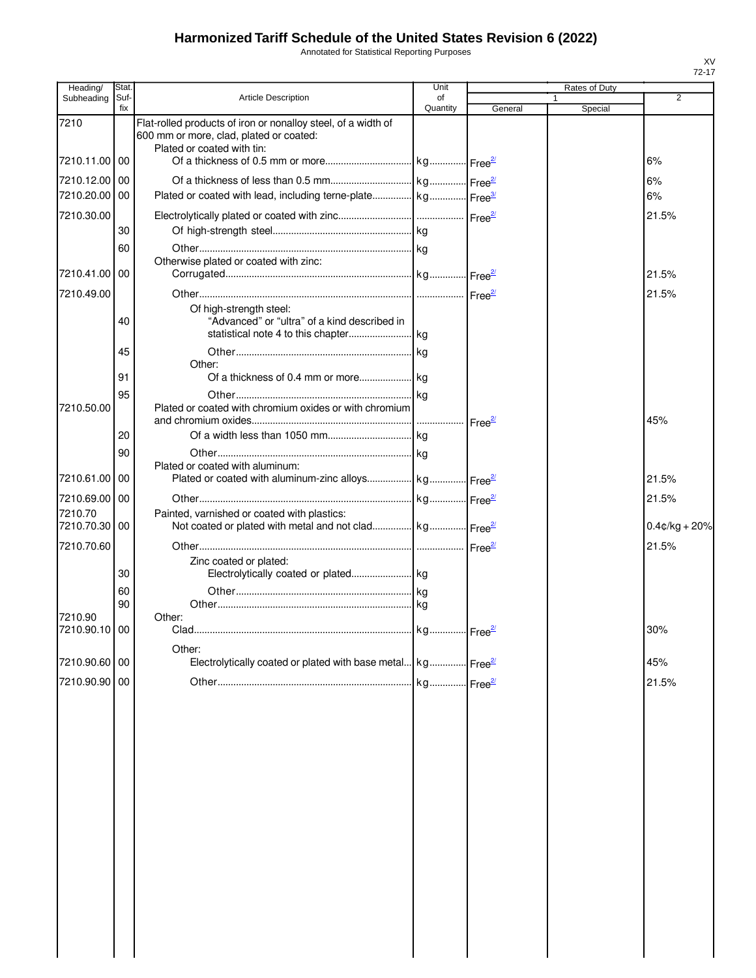Annotated for Statistical Reporting Purposes

| Heading/                 | <b>Stat</b> |                                                                                                                                        | Unit           |         | Rates of Duty |                  |
|--------------------------|-------------|----------------------------------------------------------------------------------------------------------------------------------------|----------------|---------|---------------|------------------|
| Subheading               | Suf-<br>fix | <b>Article Description</b>                                                                                                             | of<br>Quantity | General | 1<br>Special  | $\overline{2}$   |
| 7210                     |             | Flat-rolled products of iron or nonalloy steel, of a width of<br>600 mm or more, clad, plated or coated:<br>Plated or coated with tin: |                |         |               |                  |
| 7210.11.00 00            |             |                                                                                                                                        |                |         |               | 6%               |
| 7210.12.00 00            |             |                                                                                                                                        |                |         |               | 6%               |
| 7210.20.00 00            |             | Plated or coated with lead, including terne-plate kg Free <sup>3/</sup>                                                                |                |         |               | 6%               |
| 7210.30.00               |             |                                                                                                                                        |                |         |               | 21.5%            |
|                          | 30          |                                                                                                                                        |                |         |               |                  |
| 7210.41.00 00            | 60          | Otherwise plated or coated with zinc:                                                                                                  |                |         |               |                  |
|                          |             |                                                                                                                                        |                |         |               | 21.5%            |
| 7210.49.00               | 40          | Of high-strength steel:<br>"Advanced" or "ultra" of a kind described in                                                                |                |         |               | 21.5%            |
|                          | 45          |                                                                                                                                        |                |         |               |                  |
|                          |             | Other:                                                                                                                                 |                |         |               |                  |
|                          | 91          |                                                                                                                                        |                |         |               |                  |
| 7210.50.00               | 95          | Plated or coated with chromium oxides or with chromium                                                                                 |                |         |               | 45%              |
|                          | 20          |                                                                                                                                        |                |         |               |                  |
|                          | 90          |                                                                                                                                        |                |         |               |                  |
| 7210.61.00               | 00          | Plated or coated with aluminum:<br>Plated or coated with aluminum-zinc alloys kg Free <sup>21</sup>                                    |                |         |               | 21.5%            |
| 7210.69.00 00            |             |                                                                                                                                        |                |         |               | 21.5%            |
| 7210.70                  |             | Painted, varnished or coated with plastics:                                                                                            |                |         |               |                  |
| 7210.70.30 00            |             | Not coated or plated with metal and not clad kg Free <sup>21</sup>                                                                     |                |         |               | $0.4$ ¢/kg + 20% |
| 7210.70.60               |             |                                                                                                                                        |                |         |               | 21.5%            |
|                          | 30          | Zinc coated or plated:                                                                                                                 |                |         |               |                  |
|                          | 60          |                                                                                                                                        |                |         |               |                  |
|                          | 90          |                                                                                                                                        |                |         |               |                  |
| 7210.90<br>7210.90.10 00 |             | Other:<br>Clad.                                                                                                                        |                |         |               | 30%              |
|                          |             |                                                                                                                                        |                |         |               |                  |
| 7210.90.60 00            |             | Other:<br>Electrolytically coated or plated with base metal kg Free <sup>21</sup>                                                      |                |         |               | 45%              |
| 7210.90.90 00            |             |                                                                                                                                        |                |         |               | 21.5%            |
|                          |             |                                                                                                                                        |                |         |               |                  |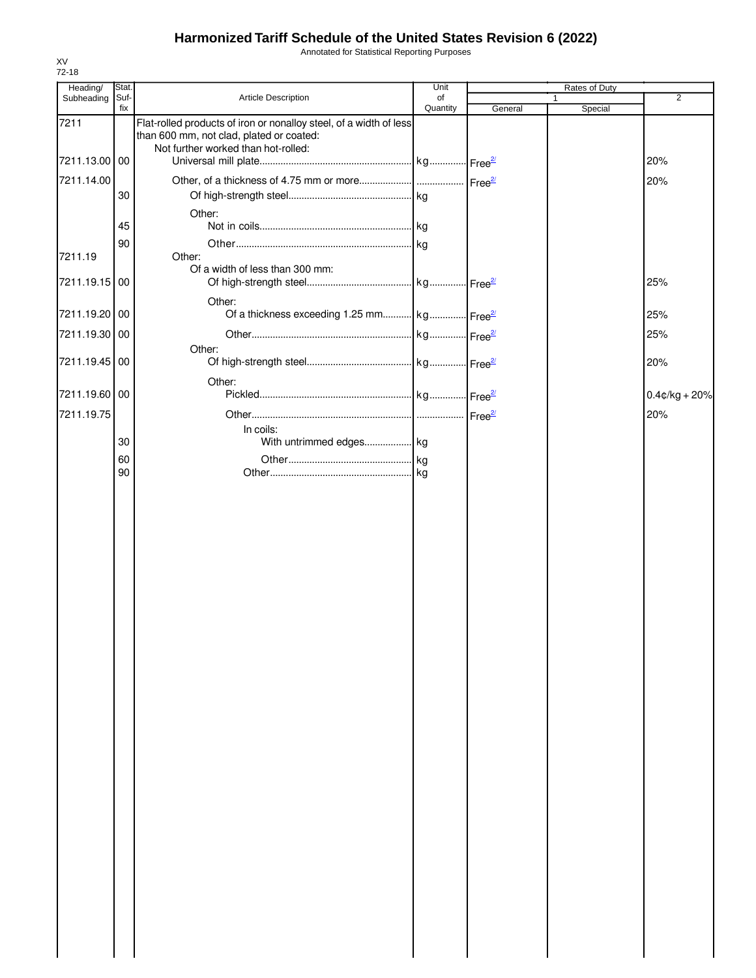Annotated for Statistical Reporting Purposes

| Heading/      | Stat.       |                                                                                                                | Unit           |         | Rates of Duty |                  |
|---------------|-------------|----------------------------------------------------------------------------------------------------------------|----------------|---------|---------------|------------------|
| Subheading    | Suf-<br>fix | Article Description                                                                                            | of<br>Quantity | General | Special       | $\overline{2}$   |
| 7211          |             | Flat-rolled products of iron or nonalloy steel, of a width of less<br>than 600 mm, not clad, plated or coated: |                |         |               |                  |
| 7211.13.00 00 |             | Not further worked than hot-rolled:                                                                            |                |         |               | 20%              |
| 7211.14.00    |             |                                                                                                                |                |         |               | 20%              |
|               | 30          |                                                                                                                |                |         |               |                  |
|               |             | Other:                                                                                                         |                |         |               |                  |
|               | 45          |                                                                                                                |                |         |               |                  |
|               | 90          |                                                                                                                |                |         |               |                  |
| 7211.19       |             | Other:<br>Of a width of less than 300 mm:                                                                      |                |         |               |                  |
| 7211.19.15 00 |             |                                                                                                                |                |         |               | 25%              |
| 7211.19.20 00 |             | Other:<br>Of a thickness exceeding 1.25 mm kg Free <sup>21</sup>                                               |                |         |               | 25%              |
|               |             |                                                                                                                |                |         |               |                  |
| 7211.19.30 00 |             | Other:                                                                                                         |                |         |               | 25%              |
| 7211.19.45 00 |             |                                                                                                                |                |         |               | 20%              |
|               |             | Other:                                                                                                         |                |         |               |                  |
| 7211.19.60 00 |             |                                                                                                                |                |         |               | $0.4$ ¢/kg + 20% |
| 7211.19.75    |             |                                                                                                                |                |         |               | 20%              |
|               |             | In coils:                                                                                                      |                |         |               |                  |
|               | 30          | With untrimmed edges kg                                                                                        |                |         |               |                  |
|               | 60<br>90    |                                                                                                                |                |         |               |                  |
|               |             |                                                                                                                |                |         |               |                  |
|               |             |                                                                                                                |                |         |               |                  |
|               |             |                                                                                                                |                |         |               |                  |
|               |             |                                                                                                                |                |         |               |                  |
|               |             |                                                                                                                |                |         |               |                  |
|               |             |                                                                                                                |                |         |               |                  |
|               |             |                                                                                                                |                |         |               |                  |
|               |             |                                                                                                                |                |         |               |                  |
|               |             |                                                                                                                |                |         |               |                  |
|               |             |                                                                                                                |                |         |               |                  |
|               |             |                                                                                                                |                |         |               |                  |
|               |             |                                                                                                                |                |         |               |                  |
|               |             |                                                                                                                |                |         |               |                  |
|               |             |                                                                                                                |                |         |               |                  |
|               |             |                                                                                                                |                |         |               |                  |
|               |             |                                                                                                                |                |         |               |                  |
|               |             |                                                                                                                |                |         |               |                  |
|               |             |                                                                                                                |                |         |               |                  |
|               |             |                                                                                                                |                |         |               |                  |
|               |             |                                                                                                                |                |         |               |                  |
|               |             |                                                                                                                |                |         |               |                  |
|               |             |                                                                                                                |                |         |               |                  |
|               |             |                                                                                                                |                |         |               |                  |
|               |             |                                                                                                                |                |         |               |                  |
|               |             |                                                                                                                |                |         |               |                  |
|               |             |                                                                                                                |                |         |               |                  |
|               |             |                                                                                                                |                |         |               |                  |
|               |             |                                                                                                                |                |         |               |                  |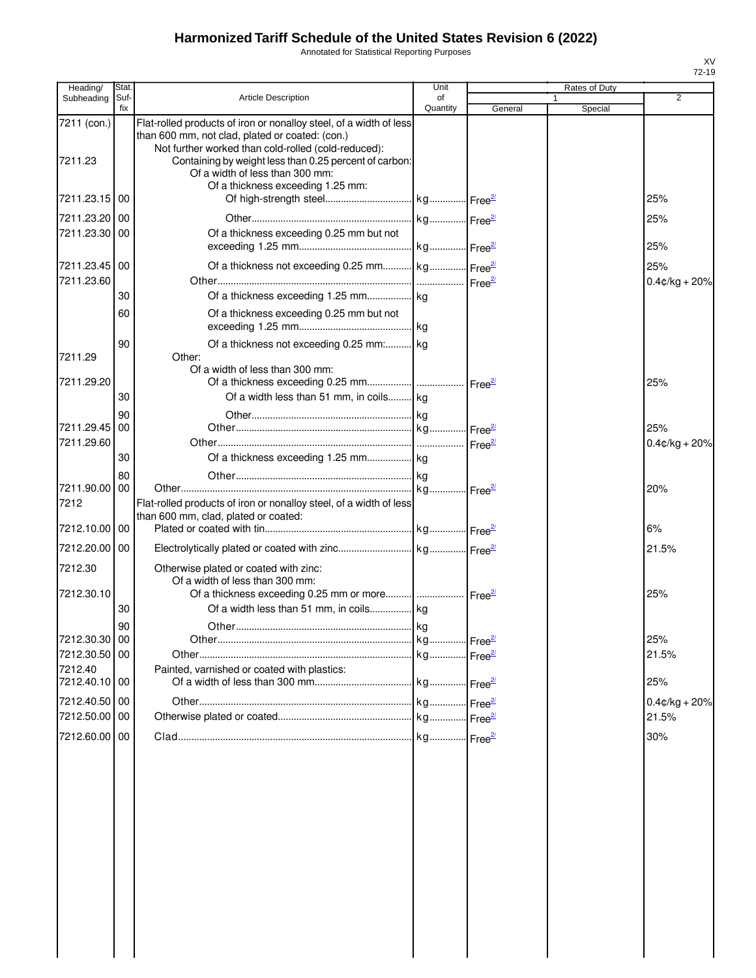Annotated for Statistical Reporting Purposes

| Heading/                    | <b>Stat</b> |                                                                                                                                                                              | Unit           |         | Rates of Duty |                         |
|-----------------------------|-------------|------------------------------------------------------------------------------------------------------------------------------------------------------------------------------|----------------|---------|---------------|-------------------------|
| Subheading                  | Suf-<br>fix | <b>Article Description</b>                                                                                                                                                   | of<br>Quantity | General | Special       | 2                       |
| 7211 (con.)                 |             | Flat-rolled products of iron or nonalloy steel, of a width of less<br>than 600 mm, not clad, plated or coated: (con.)<br>Not further worked than cold-rolled (cold-reduced): |                |         |               |                         |
| 7211.23                     |             | Containing by weight less than 0.25 percent of carbon:<br>Of a width of less than 300 mm:<br>Of a thickness exceeding 1.25 mm:                                               |                |         |               |                         |
| 7211.23.15   00             |             |                                                                                                                                                                              |                |         |               | 25%                     |
| 7211.23.20 00               |             |                                                                                                                                                                              |                |         |               | 25%                     |
| 7211.23.30 00               |             | Of a thickness exceeding 0.25 mm but not                                                                                                                                     |                |         |               | 25%                     |
| 7211.23.45 00<br>7211.23.60 |             | Of a thickness not exceeding 0.25 mm kg Free <sup>27</sup>                                                                                                                   |                |         |               | 25%<br>$0.4$ ¢/kg + 20% |
|                             | 30          |                                                                                                                                                                              |                |         |               |                         |
|                             | 60          | Of a thickness exceeding 0.25 mm but not                                                                                                                                     |                |         |               |                         |
| 7211.29                     | 90          | Of a thickness not exceeding 0.25 mm: kg<br>Other:                                                                                                                           |                |         |               |                         |
| 7211.29.20                  |             | Of a width of less than 300 mm:                                                                                                                                              |                |         |               | 25%                     |
|                             | 30          | Of a width less than 51 mm, in coils kg                                                                                                                                      |                |         |               |                         |
|                             | 90          |                                                                                                                                                                              |                |         |               | 25%                     |
| 7211.29.45 00<br>7211.29.60 |             |                                                                                                                                                                              |                |         |               | $0.4$ ¢/kg + 20%        |
|                             | 30          |                                                                                                                                                                              |                |         |               |                         |
|                             | 80          |                                                                                                                                                                              |                |         |               |                         |
| 7211.90.00 00<br>7212       |             | Flat-rolled products of iron or nonalloy steel, of a width of less                                                                                                           |                |         |               | 20%                     |
| 7212.10.00 00               |             | than 600 mm, clad, plated or coated:                                                                                                                                         |                |         |               | 6%                      |
| 7212.20.00 00               |             |                                                                                                                                                                              |                |         |               | 21.5%                   |
| 7212.30                     |             | Otherwise plated or coated with zinc:<br>Of a width of less than 300 mm:                                                                                                     |                |         |               |                         |
| 7212.30.10                  |             |                                                                                                                                                                              |                |         |               | 25%                     |
|                             | 30<br>90    | Of a width less than 51 mm, in coils kg                                                                                                                                      |                |         |               |                         |
| 7212.30.30 00               |             |                                                                                                                                                                              |                |         |               | 25%                     |
| 7212.30.50 00               |             |                                                                                                                                                                              |                |         |               | 21.5%                   |
| 7212.40<br>7212.40.10 00    |             | Painted, varnished or coated with plastics:                                                                                                                                  |                |         |               | 25%                     |
| 7212.40.50 00               |             |                                                                                                                                                                              |                |         |               | $0.4$ ¢/kg + 20%        |
| 7212.50.00 00               |             |                                                                                                                                                                              |                |         |               | 21.5%                   |
| 7212.60.00 00               |             |                                                                                                                                                                              |                |         |               | 30%                     |
|                             |             |                                                                                                                                                                              |                |         |               |                         |
|                             |             |                                                                                                                                                                              |                |         |               |                         |
|                             |             |                                                                                                                                                                              |                |         |               |                         |
|                             |             |                                                                                                                                                                              |                |         |               |                         |
|                             |             |                                                                                                                                                                              |                |         |               |                         |
|                             |             |                                                                                                                                                                              |                |         |               |                         |
|                             |             |                                                                                                                                                                              |                |         |               |                         |
|                             |             |                                                                                                                                                                              |                |         |               |                         |
|                             |             |                                                                                                                                                                              |                |         |               |                         |
|                             |             |                                                                                                                                                                              |                |         |               |                         |
|                             |             |                                                                                                                                                                              |                |         |               |                         |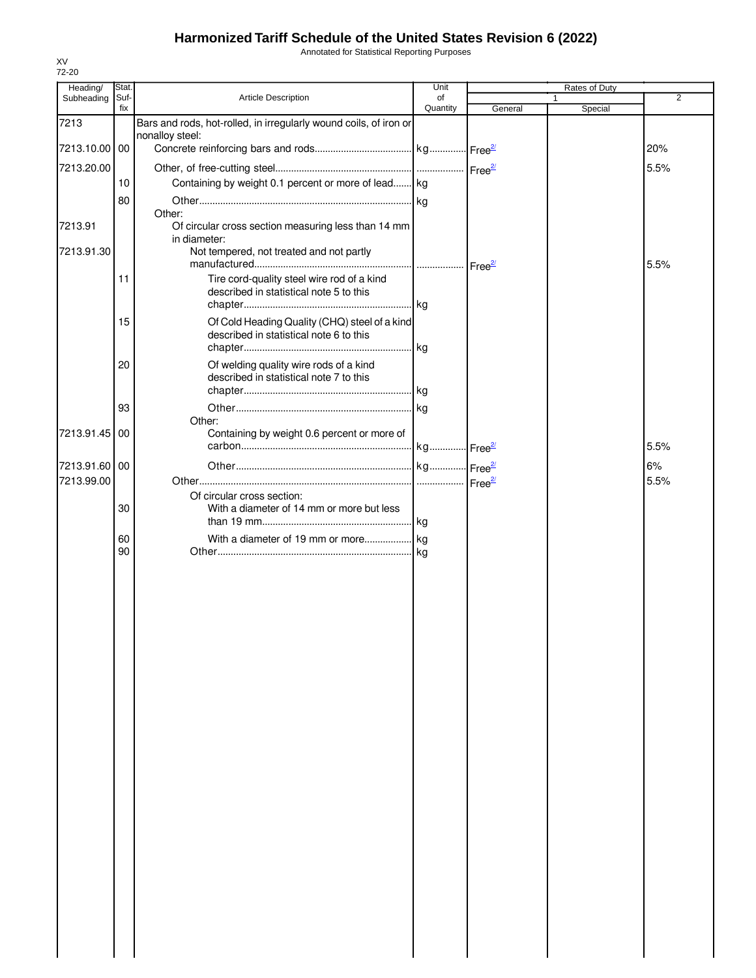Annotated for Statistical Reporting Purposes

| Heading/   | Stat.       |                                                                                       | Unit           |         | <b>Rates of Duty</b> |                |
|------------|-------------|---------------------------------------------------------------------------------------|----------------|---------|----------------------|----------------|
| Subheading | Suf-<br>fix | Article Description                                                                   | of<br>Quantity | General | 1<br>Special         | $\overline{2}$ |
| 7213       |             | Bars and rods, hot-rolled, in irregularly wound coils, of iron or                     |                |         |                      |                |
| 7213.10.00 | 00          | nonalloy steel:                                                                       |                |         |                      | 20%            |
| 7213.20.00 |             |                                                                                       |                |         |                      |                |
|            | 10          | Containing by weight 0.1 percent or more of lead kg                                   |                |         |                      | 5.5%           |
|            | 80          |                                                                                       |                |         |                      |                |
|            |             | Other:                                                                                |                |         |                      |                |
| 7213.91    |             | Of circular cross section measuring less than 14 mm                                   |                |         |                      |                |
| 7213.91.30 |             | in diameter:<br>Not tempered, not treated and not partly                              |                |         |                      |                |
|            |             |                                                                                       |                |         |                      | 5.5%           |
|            | 11          | Tire cord-quality steel wire rod of a kind<br>described in statistical note 5 to this |                |         |                      |                |
|            | 15          | Of Cold Heading Quality (CHQ) steel of a kind                                         |                |         |                      |                |
|            |             | described in statistical note 6 to this                                               |                |         |                      |                |
|            | 20          | Of welding quality wire rods of a kind                                                |                |         |                      |                |
|            |             | described in statistical note 7 to this                                               |                |         |                      |                |
|            |             |                                                                                       |                |         |                      |                |
|            | 93          | Other:                                                                                |                |         |                      |                |
| 7213.91.45 | 00          | Containing by weight 0.6 percent or more of                                           |                |         |                      | 5.5%           |
| 7213.91.60 | 00          |                                                                                       |                |         |                      | 6%             |
| 7213.99.00 |             |                                                                                       |                |         |                      | 5.5%           |
|            |             | Of circular cross section:                                                            |                |         |                      |                |
|            | 30          | With a diameter of 14 mm or more but less                                             |                |         |                      |                |
|            | 60          |                                                                                       |                |         |                      |                |
|            | 90          |                                                                                       |                |         |                      |                |
|            |             |                                                                                       |                |         |                      |                |
|            |             |                                                                                       |                |         |                      |                |
|            |             |                                                                                       |                |         |                      |                |
|            |             |                                                                                       |                |         |                      |                |
|            |             |                                                                                       |                |         |                      |                |
|            |             |                                                                                       |                |         |                      |                |
|            |             |                                                                                       |                |         |                      |                |
|            |             |                                                                                       |                |         |                      |                |
|            |             |                                                                                       |                |         |                      |                |
|            |             |                                                                                       |                |         |                      |                |
|            |             |                                                                                       |                |         |                      |                |
|            |             |                                                                                       |                |         |                      |                |
|            |             |                                                                                       |                |         |                      |                |
|            |             |                                                                                       |                |         |                      |                |
|            |             |                                                                                       |                |         |                      |                |
|            |             |                                                                                       |                |         |                      |                |
|            |             |                                                                                       |                |         |                      |                |
|            |             |                                                                                       |                |         |                      |                |
|            |             |                                                                                       |                |         |                      |                |
|            |             |                                                                                       |                |         |                      |                |
|            |             |                                                                                       |                |         |                      |                |
|            |             |                                                                                       |                |         |                      |                |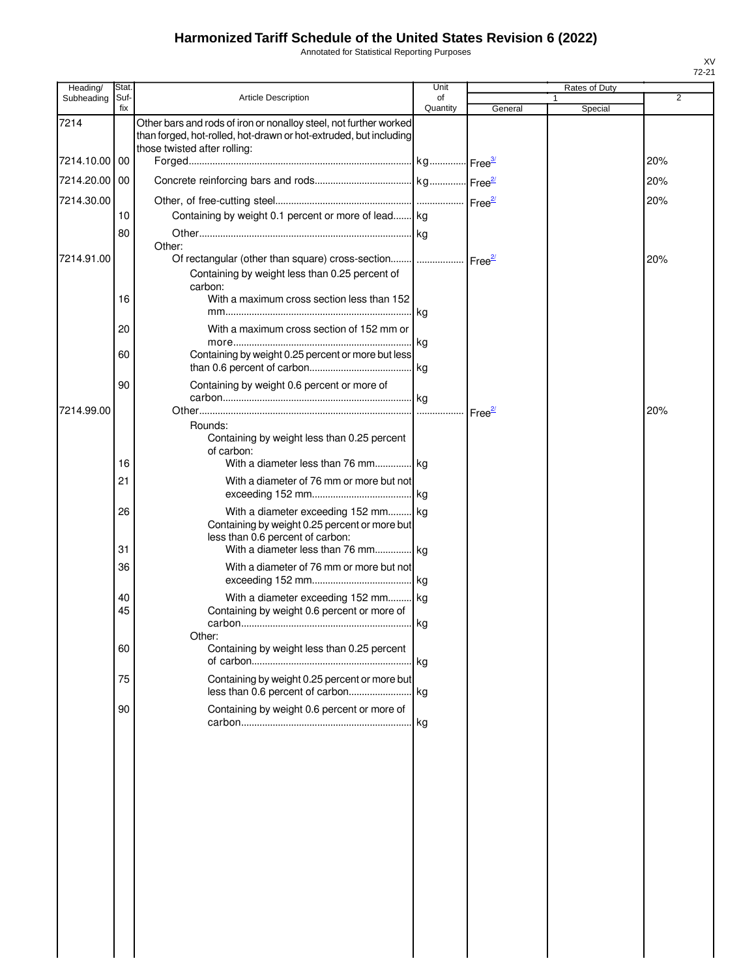Annotated for Statistical Reporting Purposes

| Heading/      | <b>Stat</b> |                                                                                                                                                                                   | Unit           |         | Rates of Duty |     |
|---------------|-------------|-----------------------------------------------------------------------------------------------------------------------------------------------------------------------------------|----------------|---------|---------------|-----|
| Subheading    | Suf-<br>fix | <b>Article Description</b>                                                                                                                                                        | of<br>Quantity | General | Special       | 2   |
| 7214          |             | Other bars and rods of iron or nonalloy steel, not further worked<br>than forged, hot-rolled, hot-drawn or hot-extruded, but including<br>those twisted after rolling:            |                |         |               |     |
| 7214.10.00 00 |             |                                                                                                                                                                                   |                |         |               | 20% |
| 7214.20.00 00 |             |                                                                                                                                                                                   |                |         |               | 20% |
| 7214.30.00    |             |                                                                                                                                                                                   |                |         |               | 20% |
|               | 10          | Containing by weight 0.1 percent or more of lead kg                                                                                                                               |                |         |               |     |
|               | 80          |                                                                                                                                                                                   |                |         |               |     |
|               |             | Other:                                                                                                                                                                            |                |         |               |     |
| 7214.91.00    | 16          | Of rectangular (other than square) cross-section    Free <sup>21</sup><br>Containing by weight less than 0.25 percent of<br>carbon:<br>With a maximum cross section less than 152 |                |         |               | 20% |
|               |             |                                                                                                                                                                                   |                |         |               |     |
|               | 20          | With a maximum cross section of 152 mm or                                                                                                                                         |                |         |               |     |
|               | 60          | Containing by weight 0.25 percent or more but less                                                                                                                                |                |         |               |     |
|               | 90          | Containing by weight 0.6 percent or more of                                                                                                                                       |                |         |               |     |
| 7214.99.00    |             |                                                                                                                                                                                   |                |         |               | 20% |
|               | 16          | Rounds:<br>Containing by weight less than 0.25 percent<br>of carbon:<br>With a diameter less than 76 mm kg                                                                        |                |         |               |     |
|               | 21          | With a diameter of 76 mm or more but not                                                                                                                                          |                |         |               |     |
|               |             |                                                                                                                                                                                   |                |         |               |     |
|               | 26<br>31    | With a diameter exceeding 152 mm kg<br>Containing by weight 0.25 percent or more but<br>less than 0.6 percent of carbon:<br>With a diameter less than 76 mm kg                    |                |         |               |     |
|               | 36          | With a diameter of 76 mm or more but not                                                                                                                                          |                |         |               |     |
|               | 40          | With a diameter exceeding 152 mm kg                                                                                                                                               |                |         |               |     |
|               | 45          | Containing by weight 0.6 percent or more of                                                                                                                                       |                |         |               |     |
|               | 60          | Other:<br>Containing by weight less than 0.25 percent                                                                                                                             |                |         |               |     |
|               | 75          | Containing by weight 0.25 percent or more but                                                                                                                                     |                |         |               |     |
|               |             |                                                                                                                                                                                   |                |         |               |     |
|               | 90          | Containing by weight 0.6 percent or more of                                                                                                                                       |                |         |               |     |
|               |             |                                                                                                                                                                                   |                |         |               |     |
|               |             |                                                                                                                                                                                   |                |         |               |     |
|               |             |                                                                                                                                                                                   |                |         |               |     |
|               |             |                                                                                                                                                                                   |                |         |               |     |
|               |             |                                                                                                                                                                                   |                |         |               |     |
|               |             |                                                                                                                                                                                   |                |         |               |     |
|               |             |                                                                                                                                                                                   |                |         |               |     |
|               |             |                                                                                                                                                                                   |                |         |               |     |
|               |             |                                                                                                                                                                                   |                |         |               |     |
|               |             |                                                                                                                                                                                   |                |         |               |     |
|               |             |                                                                                                                                                                                   |                |         |               |     |
|               |             |                                                                                                                                                                                   |                |         |               |     |
|               |             |                                                                                                                                                                                   |                |         |               |     |

 $\begin{array}{c} \hline \end{array}$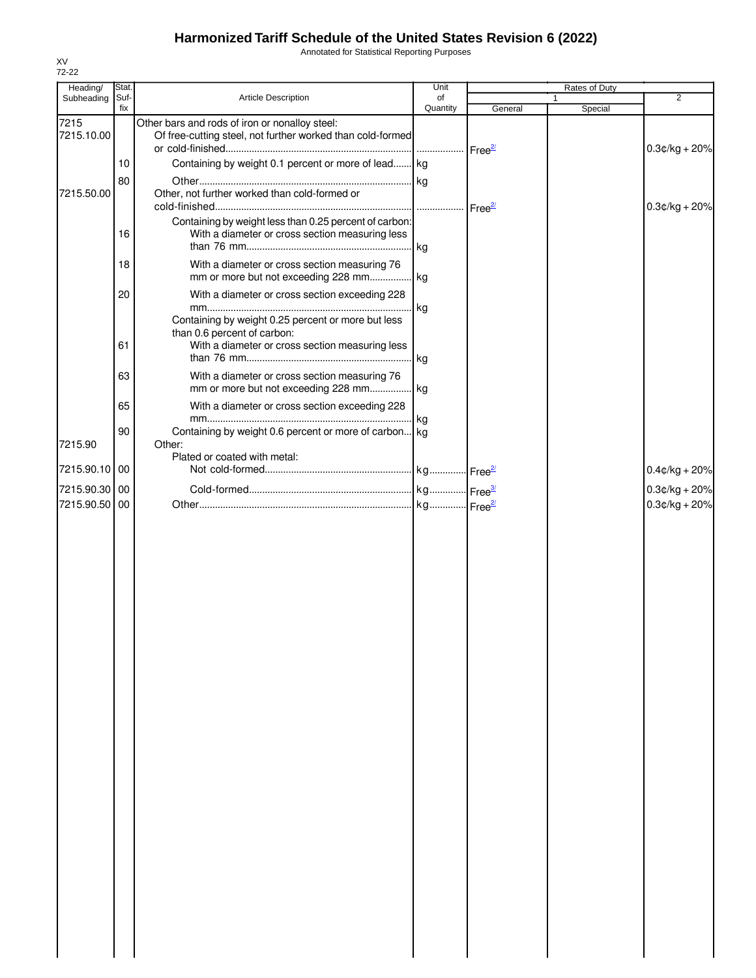Annotated for Statistical Reporting Purposes

| Heading/           | Stat.       |                                                                                                                                      | Unit               |                     | Rates of Duty |                  |
|--------------------|-------------|--------------------------------------------------------------------------------------------------------------------------------------|--------------------|---------------------|---------------|------------------|
| Subheading         | Suf-<br>fix | Article Description                                                                                                                  | of<br>Quantity     | General             | 1<br>Special  | $\overline{2}$   |
| 7215<br>7215.10.00 |             | Other bars and rods of iron or nonalloy steel:<br>Of free-cutting steel, not further worked than cold-formed                         | Free <sup>2/</sup> |                     |               | $0.3$ ¢/kg + 20% |
|                    | 10          | Containing by weight 0.1 percent or more of lead kg                                                                                  |                    |                     |               |                  |
|                    | 80          |                                                                                                                                      | kg                 |                     |               |                  |
| 7215.50.00         |             | Other, not further worked than cold-formed or                                                                                        |                    | Free $\frac{27}{2}$ |               | $0.3$ ¢/kg + 20% |
|                    | 16          | Containing by weight less than 0.25 percent of carbon:<br>With a diameter or cross section measuring less                            | kg                 |                     |               |                  |
|                    | 18          | With a diameter or cross section measuring 76<br>mm or more but not exceeding 228 mm                                                 | kg                 |                     |               |                  |
|                    | 20          | With a diameter or cross section exceeding 228                                                                                       |                    |                     |               |                  |
|                    | 61          | Containing by weight 0.25 percent or more but less<br>than 0.6 percent of carbon:<br>With a diameter or cross section measuring less | kg                 |                     |               |                  |
|                    |             |                                                                                                                                      | kg                 |                     |               |                  |
|                    | 63          | With a diameter or cross section measuring 76<br>mm or more but not exceeding 228 mm kg                                              |                    |                     |               |                  |
|                    | 65          | With a diameter or cross section exceeding 228                                                                                       | kg                 |                     |               |                  |
| 7215.90            | 90          | Containing by weight 0.6 percent or more of carbon kg<br>Other:                                                                      |                    |                     |               |                  |
| 7215.90.10         | 00          | Plated or coated with metal:                                                                                                         |                    |                     |               | $0.4$ ¢/kg + 20% |
| 7215.90.30 00      |             |                                                                                                                                      |                    |                     |               | $0.3$ ¢/kg + 20% |
| 7215.90.50 00      |             |                                                                                                                                      |                    |                     |               | $0.3$ ¢/kg + 20% |
|                    |             |                                                                                                                                      |                    |                     |               |                  |
|                    |             |                                                                                                                                      |                    |                     |               |                  |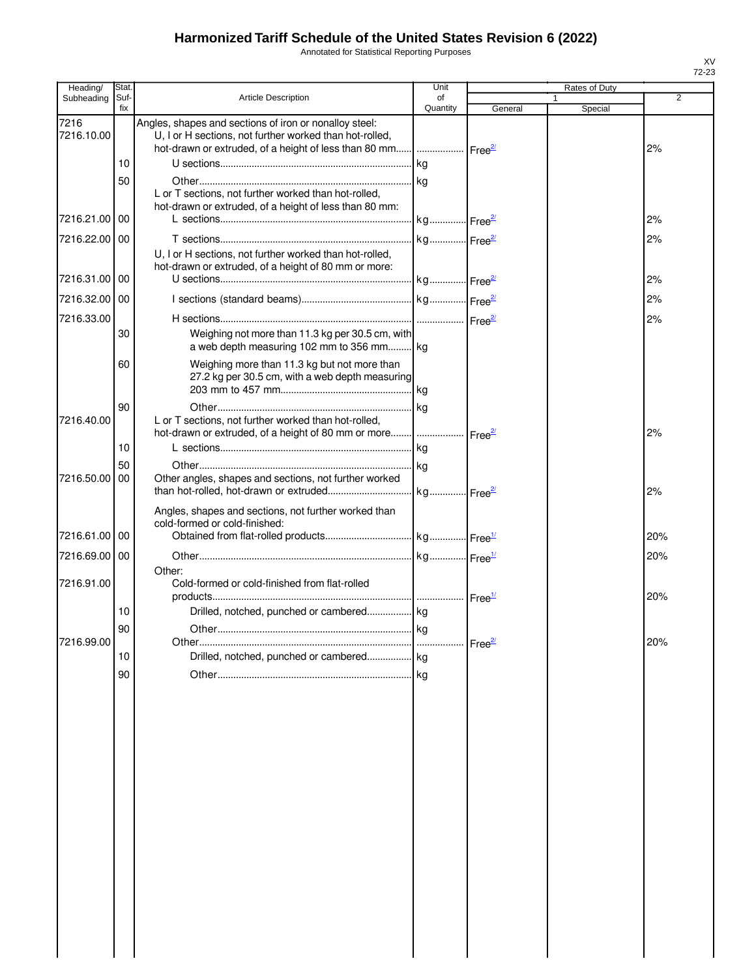Annotated for Statistical Reporting Purposes

| Heading/           | Stat.       |                                                                                                                   | Unit                  |                    | Rates of Duty |                |
|--------------------|-------------|-------------------------------------------------------------------------------------------------------------------|-----------------------|--------------------|---------------|----------------|
| Subheading         | Suf-<br>fix | <b>Article Description</b>                                                                                        | of<br>Quantity        | General            | Special       | $\overline{2}$ |
| 7216<br>7216.10.00 |             | Angles, shapes and sections of iron or nonalloy steel:<br>U, I or H sections, not further worked than hot-rolled, |                       |                    |               | 2%             |
|                    | 10          |                                                                                                                   | kg                    |                    |               |                |
|                    | 50          |                                                                                                                   | kg                    |                    |               |                |
|                    |             | L or T sections, not further worked than hot-rolled,<br>hot-drawn or extruded, of a height of less than 80 mm:    |                       |                    |               |                |
| 7216.21.00 00      |             |                                                                                                                   | kg Free <sup>2/</sup> |                    |               | 2%             |
| 7216.22.00 00      |             |                                                                                                                   | kg Free <sup>21</sup> |                    |               | 2%             |
|                    |             | U, I or H sections, not further worked than hot-rolled,<br>hot-drawn or extruded, of a height of 80 mm or more:   |                       |                    |               |                |
| 7216.31.00 00      |             |                                                                                                                   |                       |                    |               | 2%             |
| 7216.32.00 00      |             |                                                                                                                   |                       |                    |               | 2%             |
| 7216.33.00         |             |                                                                                                                   |                       |                    |               | 2%             |
|                    | 30          | Weighing not more than 11.3 kg per 30.5 cm, with<br>a web depth measuring 102 mm to 356 mm                        |                       |                    |               |                |
|                    | 60          | Weighing more than 11.3 kg but not more than<br>27.2 kg per 30.5 cm, with a web depth measuring                   | <b>kg</b>             |                    |               |                |
|                    | 90          |                                                                                                                   | kg                    |                    |               |                |
| 7216.40.00         |             | L or T sections, not further worked than hot-rolled,                                                              |                       |                    |               | 2%             |
|                    | 10          |                                                                                                                   | <b>kg</b>             |                    |               |                |
|                    | 50          |                                                                                                                   |                       |                    |               |                |
| 7216.50.00   00    |             | Other angles, shapes and sections, not further worked                                                             |                       |                    |               | 2%             |
|                    |             | Angles, shapes and sections, not further worked than<br>cold-formed or cold-finished:                             |                       |                    |               |                |
| 7216.61.00 00      |             |                                                                                                                   |                       |                    |               | 20%            |
| 7216.69.00 00      |             |                                                                                                                   |                       |                    |               | 20%            |
| 7216.91.00         |             | Other:<br>Cold-formed or cold-finished from flat-rolled                                                           |                       |                    |               |                |
|                    |             |                                                                                                                   |                       |                    |               | 20%            |
|                    | 10          | Drilled, notched, punched or cambered kg                                                                          |                       |                    |               |                |
|                    | 90          | Other.                                                                                                            | kg                    |                    |               |                |
| 7216.99.00         | 10          | Drilled, notched, punched or cambered kg                                                                          |                       | Free <sup>2/</sup> |               | 20%            |
|                    |             |                                                                                                                   |                       |                    |               |                |
|                    | 90          |                                                                                                                   | l ka                  |                    |               |                |
|                    |             |                                                                                                                   |                       |                    |               |                |
|                    |             |                                                                                                                   |                       |                    |               |                |
|                    |             |                                                                                                                   |                       |                    |               |                |
|                    |             |                                                                                                                   |                       |                    |               |                |
|                    |             |                                                                                                                   |                       |                    |               |                |
|                    |             |                                                                                                                   |                       |                    |               |                |
|                    |             |                                                                                                                   |                       |                    |               |                |
|                    |             |                                                                                                                   |                       |                    |               |                |
|                    |             |                                                                                                                   |                       |                    |               |                |
|                    |             |                                                                                                                   |                       |                    |               |                |
|                    |             |                                                                                                                   |                       |                    |               |                |
|                    |             |                                                                                                                   |                       |                    |               |                |
|                    |             |                                                                                                                   |                       |                    |               |                |
|                    |             |                                                                                                                   |                       |                    |               |                |
|                    |             |                                                                                                                   |                       |                    |               |                |
|                    |             |                                                                                                                   |                       |                    |               |                |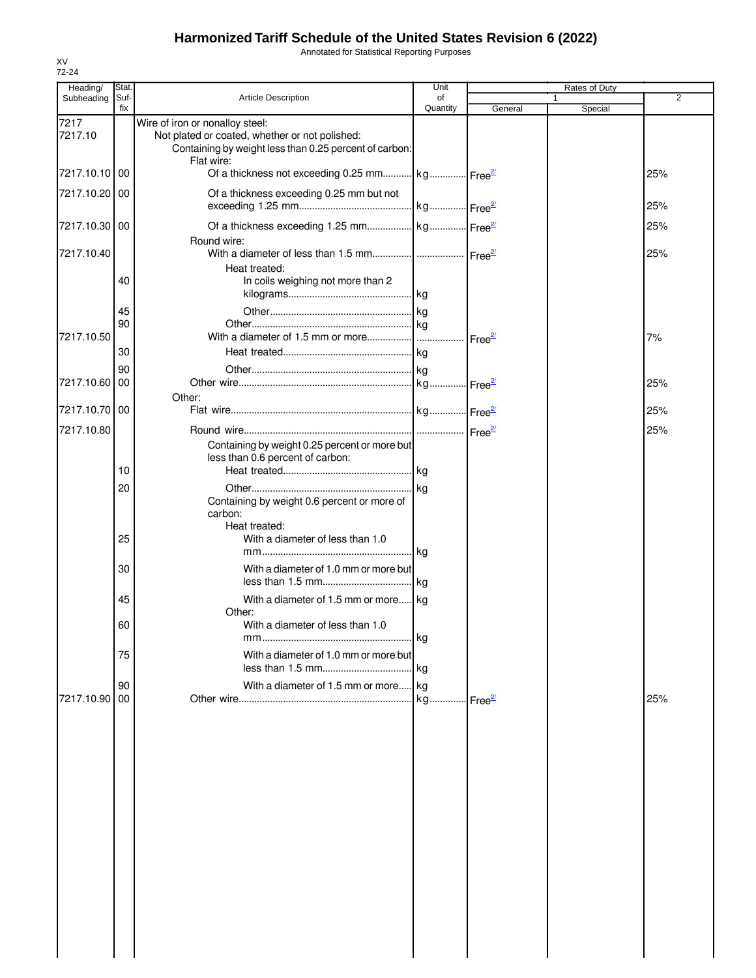Annotated for Statistical Reporting Purposes

| Heading/      | Stat.       |                                                                                                                        | Unit           |         | Rates of Duty |     |
|---------------|-------------|------------------------------------------------------------------------------------------------------------------------|----------------|---------|---------------|-----|
| Subheading    | Suf-<br>fix | <b>Article Description</b>                                                                                             | of<br>Quantity | General | 1<br>Special  | 2   |
| 7217          |             | Wire of iron or nonalloy steel:                                                                                        |                |         |               |     |
| 7217.10       |             | Not plated or coated, whether or not polished:<br>Containing by weight less than 0.25 percent of carbon:<br>Flat wire: |                |         |               |     |
| 7217.10.10    | 00          | Of a thickness not exceeding 0.25 mm kg Free <sup>21</sup>                                                             |                |         |               | 25% |
| 7217.10.20 00 |             | Of a thickness exceeding 0.25 mm but not                                                                               |                |         |               | 25% |
| 7217.10.30 00 |             | Round wire:                                                                                                            |                |         |               | 25% |
| 7217.10.40    |             |                                                                                                                        |                |         |               | 25% |
|               | 40          | Heat treated:<br>In coils weighing not more than 2                                                                     |                |         |               |     |
|               | 45          |                                                                                                                        |                |         |               |     |
| 7217.10.50    | 90          |                                                                                                                        |                |         |               | 7%  |
|               | 30          |                                                                                                                        |                |         |               |     |
|               | 90          |                                                                                                                        |                |         |               |     |
| 7217.10.60    | 00          |                                                                                                                        |                |         |               | 25% |
|               |             | Other:                                                                                                                 |                |         |               |     |
| 7217.10.70 00 |             |                                                                                                                        |                |         |               | 25% |
| 7217.10.80    |             |                                                                                                                        |                |         |               | 25% |
|               | 10          | Containing by weight 0.25 percent or more but<br>less than 0.6 percent of carbon:                                      |                |         |               |     |
|               | 20          |                                                                                                                        |                |         |               |     |
|               |             | Containing by weight 0.6 percent or more of<br>carbon:<br>Heat treated:                                                |                |         |               |     |
|               | 25          | With a diameter of less than 1.0                                                                                       |                |         |               |     |
|               | 30          | With a diameter of 1.0 mm or more but                                                                                  |                |         |               |     |
|               | 45          | With a diameter of 1.5 mm or more kg                                                                                   |                |         |               |     |
|               | 60          | Other:<br>With a diameter of less than 1.0                                                                             |                |         |               |     |
|               | 75          | With a diameter of 1.0 mm or more but                                                                                  |                |         |               |     |
|               | 90          | With a diameter of 1.5 mm or more kg                                                                                   |                |         |               |     |
| 7217.10.90    | 00          |                                                                                                                        |                |         |               | 25% |
|               |             |                                                                                                                        |                |         |               |     |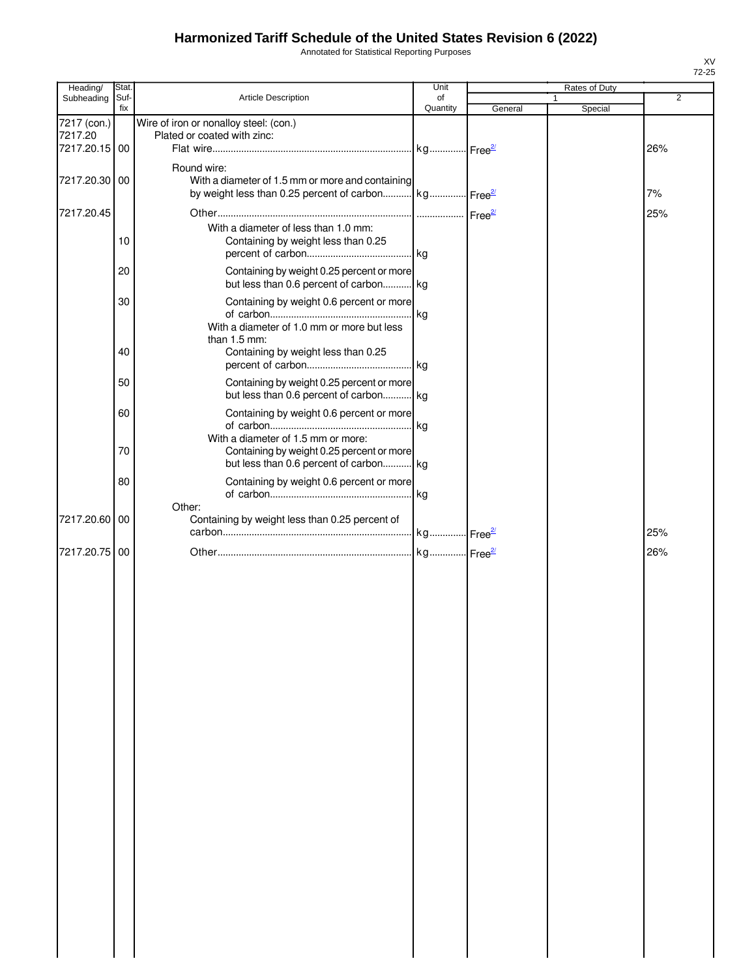Annotated for Statistical Reporting Purposes

| Heading/      | Stat.       |                                                                 | Unit           |         |              | Rates of Duty |     |
|---------------|-------------|-----------------------------------------------------------------|----------------|---------|--------------|---------------|-----|
| Subheading    | Suf-<br>fix | Article Description                                             | of<br>Quantity | General | $\mathbf{1}$ | Special       | 2   |
| 7217 (con.)   |             | Wire of iron or nonalloy steel: (con.)                          |                |         |              |               |     |
| 7217.20       |             | Plated or coated with zinc:                                     |                |         |              |               |     |
| 7217.20.15 00 |             |                                                                 |                |         |              |               | 26% |
|               |             | Round wire:                                                     |                |         |              |               |     |
| 7217.20.30    | 00          | With a diameter of 1.5 mm or more and containing                |                |         |              |               |     |
|               |             | by weight less than 0.25 percent of carbon kg Free <sup>2</sup> |                |         |              |               | 7%  |
|               |             |                                                                 |                |         |              |               |     |
| 7217.20.45    |             |                                                                 |                |         |              |               | 25% |
|               |             | With a diameter of less than 1.0 mm:                            |                |         |              |               |     |
|               | 10          | Containing by weight less than 0.25                             |                |         |              |               |     |
|               |             |                                                                 |                |         |              |               |     |
|               | 20          | Containing by weight 0.25 percent or more                       |                |         |              |               |     |
|               |             | but less than 0.6 percent of carbon kg                          |                |         |              |               |     |
|               | 30          | Containing by weight 0.6 percent or more                        |                |         |              |               |     |
|               |             |                                                                 |                |         |              |               |     |
|               |             | With a diameter of 1.0 mm or more but less<br>than 1.5 mm:      |                |         |              |               |     |
|               | 40          | Containing by weight less than 0.25                             |                |         |              |               |     |
|               |             |                                                                 |                |         |              |               |     |
|               | 50          | Containing by weight 0.25 percent or more                       |                |         |              |               |     |
|               |             | but less than 0.6 percent of carbon kg                          |                |         |              |               |     |
|               |             |                                                                 |                |         |              |               |     |
|               | 60          | Containing by weight 0.6 percent or more                        |                |         |              |               |     |
|               |             | With a diameter of 1.5 mm or more:                              |                |         |              |               |     |
|               | 70          | Containing by weight 0.25 percent or more                       |                |         |              |               |     |
|               |             | but less than 0.6 percent of carbon kg                          |                |         |              |               |     |
|               | 80          | Containing by weight 0.6 percent or more                        |                |         |              |               |     |
|               |             |                                                                 |                |         |              |               |     |
|               |             | Other:                                                          |                |         |              |               |     |
| 7217.20.60    | 00          | Containing by weight less than 0.25 percent of                  |                |         |              |               |     |
|               |             |                                                                 |                |         |              |               | 25% |
| 7217.20.75    | 00          |                                                                 |                |         |              |               | 26% |
|               |             |                                                                 |                |         |              |               |     |
|               |             |                                                                 |                |         |              |               |     |
|               |             |                                                                 |                |         |              |               |     |
|               |             |                                                                 |                |         |              |               |     |
|               |             |                                                                 |                |         |              |               |     |
|               |             |                                                                 |                |         |              |               |     |
|               |             |                                                                 |                |         |              |               |     |
|               |             |                                                                 |                |         |              |               |     |
|               |             |                                                                 |                |         |              |               |     |
|               |             |                                                                 |                |         |              |               |     |
|               |             |                                                                 |                |         |              |               |     |
|               |             |                                                                 |                |         |              |               |     |
|               |             |                                                                 |                |         |              |               |     |
|               |             |                                                                 |                |         |              |               |     |
|               |             |                                                                 |                |         |              |               |     |
|               |             |                                                                 |                |         |              |               |     |
|               |             |                                                                 |                |         |              |               |     |
|               |             |                                                                 |                |         |              |               |     |
|               |             |                                                                 |                |         |              |               |     |
|               |             |                                                                 |                |         |              |               |     |
|               |             |                                                                 |                |         |              |               |     |
|               |             |                                                                 |                |         |              |               |     |
|               |             |                                                                 |                |         |              |               |     |
|               |             |                                                                 |                |         |              |               |     |
|               |             |                                                                 |                |         |              |               |     |
|               |             |                                                                 |                |         |              |               |     |
|               |             |                                                                 |                |         |              |               |     |
|               |             |                                                                 |                |         |              |               |     |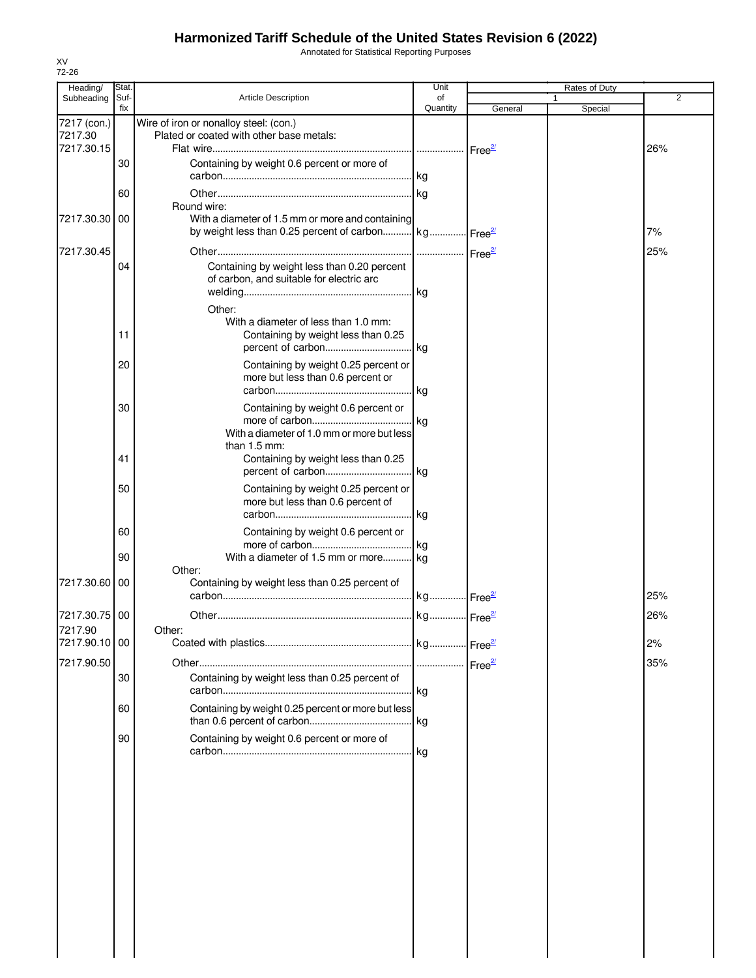Annotated for Statistical Reporting Purposes

|         | Heading/                  | Stat.       |                                                                                                                                    | Unit                  |         | Rates of Duty |                |
|---------|---------------------------|-------------|------------------------------------------------------------------------------------------------------------------------------------|-----------------------|---------|---------------|----------------|
|         | Subheading                | Suf-<br>fix | <b>Article Description</b>                                                                                                         | of<br>Quantity        | General | 1<br>Special  | $\overline{2}$ |
| 7217.30 | 7217 (con.)<br>7217.30.15 |             | Wire of iron or nonalloy steel: (con.)<br>Plated or coated with other base metals:                                                 |                       |         |               | 26%            |
|         |                           | 30          | Containing by weight 0.6 percent or more of                                                                                        |                       |         |               |                |
|         |                           | 60          |                                                                                                                                    | . kg                  |         |               |                |
|         | 7217.30.30                | 00          | Round wire:<br>With a diameter of 1.5 mm or more and containing<br>by weight less than 0.25 percent of carbon kg Free <sup>2</sup> |                       |         |               | 7%             |
|         | 7217.30.45                |             |                                                                                                                                    |                       |         |               | 25%            |
|         |                           | 04          | Containing by weight less than 0.20 percent<br>of carbon, and suitable for electric arc                                            | . kg                  |         |               |                |
|         |                           |             | Other:                                                                                                                             |                       |         |               |                |
|         |                           | 11          | With a diameter of less than 1.0 mm:<br>Containing by weight less than 0.25                                                        |                       |         |               |                |
|         |                           | 20          | Containing by weight 0.25 percent or<br>more but less than 0.6 percent or                                                          | . I kg                |         |               |                |
|         |                           | 30          | Containing by weight 0.6 percent or<br>With a diameter of 1.0 mm or more but less                                                  |                       |         |               |                |
|         |                           | 41          | than 1.5 mm:<br>Containing by weight less than 0.25                                                                                | .Ikg                  |         |               |                |
|         |                           | 50          | Containing by weight 0.25 percent or<br>more but less than 0.6 percent of                                                          | kg                    |         |               |                |
|         |                           | 60          | Containing by weight 0.6 percent or                                                                                                | . kg                  |         |               |                |
|         |                           | 90          | With a diameter of 1.5 mm or more kg                                                                                               |                       |         |               |                |
|         | 7217.30.60                | 00          | Other:<br>Containing by weight less than 0.25 percent of                                                                           | kg Free <sup>2/</sup> |         |               | 25%            |
|         | 7217.30.75                | 00          |                                                                                                                                    |                       |         |               | 26%            |
| 7217.90 | 7217.90.10 00             |             | Other:                                                                                                                             |                       |         |               | 2%             |
|         | 7217.90.50                |             |                                                                                                                                    |                       |         |               | 35%            |
|         |                           | 30          | Containing by weight less than 0.25 percent of                                                                                     |                       |         |               |                |
|         |                           | 60          | Containing by weight 0.25 percent or more but less                                                                                 |                       |         |               |                |
|         |                           | 90          | Containing by weight 0.6 percent or more of                                                                                        | kg                    |         |               |                |
|         |                           |             |                                                                                                                                    |                       |         |               |                |
|         |                           |             |                                                                                                                                    |                       |         |               |                |
|         |                           |             |                                                                                                                                    |                       |         |               |                |
|         |                           |             |                                                                                                                                    |                       |         |               |                |
|         |                           |             |                                                                                                                                    |                       |         |               |                |
|         |                           |             |                                                                                                                                    |                       |         |               |                |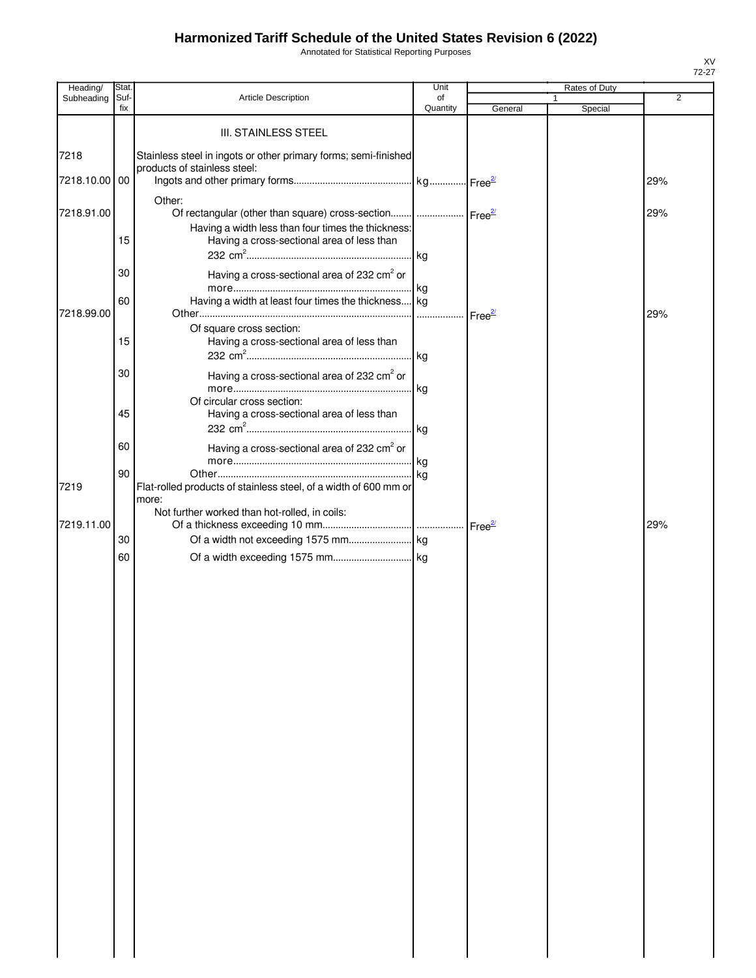Annotated for Statistical Reporting Purposes

| Heading/      | Stat.       |                                                                                                  | Unit           |                    |   | Rates of Duty |                |
|---------------|-------------|--------------------------------------------------------------------------------------------------|----------------|--------------------|---|---------------|----------------|
| Subheading    | Suf-<br>fix | <b>Article Description</b>                                                                       | of<br>Quantity | General            | 1 | Special       | $\overline{2}$ |
|               |             |                                                                                                  |                |                    |   |               |                |
|               |             | <b>III. STAINLESS STEEL</b>                                                                      |                |                    |   |               |                |
| 7218          |             | Stainless steel in ingots or other primary forms; semi-finished                                  |                |                    |   |               |                |
|               |             | products of stainless steel:                                                                     |                |                    |   |               |                |
| 7218.10.00 00 |             |                                                                                                  |                |                    |   |               | 29%            |
|               |             | Other:                                                                                           |                |                    |   |               |                |
| 7218.91.00    |             | Of rectangular (other than square) cross-section    Free <sup>2/</sup>                           |                |                    |   |               | 29%            |
|               | 15          | Having a width less than four times the thickness:<br>Having a cross-sectional area of less than |                |                    |   |               |                |
|               |             |                                                                                                  |                |                    |   |               |                |
|               | 30          | Having a cross-sectional area of 232 cm <sup>2</sup> or                                          |                |                    |   |               |                |
|               |             |                                                                                                  | kg             |                    |   |               |                |
|               | 60          | Having a width at least four times the thickness kg                                              |                |                    |   |               |                |
| 7218.99.00    |             |                                                                                                  |                | Free <sup>2/</sup> |   |               | 29%            |
|               |             | Of square cross section:                                                                         |                |                    |   |               |                |
|               | 15          | Having a cross-sectional area of less than                                                       |                |                    |   |               |                |
|               | 30          |                                                                                                  |                |                    |   |               |                |
|               |             | Having a cross-sectional area of 232 cm <sup>2</sup> or                                          |                |                    |   |               |                |
|               |             | Of circular cross section:                                                                       |                |                    |   |               |                |
|               | 45          | Having a cross-sectional area of less than                                                       |                |                    |   |               |                |
|               |             |                                                                                                  | . kg           |                    |   |               |                |
|               | 60          | Having a cross-sectional area of 232 cm <sup>2</sup> or                                          |                |                    |   |               |                |
|               |             |                                                                                                  | kg             |                    |   |               |                |
| 7219          | 90          | Flat-rolled products of stainless steel, of a width of 600 mm or                                 |                |                    |   |               |                |
|               |             | more:                                                                                            |                |                    |   |               |                |
|               |             | Not further worked than hot-rolled, in coils:                                                    |                |                    |   |               |                |
| 7219.11.00    | 30          |                                                                                                  |                |                    |   |               | 29%            |
|               |             |                                                                                                  |                |                    |   |               |                |
|               | 60          |                                                                                                  |                |                    |   |               |                |
|               |             |                                                                                                  |                |                    |   |               |                |
|               |             |                                                                                                  |                |                    |   |               |                |
|               |             |                                                                                                  |                |                    |   |               |                |
|               |             |                                                                                                  |                |                    |   |               |                |
|               |             |                                                                                                  |                |                    |   |               |                |
|               |             |                                                                                                  |                |                    |   |               |                |
|               |             |                                                                                                  |                |                    |   |               |                |
|               |             |                                                                                                  |                |                    |   |               |                |
|               |             |                                                                                                  |                |                    |   |               |                |
|               |             |                                                                                                  |                |                    |   |               |                |
|               |             |                                                                                                  |                |                    |   |               |                |
|               |             |                                                                                                  |                |                    |   |               |                |
|               |             |                                                                                                  |                |                    |   |               |                |
|               |             |                                                                                                  |                |                    |   |               |                |
|               |             |                                                                                                  |                |                    |   |               |                |
|               |             |                                                                                                  |                |                    |   |               |                |
|               |             |                                                                                                  |                |                    |   |               |                |
|               |             |                                                                                                  |                |                    |   |               |                |
|               |             |                                                                                                  |                |                    |   |               |                |
|               |             |                                                                                                  |                |                    |   |               |                |
|               |             |                                                                                                  |                |                    |   |               |                |
|               |             |                                                                                                  |                |                    |   |               |                |
|               |             |                                                                                                  |                |                    |   |               |                |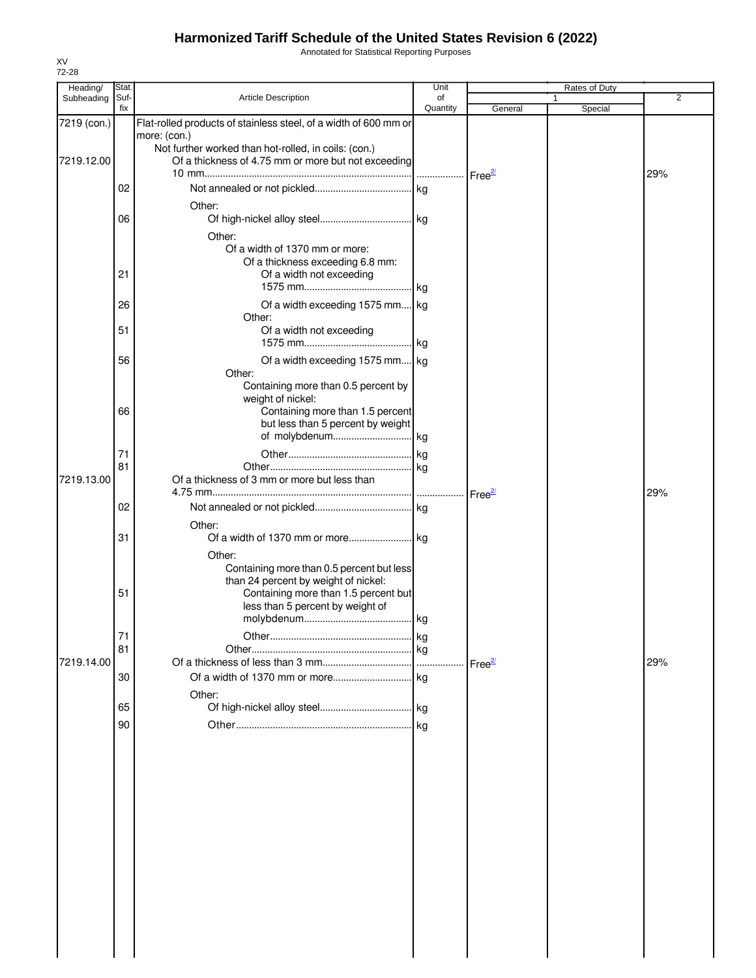Annotated for Statistical Reporting Purposes

| Heading/    | Stat.       |                                                                       | Unit           |                    | Rates of Duty |     |
|-------------|-------------|-----------------------------------------------------------------------|----------------|--------------------|---------------|-----|
| Subheading  | Suf-<br>fix | <b>Article Description</b>                                            | of<br>Quantity | General            | 1<br>Special  | 2   |
| 7219 (con.) |             | Flat-rolled products of stainless steel, of a width of 600 mm or      |                |                    |               |     |
|             |             | more: (con.)                                                          |                |                    |               |     |
|             |             | Not further worked than hot-rolled, in coils: (con.)                  |                |                    |               |     |
| 7219.12.00  |             | Of a thickness of 4.75 mm or more but not exceeding                   |                |                    |               |     |
|             |             |                                                                       |                |                    |               | 29% |
|             | 02          |                                                                       |                |                    |               |     |
|             |             |                                                                       |                |                    |               |     |
|             | 06          | Other:                                                                |                |                    |               |     |
|             |             |                                                                       |                |                    |               |     |
|             |             | Other:                                                                |                |                    |               |     |
|             |             | Of a width of 1370 mm or more:                                        |                |                    |               |     |
|             |             | Of a thickness exceeding 6.8 mm:                                      |                |                    |               |     |
|             | 21          | Of a width not exceeding                                              |                |                    |               |     |
|             |             |                                                                       |                |                    |               |     |
|             | 26          | Of a width exceeding 1575 mm kg                                       |                |                    |               |     |
|             |             | Other:                                                                |                |                    |               |     |
|             | 51          | Of a width not exceeding                                              |                |                    |               |     |
|             |             |                                                                       |                |                    |               |     |
|             | 56          | Of a width exceeding 1575 mm kg                                       |                |                    |               |     |
|             |             | Other:                                                                |                |                    |               |     |
|             |             | Containing more than 0.5 percent by                                   |                |                    |               |     |
|             |             | weight of nickel:                                                     |                |                    |               |     |
|             | 66          | Containing more than 1.5 percent<br>but less than 5 percent by weight |                |                    |               |     |
|             |             |                                                                       |                |                    |               |     |
|             |             |                                                                       |                |                    |               |     |
|             | 71          |                                                                       |                |                    |               |     |
|             | 81          | Of a thickness of 3 mm or more but less than                          |                |                    |               |     |
| 7219.13.00  |             |                                                                       |                |                    |               | 29% |
|             |             |                                                                       |                | Free <sup>2/</sup> |               |     |
|             | 02          |                                                                       |                |                    |               |     |
|             |             | Other:                                                                |                |                    |               |     |
|             | 31          |                                                                       |                |                    |               |     |
|             |             | Other:                                                                |                |                    |               |     |
|             |             | Containing more than 0.5 percent but less                             |                |                    |               |     |
|             |             | than 24 percent by weight of nickel:                                  |                |                    |               |     |
|             | 51          | Containing more than 1.5 percent but                                  |                |                    |               |     |
|             |             | less than 5 percent by weight of                                      |                |                    |               |     |
|             |             |                                                                       |                |                    |               |     |
|             | 71          |                                                                       |                |                    |               |     |
|             | 81          |                                                                       |                |                    |               |     |
| 7219.14.00  |             |                                                                       |                | Free <sup>21</sup> |               | 29% |
|             | 30          |                                                                       |                |                    |               |     |
|             |             | Other:                                                                |                |                    |               |     |
|             | 65          |                                                                       |                |                    |               |     |
|             | 90          |                                                                       |                |                    |               |     |
|             |             |                                                                       |                |                    |               |     |
|             |             |                                                                       |                |                    |               |     |
|             |             |                                                                       |                |                    |               |     |
|             |             |                                                                       |                |                    |               |     |
|             |             |                                                                       |                |                    |               |     |
|             |             |                                                                       |                |                    |               |     |
|             |             |                                                                       |                |                    |               |     |
|             |             |                                                                       |                |                    |               |     |
|             |             |                                                                       |                |                    |               |     |
|             |             |                                                                       |                |                    |               |     |
|             |             |                                                                       |                |                    |               |     |
|             |             |                                                                       |                |                    |               |     |
|             |             |                                                                       |                |                    |               |     |
|             |             |                                                                       |                |                    |               |     |
|             |             |                                                                       |                |                    |               |     |
|             |             |                                                                       |                |                    |               |     |
|             |             |                                                                       |                |                    |               |     |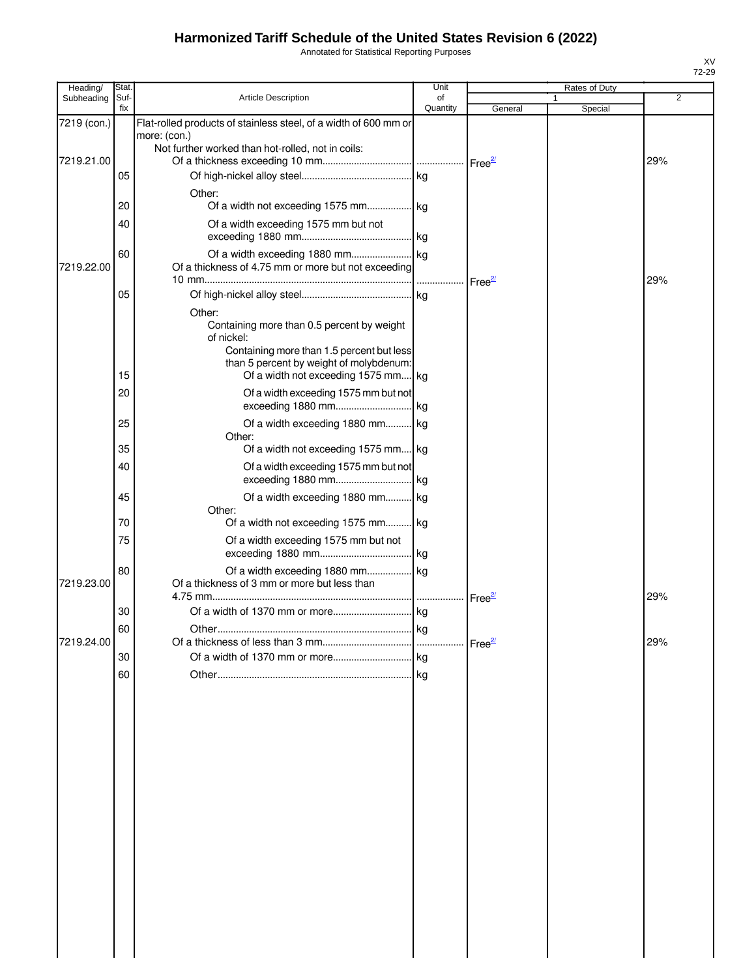Annotated for Statistical Reporting Purposes

| Heading/    | Stat        |                                                                                                                                                                                                   | Unit           |                    | Rates of Duty |     |
|-------------|-------------|---------------------------------------------------------------------------------------------------------------------------------------------------------------------------------------------------|----------------|--------------------|---------------|-----|
| Subheading  | Suf-<br>fix | <b>Article Description</b>                                                                                                                                                                        | of<br>Quantity | General            | Special       | 2   |
| 7219 (con.) |             | Flat-rolled products of stainless steel, of a width of 600 mm or<br>more: (con.)<br>Not further worked than hot-rolled, not in coils:                                                             |                |                    |               |     |
| 7219.21.00  |             |                                                                                                                                                                                                   |                |                    |               | 29% |
|             | 05          | Other:                                                                                                                                                                                            |                |                    |               |     |
|             | 20          |                                                                                                                                                                                                   |                |                    |               |     |
|             | 40          | Of a width exceeding 1575 mm but not                                                                                                                                                              |                |                    |               |     |
| 7219.22.00  | 60          | Of a thickness of 4.75 mm or more but not exceeding                                                                                                                                               |                | Free <sup>27</sup> |               | 29% |
|             | 05          |                                                                                                                                                                                                   |                |                    |               |     |
|             | 15          | Other:<br>Containing more than 0.5 percent by weight<br>of nickel:<br>Containing more than 1.5 percent but less<br>than 5 percent by weight of molybdenum:<br>Of a width not exceeding 1575 mm kg |                |                    |               |     |
|             | 20          | Of a width exceeding 1575 mm but not                                                                                                                                                              |                |                    |               |     |
|             | 25          | Of a width exceeding 1880 mm kg<br>Other:                                                                                                                                                         |                |                    |               |     |
|             | 35          | Of a width not exceeding 1575 mm kg                                                                                                                                                               |                |                    |               |     |
|             | 40          | Of a width exceeding 1575 mm but not<br>exceeding 1880 mm                                                                                                                                         | kg             |                    |               |     |
|             | 45          | Of a width exceeding 1880 mm kg<br>Other:                                                                                                                                                         |                |                    |               |     |
|             | 70          | Of a width not exceeding 1575 mm kg                                                                                                                                                               |                |                    |               |     |
|             | 75          | Of a width exceeding 1575 mm but not                                                                                                                                                              | lkg.           |                    |               |     |
| 7219.23.00  | 80          | Of a width exceeding 1880 mm kg<br>Of a thickness of 3 mm or more but less than                                                                                                                   |                | $Free^2$           |               | 29% |
|             | 30          |                                                                                                                                                                                                   | kg             |                    |               |     |
| 7219.24.00  | 60          | <mark>kg</mark><br>∩ther                                                                                                                                                                          |                |                    |               | 29% |
|             | 30          |                                                                                                                                                                                                   |                |                    |               |     |
|             | 60          |                                                                                                                                                                                                   |                |                    |               |     |
|             |             |                                                                                                                                                                                                   |                |                    |               |     |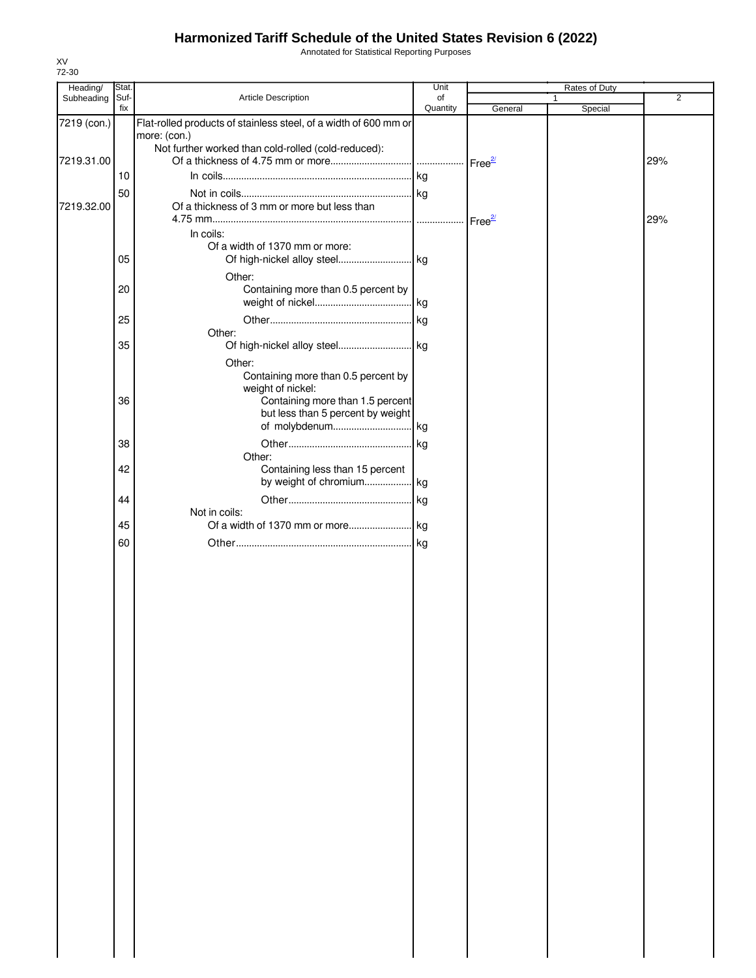Annotated for Statistical Reporting Purposes

| Heading/    | Stat. |                                                                  | Unit     |         | Rates of Duty |                |
|-------------|-------|------------------------------------------------------------------|----------|---------|---------------|----------------|
| Subheading  | Suf-  | Article Description                                              | of       |         | 1             | $\overline{2}$ |
|             | fix   |                                                                  | Quantity | General | Special       |                |
| 7219 (con.) |       | Flat-rolled products of stainless steel, of a width of 600 mm or |          |         |               |                |
|             |       | more: (con.)                                                     |          |         |               |                |
| 7219.31.00  |       | Not further worked than cold-rolled (cold-reduced):              |          |         |               | 29%            |
|             |       |                                                                  |          |         |               |                |
|             | 10    |                                                                  |          |         |               |                |
|             | 50    |                                                                  |          |         |               |                |
| 7219.32.00  |       | Of a thickness of 3 mm or more but less than                     |          |         |               |                |
|             |       |                                                                  |          |         |               | 29%            |
|             |       | In coils:                                                        |          |         |               |                |
|             |       | Of a width of 1370 mm or more:                                   |          |         |               |                |
|             | 05    |                                                                  |          |         |               |                |
|             |       | Other:                                                           |          |         |               |                |
|             | 20    | Containing more than 0.5 percent by                              |          |         |               |                |
|             |       |                                                                  |          |         |               |                |
|             | 25    |                                                                  | . kg     |         |               |                |
|             |       | Other:                                                           |          |         |               |                |
|             | 35    |                                                                  |          |         |               |                |
|             |       |                                                                  |          |         |               |                |
|             |       | Other:<br>Containing more than 0.5 percent by                    |          |         |               |                |
|             |       | weight of nickel:                                                |          |         |               |                |
|             | 36    | Containing more than 1.5 percent                                 |          |         |               |                |
|             |       | but less than 5 percent by weight                                |          |         |               |                |
|             |       |                                                                  |          |         |               |                |
|             | 38    |                                                                  |          |         |               |                |
|             |       | Other:                                                           |          |         |               |                |
|             | 42    | Containing less than 15 percent                                  |          |         |               |                |
|             |       | by weight of chromium kg                                         |          |         |               |                |
|             | 44    |                                                                  |          |         |               |                |
|             |       | Not in coils:                                                    |          |         |               |                |
|             | 45    |                                                                  |          |         |               |                |
|             |       |                                                                  |          |         |               |                |
|             | 60    |                                                                  |          |         |               |                |
|             |       |                                                                  |          |         |               |                |
|             |       |                                                                  |          |         |               |                |
|             |       |                                                                  |          |         |               |                |
|             |       |                                                                  |          |         |               |                |
|             |       |                                                                  |          |         |               |                |
|             |       |                                                                  |          |         |               |                |
|             |       |                                                                  |          |         |               |                |
|             |       |                                                                  |          |         |               |                |
|             |       |                                                                  |          |         |               |                |
|             |       |                                                                  |          |         |               |                |
|             |       |                                                                  |          |         |               |                |
|             |       |                                                                  |          |         |               |                |
|             |       |                                                                  |          |         |               |                |
|             |       |                                                                  |          |         |               |                |
|             |       |                                                                  |          |         |               |                |
|             |       |                                                                  |          |         |               |                |
|             |       |                                                                  |          |         |               |                |
|             |       |                                                                  |          |         |               |                |
|             |       |                                                                  |          |         |               |                |
|             |       |                                                                  |          |         |               |                |
|             |       |                                                                  |          |         |               |                |
|             |       |                                                                  |          |         |               |                |
|             |       |                                                                  |          |         |               |                |
|             |       |                                                                  |          |         |               |                |
|             |       |                                                                  |          |         |               |                |
|             |       |                                                                  |          |         |               |                |
|             |       |                                                                  |          |         |               |                |
|             |       |                                                                  |          |         |               |                |
|             |       |                                                                  |          |         |               |                |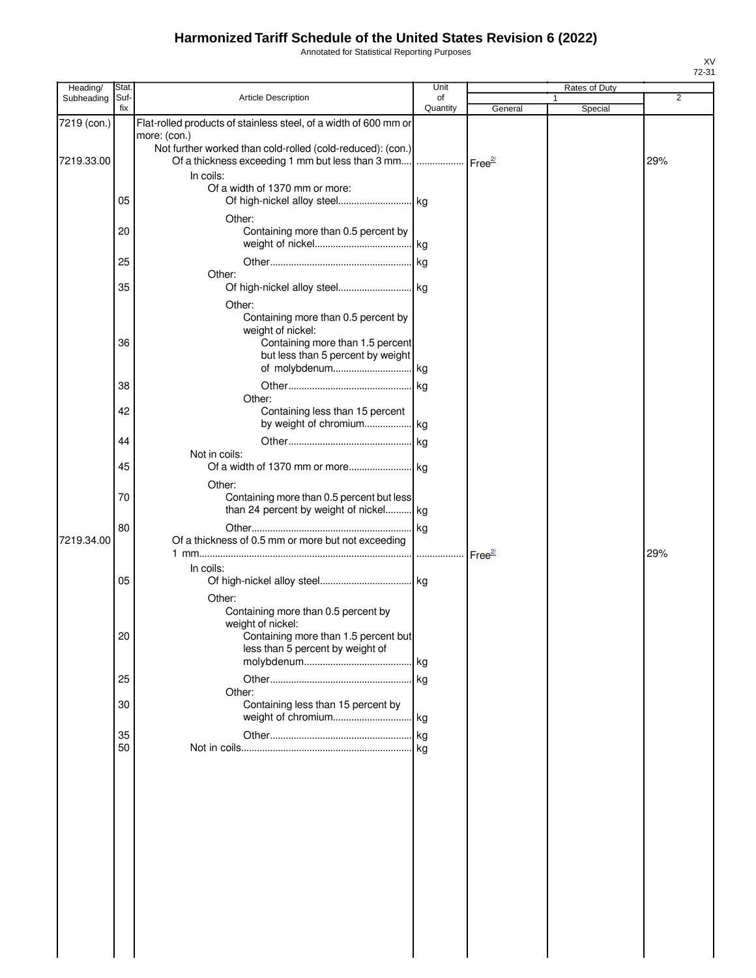Annotated for Statistical Reporting Purposes

| Heading/    | Stat.       |                                                                  | Unit               |         | Rates of Duty |                |
|-------------|-------------|------------------------------------------------------------------|--------------------|---------|---------------|----------------|
| Subheading  | Suf-<br>fix | Article Description                                              | of<br>Quantity     |         |               | $\overline{2}$ |
| 7219 (con.) |             | Flat-rolled products of stainless steel, of a width of 600 mm or |                    | General | Special       |                |
|             |             | more: (con.)                                                     |                    |         |               |                |
|             |             | Not further worked than cold-rolled (cold-reduced): (con.)       |                    |         |               |                |
| 7219.33.00  |             | Of a thickness exceeding 1 mm but less than 3 mm                 | Free <sup>2/</sup> |         |               | 29%            |
|             |             | In coils:                                                        |                    |         |               |                |
|             |             | Of a width of 1370 mm or more:                                   |                    |         |               |                |
|             | 05          |                                                                  |                    |         |               |                |
|             |             | Other:                                                           |                    |         |               |                |
|             | 20          | Containing more than 0.5 percent by                              |                    |         |               |                |
|             |             |                                                                  |                    |         |               |                |
|             | 25          |                                                                  |                    |         |               |                |
|             | 35          | Other:                                                           |                    |         |               |                |
|             |             |                                                                  |                    |         |               |                |
|             |             | Other:                                                           |                    |         |               |                |
|             |             | Containing more than 0.5 percent by<br>weight of nickel:         |                    |         |               |                |
|             | 36          | Containing more than 1.5 percent                                 |                    |         |               |                |
|             |             | but less than 5 percent by weight                                |                    |         |               |                |
|             |             |                                                                  |                    |         |               |                |
|             | 38          |                                                                  |                    |         |               |                |
|             |             | Other:                                                           |                    |         |               |                |
|             | 42          | Containing less than 15 percent                                  |                    |         |               |                |
|             |             | by weight of chromium kg                                         |                    |         |               |                |
|             | 44          |                                                                  |                    |         |               |                |
|             |             | Not in coils:                                                    |                    |         |               |                |
|             | 45          |                                                                  |                    |         |               |                |
|             |             | Other:                                                           |                    |         |               |                |
|             | 70          | Containing more than 0.5 percent but less                        |                    |         |               |                |
|             |             | than 24 percent by weight of nickel kg                           |                    |         |               |                |
|             | 80          |                                                                  |                    |         |               |                |
| 7219.34.00  |             | Of a thickness of 0.5 mm or more but not exceeding               |                    |         |               | 29%            |
|             |             | In coils:                                                        |                    |         |               |                |
|             | 05          |                                                                  |                    |         |               |                |
|             |             | Other:                                                           |                    |         |               |                |
|             |             | Containing more than 0.5 percent by                              |                    |         |               |                |
|             |             | weight of nickel:                                                |                    |         |               |                |
|             | 20          | Containing more than 1.5 percent but                             |                    |         |               |                |
|             |             | less than 5 percent by weight of                                 |                    |         |               |                |
|             |             |                                                                  |                    |         |               |                |
|             | 25          |                                                                  |                    |         |               |                |
|             | 30          | Other:<br>Containing less than 15 percent by                     |                    |         |               |                |
|             |             |                                                                  |                    |         |               |                |
|             | 35          |                                                                  |                    |         |               |                |
|             | 50          |                                                                  |                    |         |               |                |
|             |             |                                                                  |                    |         |               |                |
|             |             |                                                                  |                    |         |               |                |
|             |             |                                                                  |                    |         |               |                |
|             |             |                                                                  |                    |         |               |                |
|             |             |                                                                  |                    |         |               |                |
|             |             |                                                                  |                    |         |               |                |
|             |             |                                                                  |                    |         |               |                |
|             |             |                                                                  |                    |         |               |                |
|             |             |                                                                  |                    |         |               |                |
|             |             |                                                                  |                    |         |               |                |
|             |             |                                                                  |                    |         |               |                |
|             |             |                                                                  |                    |         |               |                |
|             |             |                                                                  |                    |         |               |                |
|             |             |                                                                  |                    |         |               |                |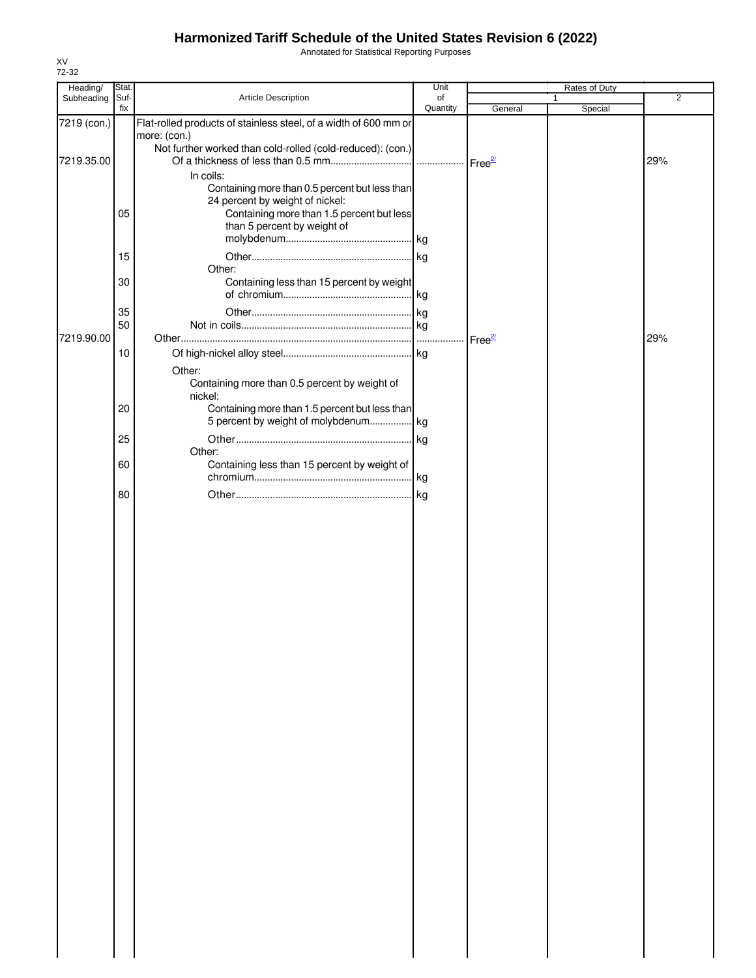Annotated for Statistical Reporting Purposes

| Subheading<br>Suf-<br>Article Description<br>of<br>2<br>fix<br>Quantity<br>Special<br>General<br>Flat-rolled products of stainless steel, of a width of 600 mm or<br>7219 (con.)<br>more: (con.)<br>Not further worked than cold-rolled (cold-reduced): (con.)<br>7219.35.00<br>29%<br>In coils:<br>Containing more than 0.5 percent but less than<br>24 percent by weight of nickel:<br>05<br>Containing more than 1.5 percent but less<br>than 5 percent by weight of<br>15<br>Other:<br>Containing less than 15 percent by weight<br>30<br>35<br>50<br>7219.90.00<br>29%<br>Free <sup>2/</sup><br>$10$<br>Other:<br>Containing more than 0.5 percent by weight of<br>nickel:<br>Containing more than 1.5 percent but less than<br>20<br>5 percent by weight of molybdenum kg<br>25<br>Other:<br>Containing less than 15 percent by weight of<br>60<br>80 | Heading/ | Stat. | Unit | Rates of Duty |  |
|-------------------------------------------------------------------------------------------------------------------------------------------------------------------------------------------------------------------------------------------------------------------------------------------------------------------------------------------------------------------------------------------------------------------------------------------------------------------------------------------------------------------------------------------------------------------------------------------------------------------------------------------------------------------------------------------------------------------------------------------------------------------------------------------------------------------------------------------------------------|----------|-------|------|---------------|--|
|                                                                                                                                                                                                                                                                                                                                                                                                                                                                                                                                                                                                                                                                                                                                                                                                                                                             |          |       |      |               |  |
|                                                                                                                                                                                                                                                                                                                                                                                                                                                                                                                                                                                                                                                                                                                                                                                                                                                             |          |       |      |               |  |
|                                                                                                                                                                                                                                                                                                                                                                                                                                                                                                                                                                                                                                                                                                                                                                                                                                                             |          |       |      |               |  |
|                                                                                                                                                                                                                                                                                                                                                                                                                                                                                                                                                                                                                                                                                                                                                                                                                                                             |          |       |      |               |  |
|                                                                                                                                                                                                                                                                                                                                                                                                                                                                                                                                                                                                                                                                                                                                                                                                                                                             |          |       |      |               |  |
|                                                                                                                                                                                                                                                                                                                                                                                                                                                                                                                                                                                                                                                                                                                                                                                                                                                             |          |       |      |               |  |
|                                                                                                                                                                                                                                                                                                                                                                                                                                                                                                                                                                                                                                                                                                                                                                                                                                                             |          |       |      |               |  |
|                                                                                                                                                                                                                                                                                                                                                                                                                                                                                                                                                                                                                                                                                                                                                                                                                                                             |          |       |      |               |  |
|                                                                                                                                                                                                                                                                                                                                                                                                                                                                                                                                                                                                                                                                                                                                                                                                                                                             |          |       |      |               |  |
|                                                                                                                                                                                                                                                                                                                                                                                                                                                                                                                                                                                                                                                                                                                                                                                                                                                             |          |       |      |               |  |
|                                                                                                                                                                                                                                                                                                                                                                                                                                                                                                                                                                                                                                                                                                                                                                                                                                                             |          |       |      |               |  |
|                                                                                                                                                                                                                                                                                                                                                                                                                                                                                                                                                                                                                                                                                                                                                                                                                                                             |          |       |      |               |  |
|                                                                                                                                                                                                                                                                                                                                                                                                                                                                                                                                                                                                                                                                                                                                                                                                                                                             |          |       |      |               |  |
|                                                                                                                                                                                                                                                                                                                                                                                                                                                                                                                                                                                                                                                                                                                                                                                                                                                             |          |       |      |               |  |
|                                                                                                                                                                                                                                                                                                                                                                                                                                                                                                                                                                                                                                                                                                                                                                                                                                                             |          |       |      |               |  |
|                                                                                                                                                                                                                                                                                                                                                                                                                                                                                                                                                                                                                                                                                                                                                                                                                                                             |          |       |      |               |  |
|                                                                                                                                                                                                                                                                                                                                                                                                                                                                                                                                                                                                                                                                                                                                                                                                                                                             |          |       |      |               |  |
|                                                                                                                                                                                                                                                                                                                                                                                                                                                                                                                                                                                                                                                                                                                                                                                                                                                             |          |       |      |               |  |
|                                                                                                                                                                                                                                                                                                                                                                                                                                                                                                                                                                                                                                                                                                                                                                                                                                                             |          |       |      |               |  |
|                                                                                                                                                                                                                                                                                                                                                                                                                                                                                                                                                                                                                                                                                                                                                                                                                                                             |          |       |      |               |  |
|                                                                                                                                                                                                                                                                                                                                                                                                                                                                                                                                                                                                                                                                                                                                                                                                                                                             |          |       |      |               |  |
|                                                                                                                                                                                                                                                                                                                                                                                                                                                                                                                                                                                                                                                                                                                                                                                                                                                             |          |       |      |               |  |
|                                                                                                                                                                                                                                                                                                                                                                                                                                                                                                                                                                                                                                                                                                                                                                                                                                                             |          |       |      |               |  |
|                                                                                                                                                                                                                                                                                                                                                                                                                                                                                                                                                                                                                                                                                                                                                                                                                                                             |          |       |      |               |  |
|                                                                                                                                                                                                                                                                                                                                                                                                                                                                                                                                                                                                                                                                                                                                                                                                                                                             |          |       |      |               |  |
|                                                                                                                                                                                                                                                                                                                                                                                                                                                                                                                                                                                                                                                                                                                                                                                                                                                             |          |       |      |               |  |
|                                                                                                                                                                                                                                                                                                                                                                                                                                                                                                                                                                                                                                                                                                                                                                                                                                                             |          |       |      |               |  |
|                                                                                                                                                                                                                                                                                                                                                                                                                                                                                                                                                                                                                                                                                                                                                                                                                                                             |          |       |      |               |  |
|                                                                                                                                                                                                                                                                                                                                                                                                                                                                                                                                                                                                                                                                                                                                                                                                                                                             |          |       |      |               |  |
|                                                                                                                                                                                                                                                                                                                                                                                                                                                                                                                                                                                                                                                                                                                                                                                                                                                             |          |       |      |               |  |
|                                                                                                                                                                                                                                                                                                                                                                                                                                                                                                                                                                                                                                                                                                                                                                                                                                                             |          |       |      |               |  |
|                                                                                                                                                                                                                                                                                                                                                                                                                                                                                                                                                                                                                                                                                                                                                                                                                                                             |          |       |      |               |  |
|                                                                                                                                                                                                                                                                                                                                                                                                                                                                                                                                                                                                                                                                                                                                                                                                                                                             |          |       |      |               |  |
|                                                                                                                                                                                                                                                                                                                                                                                                                                                                                                                                                                                                                                                                                                                                                                                                                                                             |          |       |      |               |  |
|                                                                                                                                                                                                                                                                                                                                                                                                                                                                                                                                                                                                                                                                                                                                                                                                                                                             |          |       |      |               |  |
|                                                                                                                                                                                                                                                                                                                                                                                                                                                                                                                                                                                                                                                                                                                                                                                                                                                             |          |       |      |               |  |
|                                                                                                                                                                                                                                                                                                                                                                                                                                                                                                                                                                                                                                                                                                                                                                                                                                                             |          |       |      |               |  |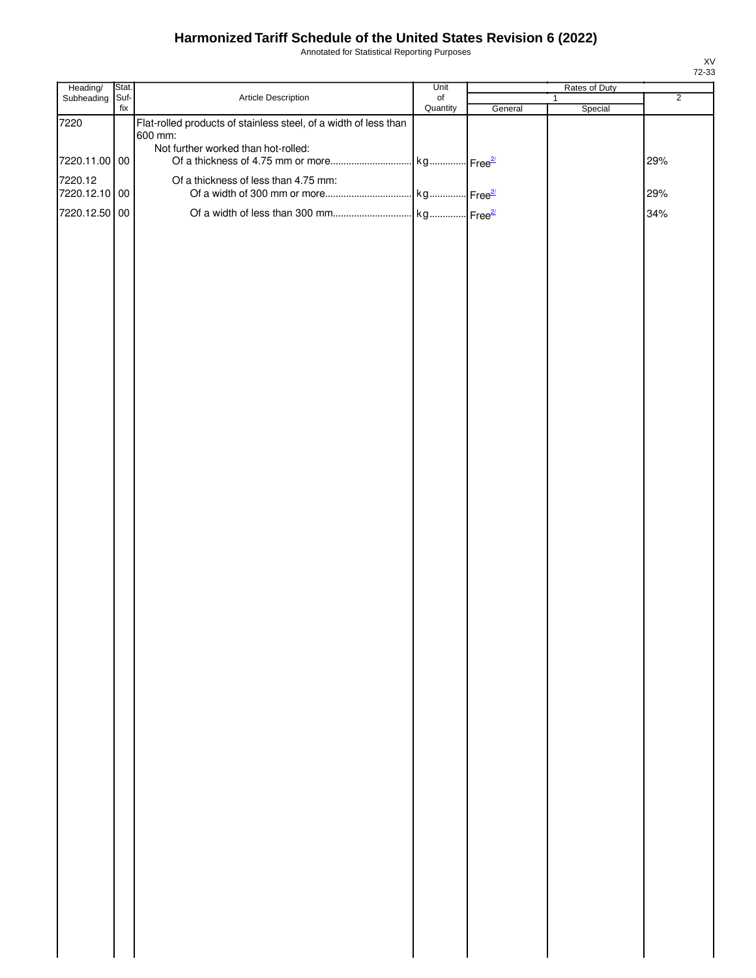Annotated for Statistical Reporting Purposes

| Heading/                 | Stat.       |                                                                  | Unit                  |         | Rates of Duty           |                |
|--------------------------|-------------|------------------------------------------------------------------|-----------------------|---------|-------------------------|----------------|
| Subheading               | Suf-<br>fix | Article Description                                              | $\circ$ f<br>Quantity | General | $\mathbf{1}$<br>Special | $\overline{2}$ |
| 7220                     |             | Flat-rolled products of stainless steel, of a width of less than |                       |         |                         |                |
|                          |             | 600 mm:                                                          |                       |         |                         |                |
| 7220.11.00 00            |             | Not further worked than hot-rolled:                              |                       |         |                         | 29%            |
|                          |             |                                                                  |                       |         |                         |                |
| 7220.12<br>7220.12.10 00 |             | Of a thickness of less than 4.75 mm:                             |                       |         |                         | 29%            |
|                          |             |                                                                  |                       |         |                         |                |
| 7220.12.50 00            |             |                                                                  |                       |         |                         | 34%            |
|                          |             |                                                                  |                       |         |                         |                |
|                          |             |                                                                  |                       |         |                         |                |
|                          |             |                                                                  |                       |         |                         |                |
|                          |             |                                                                  |                       |         |                         |                |
|                          |             |                                                                  |                       |         |                         |                |
|                          |             |                                                                  |                       |         |                         |                |
|                          |             |                                                                  |                       |         |                         |                |
|                          |             |                                                                  |                       |         |                         |                |
|                          |             |                                                                  |                       |         |                         |                |
|                          |             |                                                                  |                       |         |                         |                |
|                          |             |                                                                  |                       |         |                         |                |
|                          |             |                                                                  |                       |         |                         |                |
|                          |             |                                                                  |                       |         |                         |                |
|                          |             |                                                                  |                       |         |                         |                |
|                          |             |                                                                  |                       |         |                         |                |
|                          |             |                                                                  |                       |         |                         |                |
|                          |             |                                                                  |                       |         |                         |                |
|                          |             |                                                                  |                       |         |                         |                |
|                          |             |                                                                  |                       |         |                         |                |
|                          |             |                                                                  |                       |         |                         |                |
|                          |             |                                                                  |                       |         |                         |                |
|                          |             |                                                                  |                       |         |                         |                |
|                          |             |                                                                  |                       |         |                         |                |
|                          |             |                                                                  |                       |         |                         |                |
|                          |             |                                                                  |                       |         |                         |                |
|                          |             |                                                                  |                       |         |                         |                |
|                          |             |                                                                  |                       |         |                         |                |
|                          |             |                                                                  |                       |         |                         |                |
|                          |             |                                                                  |                       |         |                         |                |
|                          |             |                                                                  |                       |         |                         |                |
|                          |             |                                                                  |                       |         |                         |                |
|                          |             |                                                                  |                       |         |                         |                |
|                          |             |                                                                  |                       |         |                         |                |
|                          |             |                                                                  |                       |         |                         |                |
|                          |             |                                                                  |                       |         |                         |                |
|                          |             |                                                                  |                       |         |                         |                |
|                          |             |                                                                  |                       |         |                         |                |
|                          |             |                                                                  |                       |         |                         |                |
|                          |             |                                                                  |                       |         |                         |                |
|                          |             |                                                                  |                       |         |                         |                |
|                          |             |                                                                  |                       |         |                         |                |
|                          |             |                                                                  |                       |         |                         |                |
|                          |             |                                                                  |                       |         |                         |                |
|                          |             |                                                                  |                       |         |                         |                |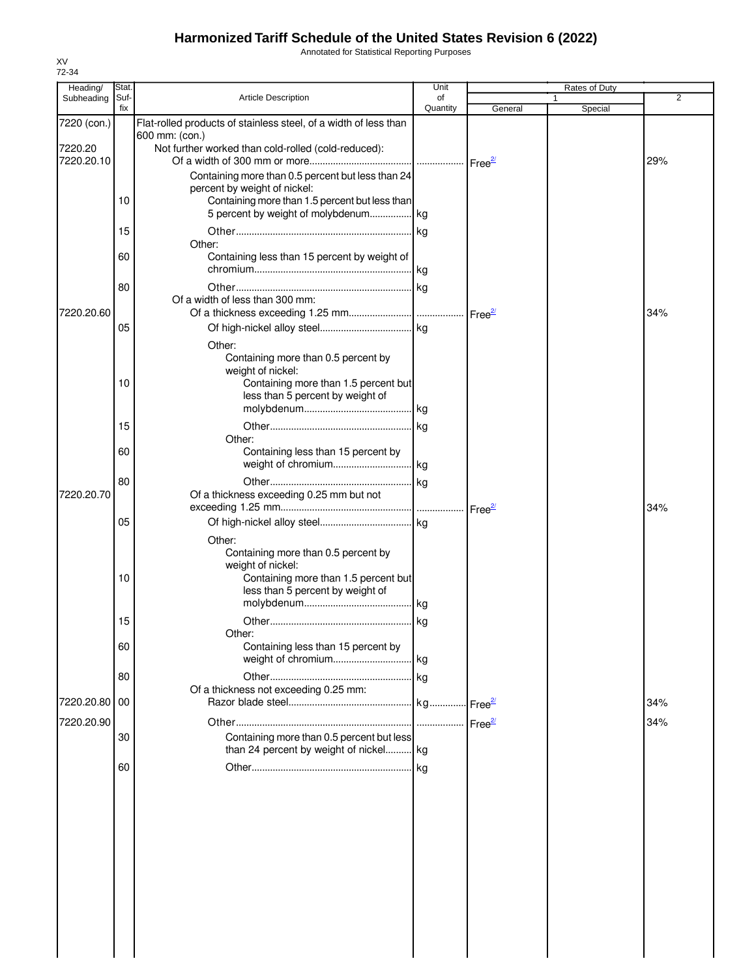Annotated for Statistical Reporting Purposes

| Heading/                    | Stat.       |                                                                                                                                      | Unit           |         | Rates of Duty |            |
|-----------------------------|-------------|--------------------------------------------------------------------------------------------------------------------------------------|----------------|---------|---------------|------------|
| Subheading                  | Suf-<br>fix | <b>Article Description</b>                                                                                                           | οf<br>Quantity | General | 1<br>Special  | 2          |
| 7220 (con.)                 |             | Flat-rolled products of stainless steel, of a width of less than<br>600 mm: (con.)                                                   |                |         |               |            |
| 7220.20<br>7220.20.10       |             | Not further worked than cold-rolled (cold-reduced):                                                                                  |                |         |               | 29%        |
|                             |             | Containing more than 0.5 percent but less than 24<br>percent by weight of nickel:                                                    |                |         |               |            |
|                             | 10          | Containing more than 1.5 percent but less than<br>5 percent by weight of molybdenum kg                                               |                |         |               |            |
|                             | 15<br>60    | Other:                                                                                                                               |                |         |               |            |
|                             |             | Containing less than 15 percent by weight of                                                                                         |                |         |               |            |
| 7220.20.60                  | 80          | Of a width of less than 300 mm:                                                                                                      |                |         |               | 34%        |
|                             | 05          | Other:                                                                                                                               |                |         |               |            |
|                             | 10          | Containing more than 0.5 percent by<br>weight of nickel:<br>Containing more than 1.5 percent but                                     |                |         |               |            |
|                             |             | less than 5 percent by weight of                                                                                                     |                |         |               |            |
|                             | 15          | Other:                                                                                                                               |                |         |               |            |
|                             | 60          | Containing less than 15 percent by                                                                                                   |                |         |               |            |
| 7220.20.70                  | 80          | Of a thickness exceeding 0.25 mm but not                                                                                             |                |         |               | 34%        |
|                             | 05          | Other:                                                                                                                               |                |         |               |            |
|                             | 10          | Containing more than 0.5 percent by<br>weight of nickel:<br>Containing more than 1.5 percent but<br>less than 5 percent by weight of |                |         |               |            |
|                             | 15          | Other:                                                                                                                               |                |         |               |            |
|                             | 60          | Containing less than 15 percent by                                                                                                   |                |         |               |            |
|                             | 80          | Of a thickness not exceeding 0.25 mm:                                                                                                |                |         |               |            |
| 7220.20.80 00<br>7220.20.90 |             |                                                                                                                                      |                |         |               | 34%<br>34% |
|                             | 30          | Containing more than 0.5 percent but less<br>than 24 percent by weight of nickel kg                                                  |                |         |               |            |
|                             | 60          |                                                                                                                                      |                |         |               |            |
|                             |             |                                                                                                                                      |                |         |               |            |
|                             |             |                                                                                                                                      |                |         |               |            |
|                             |             |                                                                                                                                      |                |         |               |            |
|                             |             |                                                                                                                                      |                |         |               |            |
|                             |             |                                                                                                                                      |                |         |               |            |
|                             |             |                                                                                                                                      |                |         |               |            |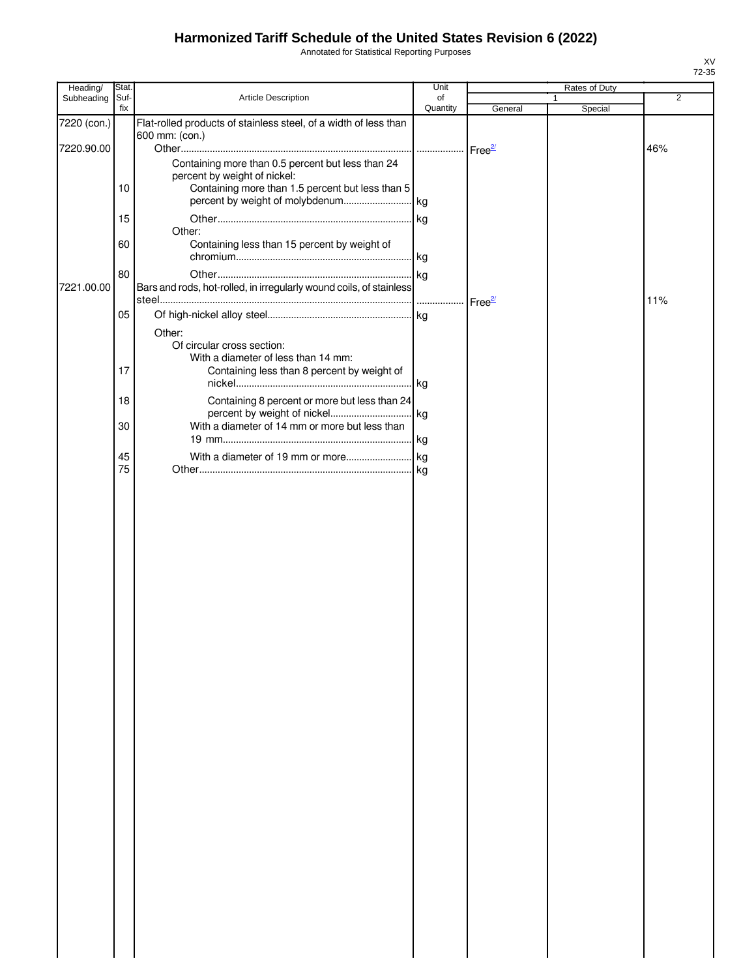Annotated for Statistical Reporting Purposes

| Heading/    | Stat.       |                                                                     | Unit           |                    | Rates of Duty |                |
|-------------|-------------|---------------------------------------------------------------------|----------------|--------------------|---------------|----------------|
| Subheading  | Suf-<br>fix | <b>Article Description</b>                                          | of<br>Quantity | General            | 1<br>Special  | $\overline{2}$ |
| 7220 (con.) |             | Flat-rolled products of stainless steel, of a width of less than    |                |                    |               |                |
|             |             | 600 mm: (con.)                                                      |                |                    |               |                |
| 7220.90.00  |             |                                                                     |                |                    |               | 46%            |
|             |             | Containing more than 0.5 percent but less than 24                   |                |                    |               |                |
|             |             | percent by weight of nickel:                                        |                |                    |               |                |
|             | 10          | Containing more than 1.5 percent but less than 5                    |                |                    |               |                |
|             |             |                                                                     |                |                    |               |                |
|             | 15          |                                                                     |                |                    |               |                |
|             | 60          | Other:<br>Containing less than 15 percent by weight of              |                |                    |               |                |
|             |             |                                                                     |                |                    |               |                |
|             | 80          |                                                                     |                |                    |               |                |
| 7221.00.00  |             | Bars and rods, hot-rolled, in irregularly wound coils, of stainless |                |                    |               |                |
|             |             |                                                                     |                | Free <sup>27</sup> |               | 11%            |
|             | 05          |                                                                     |                |                    |               |                |
|             |             |                                                                     |                |                    |               |                |
|             |             | Other:<br>Of circular cross section:                                |                |                    |               |                |
|             |             | With a diameter of less than 14 mm:                                 |                |                    |               |                |
|             | 17          | Containing less than 8 percent by weight of                         |                |                    |               |                |
|             |             |                                                                     |                |                    |               |                |
|             | 18          | Containing 8 percent or more but less than 24                       |                |                    |               |                |
|             |             |                                                                     |                |                    |               |                |
|             | 30          | With a diameter of 14 mm or more but less than                      |                |                    |               |                |
|             |             |                                                                     |                |                    |               |                |
|             | 45          |                                                                     |                |                    |               |                |
|             | 75          |                                                                     |                |                    |               |                |
|             |             |                                                                     |                |                    |               |                |
|             |             |                                                                     |                |                    |               |                |
|             |             |                                                                     |                |                    |               |                |
|             |             |                                                                     |                |                    |               |                |
|             |             |                                                                     |                |                    |               |                |
|             |             |                                                                     |                |                    |               |                |
|             |             |                                                                     |                |                    |               |                |
|             |             |                                                                     |                |                    |               |                |
|             |             |                                                                     |                |                    |               |                |
|             |             |                                                                     |                |                    |               |                |
|             |             |                                                                     |                |                    |               |                |
|             |             |                                                                     |                |                    |               |                |
|             |             |                                                                     |                |                    |               |                |
|             |             |                                                                     |                |                    |               |                |
|             |             |                                                                     |                |                    |               |                |
|             |             |                                                                     |                |                    |               |                |
|             |             |                                                                     |                |                    |               |                |
|             |             |                                                                     |                |                    |               |                |
|             |             |                                                                     |                |                    |               |                |
|             |             |                                                                     |                |                    |               |                |
|             |             |                                                                     |                |                    |               |                |
|             |             |                                                                     |                |                    |               |                |
|             |             |                                                                     |                |                    |               |                |
|             |             |                                                                     |                |                    |               |                |
|             |             |                                                                     |                |                    |               |                |
|             |             |                                                                     |                |                    |               |                |
|             |             |                                                                     |                |                    |               |                |
|             |             |                                                                     |                |                    |               |                |
|             |             |                                                                     |                |                    |               |                |
|             |             |                                                                     |                |                    |               |                |
|             |             |                                                                     |                |                    |               |                |
|             |             |                                                                     |                |                    |               |                |
|             |             |                                                                     |                |                    |               |                |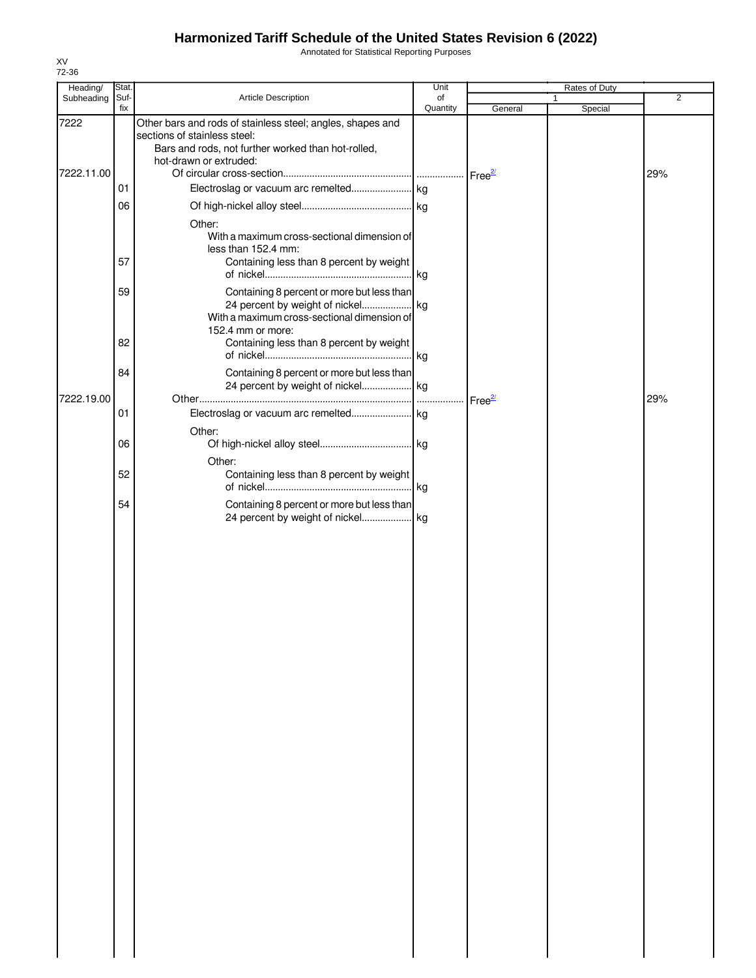Annotated for Statistical Reporting Purposes

| Heading/   | Stat.       |                                                                                                                                                                            | Unit           |                    | Rates of Duty |                |
|------------|-------------|----------------------------------------------------------------------------------------------------------------------------------------------------------------------------|----------------|--------------------|---------------|----------------|
| Subheading | Suf-<br>fix | Article Description                                                                                                                                                        | of<br>Quantity | General            | 1<br>Special  | $\overline{2}$ |
| 7222       |             | Other bars and rods of stainless steel; angles, shapes and<br>sections of stainless steel:<br>Bars and rods, not further worked than hot-rolled,<br>hot-drawn or extruded: |                |                    |               |                |
| 7222.11.00 |             |                                                                                                                                                                            |                | Free <sup>2/</sup> |               | 29%            |
|            | 01          |                                                                                                                                                                            |                |                    |               |                |
|            | 06          | Other:<br>With a maximum cross-sectional dimension of<br>less than 152.4 mm:                                                                                               |                |                    |               |                |
|            | 57          | Containing less than 8 percent by weight                                                                                                                                   | . kg           |                    |               |                |
|            | 59          | Containing 8 percent or more but less than<br>With a maximum cross-sectional dimension of<br>152.4 mm or more:                                                             |                |                    |               |                |
|            | 82          | Containing less than 8 percent by weight                                                                                                                                   | . kg           |                    |               |                |
| 7222.19.00 | 84          | Containing 8 percent or more but less than                                                                                                                                 |                | Free <sup>2/</sup> |               | 29%            |
|            | 01          |                                                                                                                                                                            |                |                    |               |                |
|            | 06          | Other:<br>Other:                                                                                                                                                           |                |                    |               |                |
|            | 52          | Containing less than 8 percent by weight                                                                                                                                   |                |                    |               |                |
|            | 54          | Containing 8 percent or more but less than                                                                                                                                 |                |                    |               |                |
|            |             |                                                                                                                                                                            |                |                    |               |                |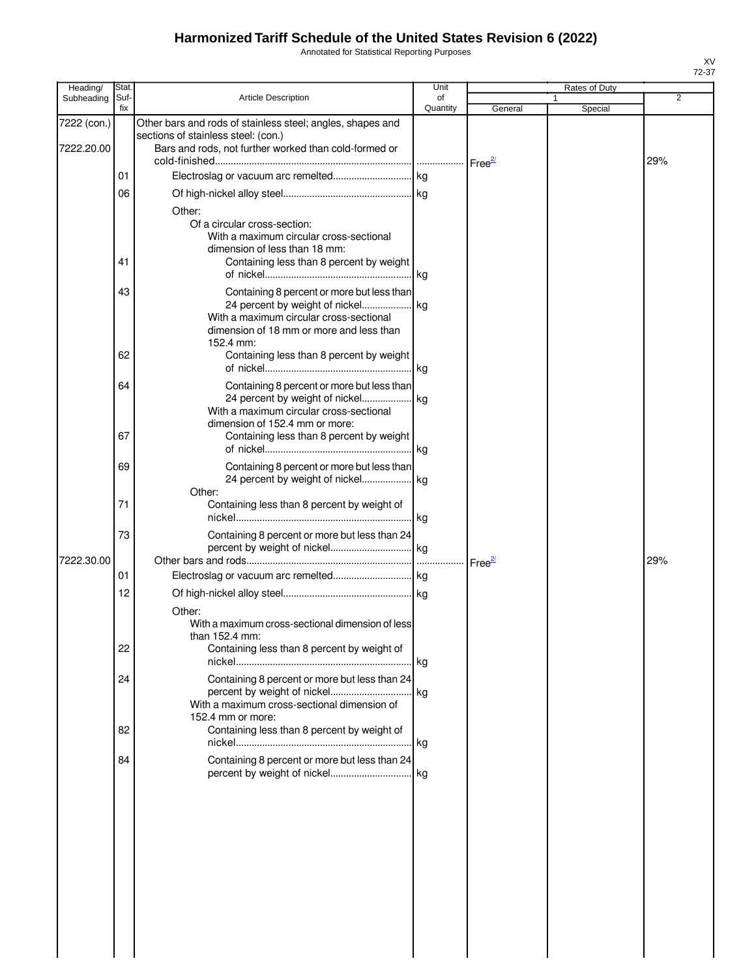Annotated for Statistical Reporting Purposes

| Heading/                  | Stat.       |                                                                                                                                                                                                                                 | Unit           |          | Rates of Duty |     |
|---------------------------|-------------|---------------------------------------------------------------------------------------------------------------------------------------------------------------------------------------------------------------------------------|----------------|----------|---------------|-----|
| Subheading                | Suf-<br>fix | <b>Article Description</b>                                                                                                                                                                                                      | of<br>Quantity | General  | Special       | 2   |
| 7222 (con.)<br>7222.20.00 |             | Other bars and rods of stainless steel; angles, shapes and<br>sections of stainless steel: (con.)<br>Bars and rods, not further worked than cold-formed or                                                                      |                |          |               |     |
|                           | 01          |                                                                                                                                                                                                                                 |                |          |               | 29% |
|                           | 06          |                                                                                                                                                                                                                                 |                |          |               |     |
|                           | 41          | Other:<br>Of a circular cross-section:<br>With a maximum circular cross-sectional<br>dimension of less than 18 mm:<br>Containing less than 8 percent by weight                                                                  |                |          |               |     |
|                           | 43<br>62    | Containing 8 percent or more but less than<br>24 percent by weight of nickel kg<br>With a maximum circular cross-sectional<br>dimension of 18 mm or more and less than<br>152.4 mm:<br>Containing less than 8 percent by weight |                |          |               |     |
|                           | 64          | Containing 8 percent or more but less than<br>24 percent by weight of nickel kg<br>With a maximum circular cross-sectional                                                                                                      |                |          |               |     |
|                           | 67          | dimension of 152.4 mm or more:<br>Containing less than 8 percent by weight                                                                                                                                                      |                |          |               |     |
|                           | 69          | Containing 8 percent or more but less than<br>24 percent by weight of nickel kg<br>Other:                                                                                                                                       |                |          |               |     |
|                           | 71          | Containing less than 8 percent by weight of                                                                                                                                                                                     | kg             |          |               |     |
| 7222.30.00                | 73          | Containing 8 percent or more but less than 24                                                                                                                                                                                   |                |          |               | 29% |
|                           | 01          |                                                                                                                                                                                                                                 |                | $Free^2$ |               |     |
|                           | 12          |                                                                                                                                                                                                                                 |                |          |               |     |
|                           | 22          | Other:<br>With a maximum cross-sectional dimension of less<br>than 152.4 mm:<br>Containing less than 8 percent by weight of                                                                                                     |                |          |               |     |
|                           | 24          | Containing 8 percent or more but less than 24<br>With a maximum cross-sectional dimension of                                                                                                                                    |                |          |               |     |
|                           | 82          | 152.4 mm or more:<br>Containing less than 8 percent by weight of                                                                                                                                                                |                |          |               |     |
|                           | 84          | Containing 8 percent or more but less than 24                                                                                                                                                                                   |                |          |               |     |
|                           |             |                                                                                                                                                                                                                                 |                |          |               |     |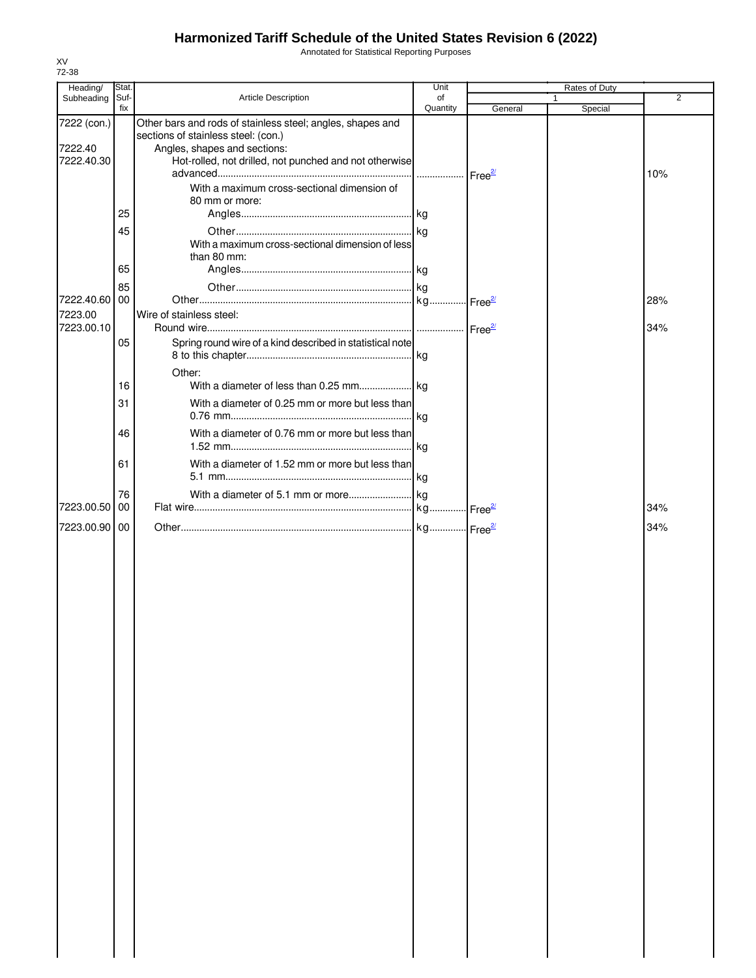Annotated for Statistical Reporting Purposes

| 72-38                                |               |                                                                                                                                                                                                                                            |            |         |               |                |
|--------------------------------------|---------------|--------------------------------------------------------------------------------------------------------------------------------------------------------------------------------------------------------------------------------------------|------------|---------|---------------|----------------|
| Heading/<br>Subheading               | Stat.<br>Suf- | <b>Article Description</b>                                                                                                                                                                                                                 | Unit<br>of |         | Rates of Duty | $\overline{2}$ |
|                                      | fix           |                                                                                                                                                                                                                                            | Quantity   | General | Special       |                |
| 7222 (con.)<br>7222.40<br>7222.40.30 |               | Other bars and rods of stainless steel; angles, shapes and<br>sections of stainless steel: (con.)<br>Angles, shapes and sections:<br>Hot-rolled, not drilled, not punched and not otherwise<br>With a maximum cross-sectional dimension of |            |         |               | 10%            |
|                                      | 25            | 80 mm or more:                                                                                                                                                                                                                             |            |         |               |                |
|                                      |               |                                                                                                                                                                                                                                            |            |         |               |                |
|                                      | 45            | With a maximum cross-sectional dimension of less<br>than 80 mm:                                                                                                                                                                            |            |         |               |                |
|                                      | 65            |                                                                                                                                                                                                                                            |            |         |               |                |
| 7222.40.60<br>7223.00<br>7223.00.10  | 85<br>00      | Wire of stainless steel:                                                                                                                                                                                                                   |            |         |               | 28%<br>34%     |
|                                      | 05            | Spring round wire of a kind described in statistical note                                                                                                                                                                                  |            |         |               |                |
|                                      | 16            | Other:                                                                                                                                                                                                                                     |            |         |               |                |
|                                      | 31            | With a diameter of 0.25 mm or more but less than                                                                                                                                                                                           |            |         |               |                |
|                                      | 46            | With a diameter of 0.76 mm or more but less than                                                                                                                                                                                           |            |         |               |                |
|                                      | 61            | With a diameter of 1.52 mm or more but less than                                                                                                                                                                                           |            |         |               |                |
| 7223.00.50                           | 76<br>00      |                                                                                                                                                                                                                                            |            |         |               | 34%            |
| 7223.00.90                           | 00            |                                                                                                                                                                                                                                            |            |         |               | 34%            |
|                                      |               |                                                                                                                                                                                                                                            |            |         |               |                |

XV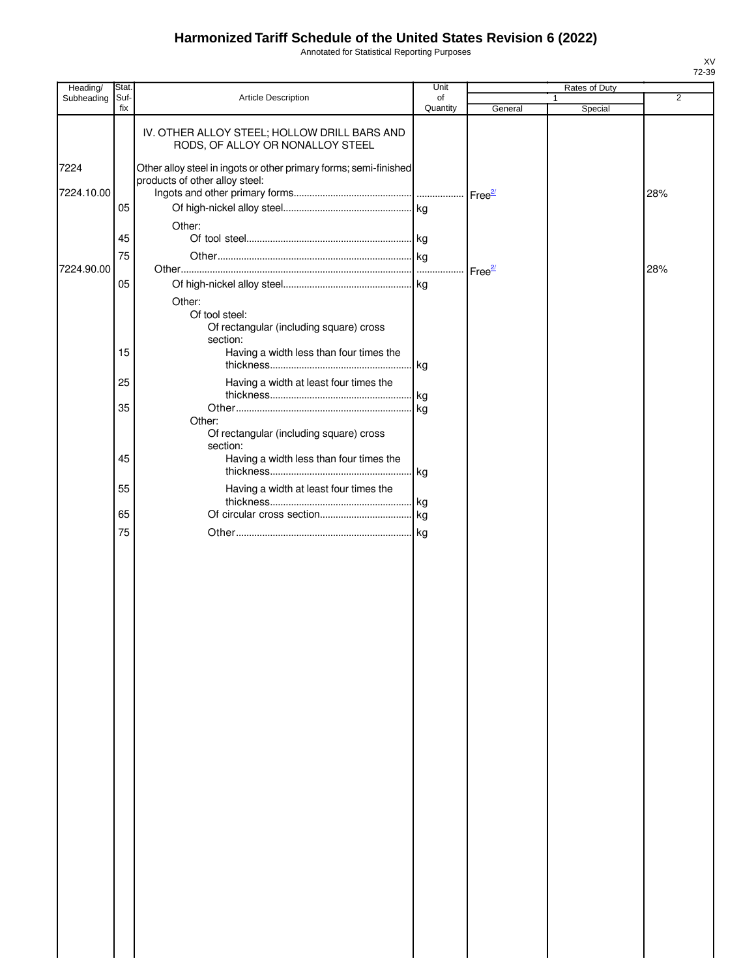Annotated for Statistical Reporting Purposes

| Heading/   | Stat.       |                                                                                                     | Unit           |                    | Rates of Duty |                |
|------------|-------------|-----------------------------------------------------------------------------------------------------|----------------|--------------------|---------------|----------------|
| Subheading | Suf-<br>fix | Article Description                                                                                 | of<br>Quantity | General            | 1<br>Special  | $\overline{2}$ |
|            |             | IV. OTHER ALLOY STEEL; HOLLOW DRILL BARS AND<br>RODS, OF ALLOY OR NONALLOY STEEL                    |                |                    |               |                |
| 7224       |             | Other alloy steel in ingots or other primary forms; semi-finished<br>products of other alloy steel: |                |                    |               |                |
| 7224.10.00 | 05          |                                                                                                     |                |                    |               | 28%            |
|            |             | Other:                                                                                              |                |                    |               |                |
|            | 45          |                                                                                                     |                |                    |               |                |
| 7224.90.00 | 75          |                                                                                                     |                | Free <sup>27</sup> |               | 28%            |
|            | 05          | Other:                                                                                              |                |                    |               |                |
|            |             | Of tool steel:<br>Of rectangular (including square) cross<br>section:                               |                |                    |               |                |
|            | 15          | Having a width less than four times the                                                             | kg             |                    |               |                |
|            | 25          | Having a width at least four times the                                                              | kg             |                    |               |                |
|            | 35          | Other:                                                                                              | .lkg           |                    |               |                |
|            | 45          | Of rectangular (including square) cross<br>section:<br>Having a width less than four times the      |                |                    |               |                |
|            |             |                                                                                                     |                |                    |               |                |
|            | 55          | Having a width at least four times the                                                              | kg.            |                    |               |                |
|            | 65          |                                                                                                     |                |                    |               |                |
|            | 75          |                                                                                                     | kg.            |                    |               |                |
|            |             |                                                                                                     |                |                    |               |                |
|            |             |                                                                                                     |                |                    |               |                |
|            |             |                                                                                                     |                |                    |               |                |
|            |             |                                                                                                     |                |                    |               |                |
|            |             |                                                                                                     |                |                    |               |                |
|            |             |                                                                                                     |                |                    |               |                |
|            |             |                                                                                                     |                |                    |               |                |
|            |             |                                                                                                     |                |                    |               |                |
|            |             |                                                                                                     |                |                    |               |                |
|            |             |                                                                                                     |                |                    |               |                |
|            |             |                                                                                                     |                |                    |               |                |
|            |             |                                                                                                     |                |                    |               |                |
|            |             |                                                                                                     |                |                    |               |                |
|            |             |                                                                                                     |                |                    |               |                |
|            |             |                                                                                                     |                |                    |               |                |
|            |             |                                                                                                     |                |                    |               |                |
|            |             |                                                                                                     |                |                    |               |                |
|            |             |                                                                                                     |                |                    |               |                |
|            |             |                                                                                                     |                |                    |               |                |
|            |             |                                                                                                     |                |                    |               |                |
|            |             |                                                                                                     |                |                    |               |                |
|            |             |                                                                                                     |                |                    |               |                |
|            |             |                                                                                                     |                |                    |               |                |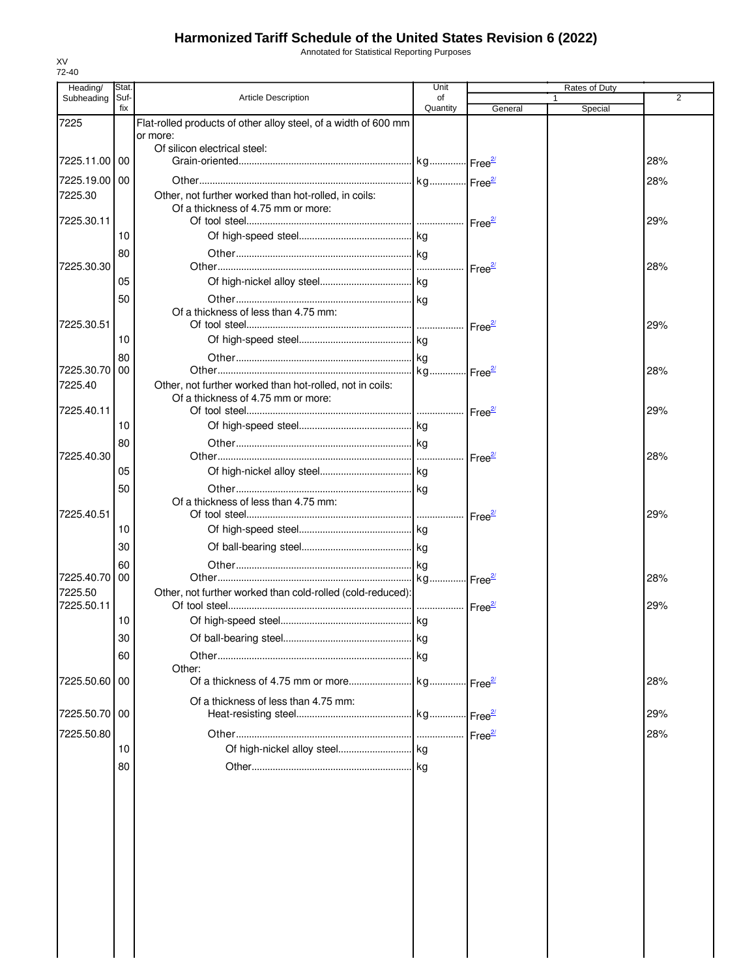Annotated for Statistical Reporting Purposes

| Heading/        | Stat        |                                                                                            | Unit           |                    |   | Rates of Duty |     |
|-----------------|-------------|--------------------------------------------------------------------------------------------|----------------|--------------------|---|---------------|-----|
| Subheading      | Suf-<br>fix | <b>Article Description</b>                                                                 | of<br>Quantity | General            | 1 | Special       | 2   |
| 7225            |             | Flat-rolled products of other alloy steel, of a width of 600 mm                            |                |                    |   |               |     |
|                 |             | or more:                                                                                   |                |                    |   |               |     |
| 7225.11.00 00   |             | Of silicon electrical steel:                                                               |                |                    |   |               | 28% |
|                 |             |                                                                                            |                |                    |   |               |     |
| 7225.19.00 00   |             |                                                                                            |                |                    |   |               | 28% |
| 7225.30         |             | Other, not further worked than hot-rolled, in coils:<br>Of a thickness of 4.75 mm or more: |                |                    |   |               |     |
| 7225.30.11      |             |                                                                                            |                |                    |   |               | 29% |
|                 | 10          |                                                                                            |                |                    |   |               |     |
|                 | 80          |                                                                                            |                |                    |   |               |     |
| 7225.30.30      |             |                                                                                            |                | Free <sup>2/</sup> |   |               | 28% |
|                 | 05          |                                                                                            |                |                    |   |               |     |
|                 | 50          |                                                                                            |                |                    |   |               |     |
|                 |             | Of a thickness of less than 4.75 mm:                                                       |                |                    |   |               |     |
| 7225.30.51      |             |                                                                                            |                |                    |   |               | 29% |
|                 | 10          |                                                                                            |                |                    |   |               |     |
| 7225.30.70   00 | 80          |                                                                                            |                |                    |   |               | 28% |
| 7225.40         |             | Other, not further worked than hot-rolled, not in coils:                                   |                |                    |   |               |     |
|                 |             | Of a thickness of 4.75 mm or more:                                                         |                |                    |   |               |     |
| 7225.40.11      |             |                                                                                            |                |                    |   |               | 29% |
|                 | 10          |                                                                                            |                |                    |   |               |     |
|                 | 80          |                                                                                            |                |                    |   |               |     |
| 7225.40.30      |             |                                                                                            |                | Free <sup>27</sup> |   |               | 28% |
|                 | 05          |                                                                                            |                |                    |   |               |     |
|                 | 50          |                                                                                            |                |                    |   |               |     |
| 7225.40.51      |             | Of a thickness of less than 4.75 mm:                                                       |                |                    |   |               | 29% |
|                 | 10          |                                                                                            |                | Free <sup>27</sup> |   |               |     |
|                 | 30          |                                                                                            |                |                    |   |               |     |
|                 |             |                                                                                            |                |                    |   |               |     |
| 7225.40.70 00   | 60          |                                                                                            |                |                    |   |               | 28% |
| 7225.50         |             | Other, not further worked than cold-rolled (cold-reduced):                                 |                |                    |   |               |     |
| 7225.50.11      |             |                                                                                            |                |                    |   |               | 29% |
|                 | 10          |                                                                                            |                |                    |   |               |     |
|                 | 30          |                                                                                            |                |                    |   |               |     |
|                 | 60          |                                                                                            |                |                    |   |               |     |
|                 |             | Other:                                                                                     |                |                    |   |               |     |
| 7225.50.60 00   |             |                                                                                            |                |                    |   |               | 28% |
|                 |             | Of a thickness of less than 4.75 mm:                                                       |                |                    |   |               |     |
| 7225.50.70 00   |             |                                                                                            |                |                    |   |               | 29% |
| 7225.50.80      |             |                                                                                            |                | Free <sup>2/</sup> |   |               | 28% |
|                 | 10          |                                                                                            |                |                    |   |               |     |
|                 | 80          |                                                                                            |                |                    |   |               |     |
|                 |             |                                                                                            |                |                    |   |               |     |
|                 |             |                                                                                            |                |                    |   |               |     |
|                 |             |                                                                                            |                |                    |   |               |     |
|                 |             |                                                                                            |                |                    |   |               |     |
|                 |             |                                                                                            |                |                    |   |               |     |
|                 |             |                                                                                            |                |                    |   |               |     |
|                 |             |                                                                                            |                |                    |   |               |     |
|                 |             |                                                                                            |                |                    |   |               |     |
|                 |             |                                                                                            |                |                    |   |               |     |
|                 |             |                                                                                            |                |                    |   |               |     |
|                 |             |                                                                                            |                |                    |   |               |     |
|                 |             |                                                                                            |                |                    |   |               |     |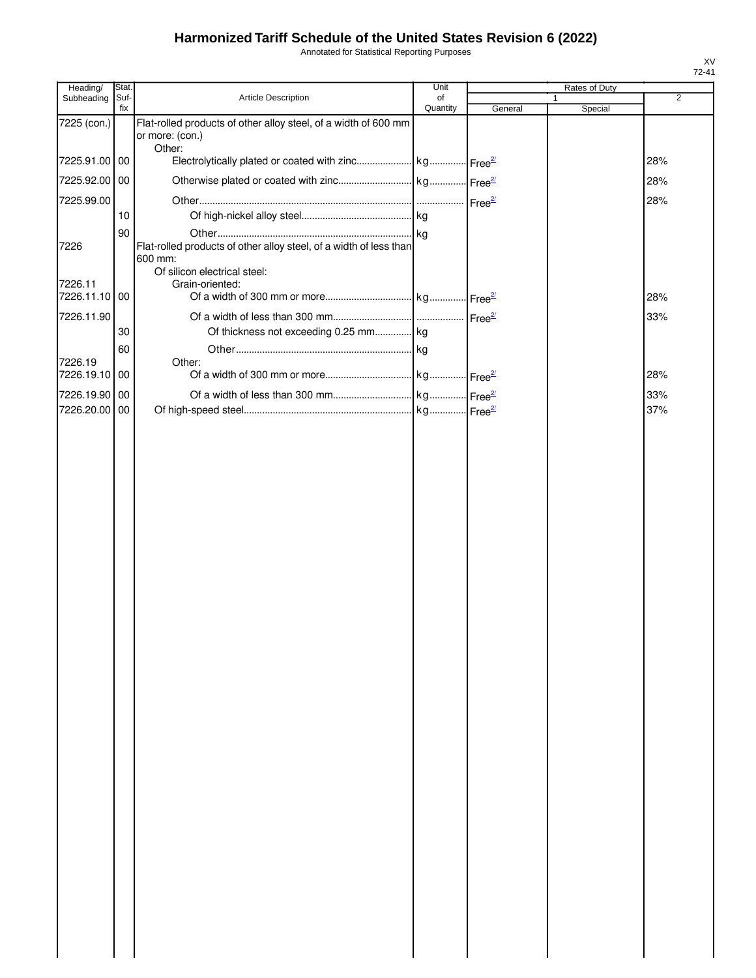Annotated for Statistical Reporting Purposes

| Heading/                 | Stat.       |                                                                                    | Unit           |         | Rates of Duty |                |
|--------------------------|-------------|------------------------------------------------------------------------------------|----------------|---------|---------------|----------------|
| Subheading               | Suf-<br>fix | Article Description                                                                | of<br>Quantity | General | Special       | $\overline{2}$ |
| 7225 (con.)              |             | Flat-rolled products of other alloy steel, of a width of 600 mm<br>or more: (con.) |                |         |               |                |
| 7225.91.00 00            |             | Other:                                                                             |                |         |               | 28%            |
| 7225.92.00 00            |             |                                                                                    |                |         |               | 28%            |
| 7225.99.00               |             |                                                                                    |                |         |               | 28%            |
|                          | 10          |                                                                                    |                |         |               |                |
|                          | 90          |                                                                                    |                |         |               |                |
| 7226                     |             | Flat-rolled products of other alloy steel, of a width of less than<br>600 mm:      |                |         |               |                |
|                          |             | Of silicon electrical steel:                                                       |                |         |               |                |
| 7226.11<br>7226.11.10 00 |             | Grain-oriented:                                                                    |                |         |               | 28%            |
| 7226.11.90               |             |                                                                                    |                |         |               | 33%            |
|                          | 30          | Of thickness not exceeding 0.25 mm kg                                              |                |         |               |                |
|                          | 60          |                                                                                    |                |         |               |                |
| 7226.19                  |             | Other:                                                                             |                |         |               |                |
| 7226.19.10 00            |             |                                                                                    |                |         |               | 28%            |
| 7226.19.90 00            |             |                                                                                    |                |         |               | 33%            |
| 7226.20.00 00            |             |                                                                                    |                |         |               | 37%            |
|                          |             |                                                                                    |                |         |               |                |
|                          |             |                                                                                    |                |         |               |                |
|                          |             |                                                                                    |                |         |               |                |
|                          |             |                                                                                    |                |         |               |                |
|                          |             |                                                                                    |                |         |               |                |
|                          |             |                                                                                    |                |         |               |                |
|                          |             |                                                                                    |                |         |               |                |
|                          |             |                                                                                    |                |         |               |                |
|                          |             |                                                                                    |                |         |               |                |
|                          |             |                                                                                    |                |         |               |                |
|                          |             |                                                                                    |                |         |               |                |
|                          |             |                                                                                    |                |         |               |                |
|                          |             |                                                                                    |                |         |               |                |
|                          |             |                                                                                    |                |         |               |                |
|                          |             |                                                                                    |                |         |               |                |
|                          |             |                                                                                    |                |         |               |                |
|                          |             |                                                                                    |                |         |               |                |
|                          |             |                                                                                    |                |         |               |                |
|                          |             |                                                                                    |                |         |               |                |
|                          |             |                                                                                    |                |         |               |                |
|                          |             |                                                                                    |                |         |               |                |
|                          |             |                                                                                    |                |         |               |                |
|                          |             |                                                                                    |                |         |               |                |
|                          |             |                                                                                    |                |         |               |                |
|                          |             |                                                                                    |                |         |               |                |
|                          |             |                                                                                    |                |         |               |                |
|                          |             |                                                                                    |                |         |               |                |
|                          |             |                                                                                    |                |         |               |                |
|                          |             |                                                                                    |                |         |               |                |
|                          |             |                                                                                    |                |         |               |                |
|                          |             |                                                                                    |                |         |               |                |
|                          |             |                                                                                    |                |         |               |                |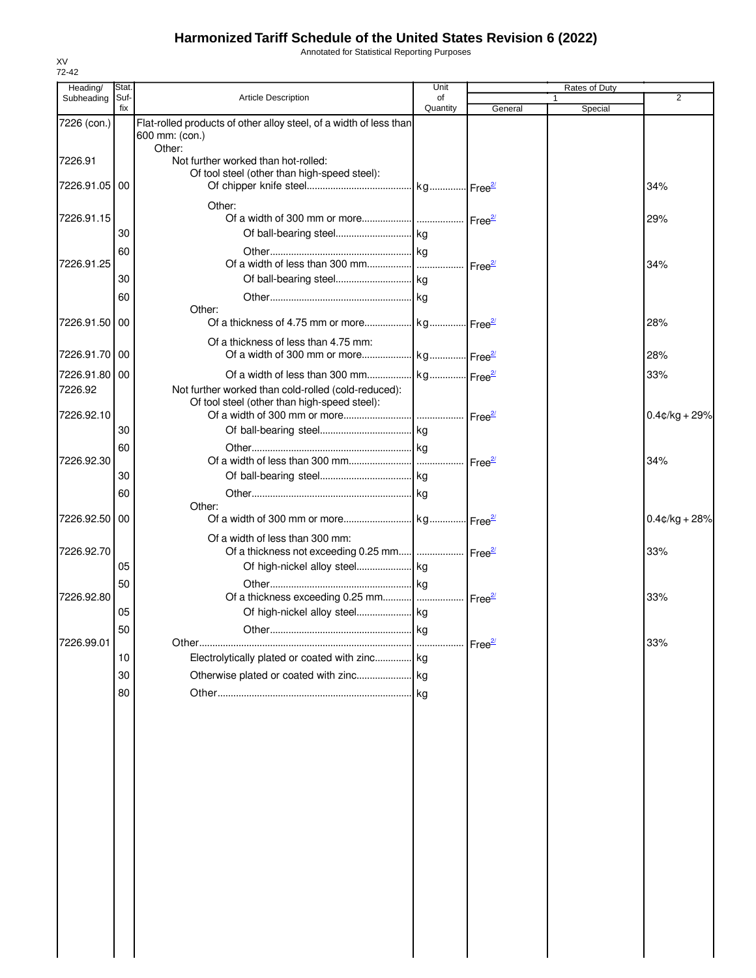Annotated for Statistical Reporting Purposes

| Heading/      | Stat.       |                                                                                                     | Unit               |                    | Rates of Duty           |                  |
|---------------|-------------|-----------------------------------------------------------------------------------------------------|--------------------|--------------------|-------------------------|------------------|
| Subheading    | Suf-<br>fix | Article Description                                                                                 | of<br>Quantity     | General            | $\mathbf{1}$<br>Special | $\overline{2}$   |
| 7226 (con.)   |             | Flat-rolled products of other alloy steel, of a width of less than<br>600 mm: (con.)                |                    |                    |                         |                  |
| 7226.91       |             | Other:<br>Not further worked than hot-rolled:                                                       |                    |                    |                         |                  |
| 7226.91.05 00 |             | Of tool steel (other than high-speed steel):                                                        |                    |                    |                         | 34%              |
| 7226.91.15    |             | Other:                                                                                              |                    |                    |                         | 29%              |
|               | 30          |                                                                                                     |                    |                    |                         |                  |
| 7226.91.25    | 60          |                                                                                                     | Free <sup>2/</sup> |                    |                         | 34%              |
|               | 30          |                                                                                                     |                    |                    |                         |                  |
|               | 60          |                                                                                                     |                    |                    |                         |                  |
| 7226.91.50 00 |             | Other:                                                                                              |                    |                    |                         | 28%              |
| 7226.91.70 00 |             | Of a thickness of less than 4.75 mm:                                                                |                    |                    |                         | 28%              |
| 7226.91.80 00 |             |                                                                                                     |                    |                    |                         | 33%              |
| 7226.92       |             | Not further worked than cold-rolled (cold-reduced):<br>Of tool steel (other than high-speed steel): |                    |                    |                         |                  |
| 7226.92.10    |             |                                                                                                     |                    |                    |                         | $0.4$ c/kg + 29% |
|               | 30          |                                                                                                     |                    |                    |                         |                  |
|               | 60          |                                                                                                     |                    |                    |                         |                  |
| 7226.92.30    |             |                                                                                                     |                    |                    |                         | 34%              |
|               | 30          |                                                                                                     |                    |                    |                         |                  |
|               | 60          | Other:                                                                                              |                    |                    |                         |                  |
| 7226.92.50    | 00          |                                                                                                     |                    |                    |                         | $0.4$ ¢/kg + 28% |
| 7226.92.70    |             | Of a width of less than 300 mm:<br>Of a thickness not exceeding 0.25 mm  Free <sup>27</sup>         |                    |                    |                         | 33%              |
|               | 05          |                                                                                                     |                    |                    |                         |                  |
|               | 50          |                                                                                                     |                    |                    |                         |                  |
| 7226.92.80    |             |                                                                                                     |                    |                    |                         | 33%              |
|               | 05          |                                                                                                     |                    |                    |                         |                  |
|               | 50          |                                                                                                     |                    |                    |                         |                  |
| 7226.99.01    |             |                                                                                                     |                    | Free <sup>2/</sup> |                         | 33%              |
|               | 10          | Electrolytically plated or coated with zinc kg                                                      |                    |                    |                         |                  |
|               | 30          |                                                                                                     |                    |                    |                         |                  |
|               | 80          |                                                                                                     |                    |                    |                         |                  |
|               |             |                                                                                                     |                    |                    |                         |                  |
|               |             |                                                                                                     |                    |                    |                         |                  |
|               |             |                                                                                                     |                    |                    |                         |                  |
|               |             |                                                                                                     |                    |                    |                         |                  |
|               |             |                                                                                                     |                    |                    |                         |                  |
|               |             |                                                                                                     |                    |                    |                         |                  |
|               |             |                                                                                                     |                    |                    |                         |                  |
|               |             |                                                                                                     |                    |                    |                         |                  |
|               |             |                                                                                                     |                    |                    |                         |                  |
|               |             |                                                                                                     |                    |                    |                         |                  |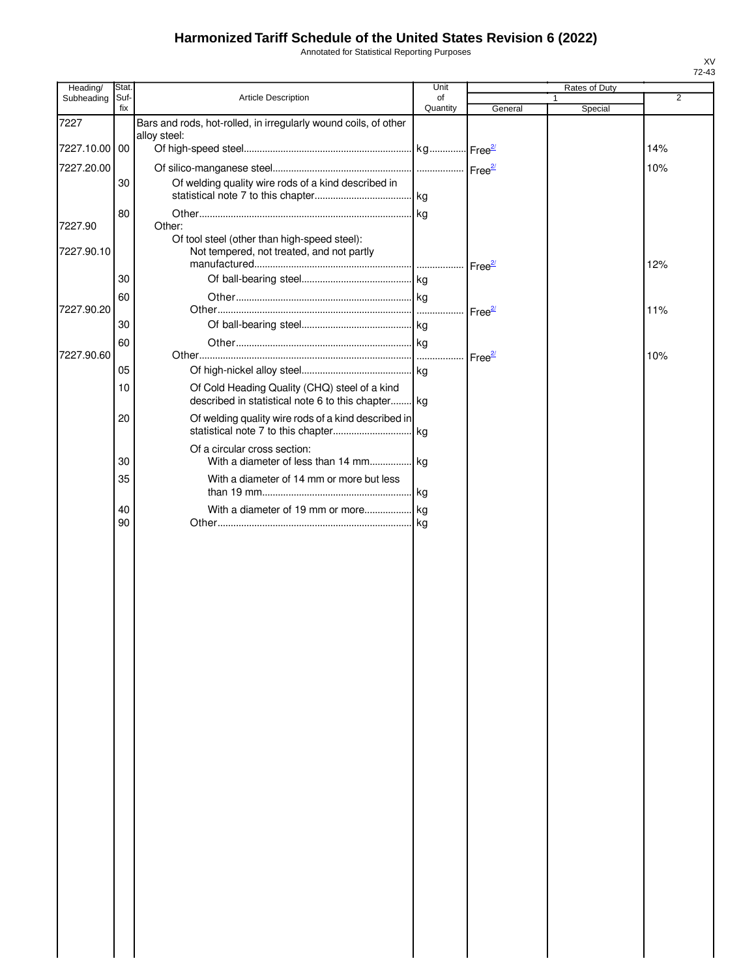Annotated for Statistical Reporting Purposes

| Heading/      | Stat.       |                                                                                           | Unit               |                    | Rates of Duty           |                |
|---------------|-------------|-------------------------------------------------------------------------------------------|--------------------|--------------------|-------------------------|----------------|
| Subheading    | Suf-<br>fix | Article Description                                                                       | of<br>Quantity     | General            | $\mathbf{1}$<br>Special | $\overline{2}$ |
| 7227          |             | Bars and rods, hot-rolled, in irregularly wound coils, of other                           |                    |                    |                         |                |
|               |             | alloy steel:                                                                              |                    |                    |                         |                |
| 7227.10.00 00 |             |                                                                                           |                    |                    |                         | 14%            |
| 7227.20.00    |             |                                                                                           |                    |                    |                         | 10%            |
|               | 30          | Of welding quality wire rods of a kind described in                                       |                    |                    |                         |                |
|               |             |                                                                                           |                    |                    |                         |                |
|               | 80          |                                                                                           |                    |                    |                         |                |
| 7227.90       |             | Other:<br>Of tool steel (other than high-speed steel):                                    |                    |                    |                         |                |
| 7227.90.10    |             | Not tempered, not treated, and not partly                                                 |                    |                    |                         |                |
|               |             |                                                                                           |                    | Free <sup>2/</sup> |                         | 12%            |
|               | 30          |                                                                                           |                    |                    |                         |                |
|               | 60          |                                                                                           |                    |                    |                         |                |
| 7227.90.20    |             |                                                                                           | Free <sup>2/</sup> |                    |                         | 11%            |
|               | 30          |                                                                                           |                    |                    |                         |                |
|               | 60          |                                                                                           |                    |                    |                         |                |
| 7227.90.60    |             |                                                                                           |                    |                    |                         | 10%            |
|               | 05          |                                                                                           |                    |                    |                         |                |
|               | 10          | Of Cold Heading Quality (CHQ) steel of a kind                                             |                    |                    |                         |                |
|               |             | described in statistical note 6 to this chapter kg                                        |                    |                    |                         |                |
|               | 20          | Of welding quality wire rods of a kind described in<br>statistical note 7 to this chapter |                    |                    |                         |                |
|               |             |                                                                                           | kg                 |                    |                         |                |
|               | 30          | Of a circular cross section:<br>With a diameter of less than 14 mm                        | kg                 |                    |                         |                |
|               | 35          | With a diameter of 14 mm or more but less                                                 |                    |                    |                         |                |
|               |             |                                                                                           |                    |                    |                         |                |
|               | 40          | With a diameter of 19 mm or more                                                          | kg                 |                    |                         |                |
|               | 90          |                                                                                           | kg                 |                    |                         |                |
|               |             |                                                                                           |                    |                    |                         |                |
|               |             |                                                                                           |                    |                    |                         |                |
|               |             |                                                                                           |                    |                    |                         |                |
|               |             |                                                                                           |                    |                    |                         |                |
|               |             |                                                                                           |                    |                    |                         |                |
|               |             |                                                                                           |                    |                    |                         |                |
|               |             |                                                                                           |                    |                    |                         |                |
|               |             |                                                                                           |                    |                    |                         |                |
|               |             |                                                                                           |                    |                    |                         |                |
|               |             |                                                                                           |                    |                    |                         |                |
|               |             |                                                                                           |                    |                    |                         |                |
|               |             |                                                                                           |                    |                    |                         |                |
|               |             |                                                                                           |                    |                    |                         |                |
|               |             |                                                                                           |                    |                    |                         |                |
|               |             |                                                                                           |                    |                    |                         |                |
|               |             |                                                                                           |                    |                    |                         |                |
|               |             |                                                                                           |                    |                    |                         |                |
|               |             |                                                                                           |                    |                    |                         |                |
|               |             |                                                                                           |                    |                    |                         |                |
|               |             |                                                                                           |                    |                    |                         |                |
|               |             |                                                                                           |                    |                    |                         |                |
|               |             |                                                                                           |                    |                    |                         |                |
|               |             |                                                                                           |                    |                    |                         |                |
|               |             |                                                                                           |                    |                    |                         |                |
|               |             |                                                                                           |                    |                    |                         |                |
|               |             |                                                                                           |                    |                    |                         |                |
|               |             |                                                                                           |                    |                    |                         |                |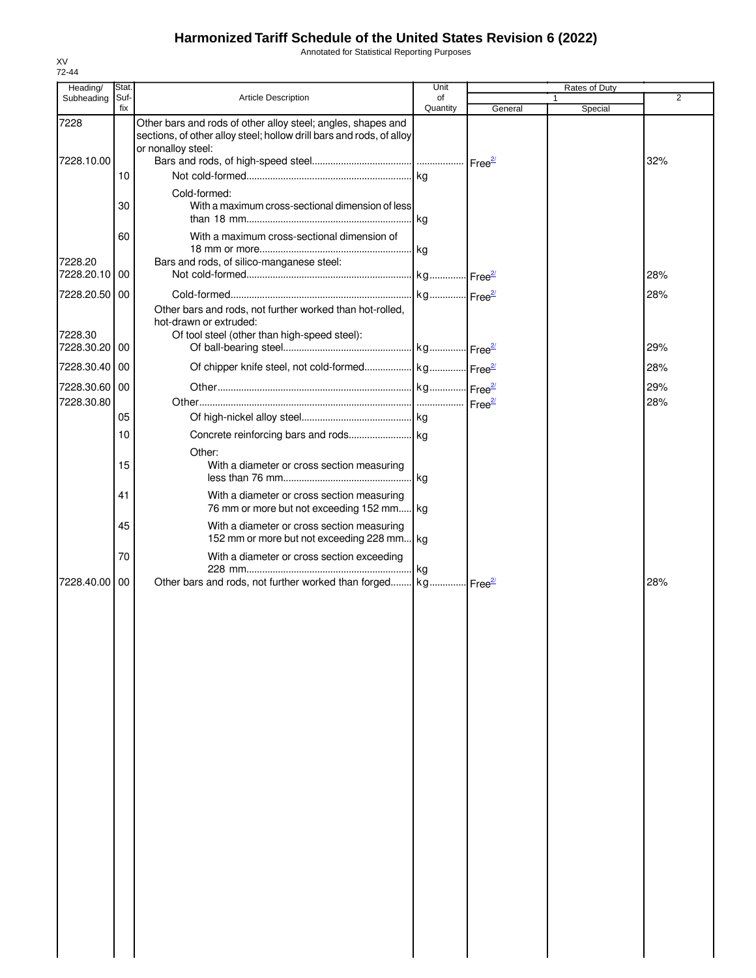Annotated for Statistical Reporting Purposes

| Heading/                 | Stat.       |                                                                                                                                                            | Unit           |         | Rates of Duty |            |
|--------------------------|-------------|------------------------------------------------------------------------------------------------------------------------------------------------------------|----------------|---------|---------------|------------|
| Subheading               | Suf-<br>fix | <b>Article Description</b>                                                                                                                                 | of<br>Quantity | General | Special       | 2          |
| 7228                     |             | Other bars and rods of other alloy steel; angles, shapes and<br>sections, of other alloy steel; hollow drill bars and rods, of alloy<br>or nonalloy steel: |                |         |               |            |
| 7228.10.00               |             |                                                                                                                                                            |                |         |               | 32%        |
|                          | 10          |                                                                                                                                                            |                |         |               |            |
|                          | 30          | Cold-formed:<br>With a maximum cross-sectional dimension of less                                                                                           |                |         |               |            |
|                          | 60          | With a maximum cross-sectional dimension of                                                                                                                |                |         |               |            |
| 7228.20<br>7228.20.10    | 00          | Bars and rods, of silico-manganese steel:                                                                                                                  |                |         |               | 28%        |
| 7228.20.50 00            |             |                                                                                                                                                            |                |         |               | 28%        |
| 7228.30<br>7228.30.20    | 00          | Other bars and rods, not further worked than hot-rolled,<br>hot-drawn or extruded:<br>Of tool steel (other than high-speed steel):                         |                |         |               | 29%        |
|                          |             |                                                                                                                                                            |                |         |               |            |
| 7228.30.40 00            |             |                                                                                                                                                            |                |         |               | 28%        |
| 7228.30.60<br>7228.30.80 | 00          |                                                                                                                                                            |                |         |               | 29%<br>28% |
|                          | 05          |                                                                                                                                                            |                |         |               |            |
|                          | 10          |                                                                                                                                                            |                |         |               |            |
|                          | 15          | Other:<br>With a diameter or cross section measuring                                                                                                       |                |         |               |            |
|                          | 41          | With a diameter or cross section measuring<br>76 mm or more but not exceeding 152 mm kg                                                                    |                |         |               |            |
|                          | 45          | With a diameter or cross section measuring<br>152 mm or more but not exceeding 228 mm kg                                                                   |                |         |               |            |
|                          | 70          | With a diameter or cross section exceeding                                                                                                                 | kg             |         |               |            |
| 7228.40.00               | 00          | Other bars and rods, not further worked than forged kg Free <sup>27</sup>                                                                                  |                |         |               | 28%        |
|                          |             |                                                                                                                                                            |                |         |               |            |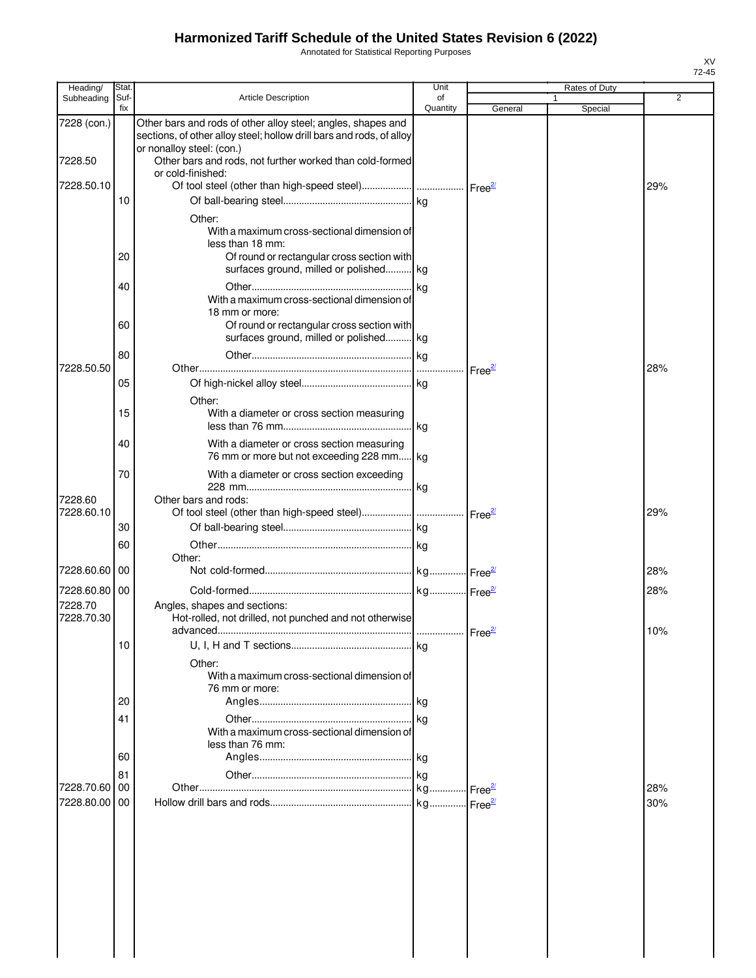Annotated for Statistical Reporting Purposes

| <b>Article Description</b><br>Subheading<br>Quantity<br>fix<br>General<br>Special<br>Other bars and rods of other alloy steel; angles, shapes and<br>7228 (con.)<br>sections, of other alloy steel; hollow drill bars and rods, of alloy<br>or nonalloy steel: (con.)<br>7228.50<br>Other bars and rods, not further worked than cold-formed<br>or cold-finished:<br>7228.50.10<br>29%<br>10<br>Other:<br>With a maximum cross-sectional dimension of<br>less than 18 mm:<br>20<br>Of round or rectangular cross section with<br>surfaces ground, milled or polished kg<br>40<br>kg<br>With a maximum cross-sectional dimension of<br>18 mm or more:<br>Of round or rectangular cross section with<br>60<br>surfaces ground, milled or polished kg<br>80<br>7228.50.50<br>28%<br>$Free^2$<br>05<br>Other:<br>15<br>With a diameter or cross section measuring<br>.lkg | Unit<br>Rates of Duty | Stat. | Heading/ |
|-----------------------------------------------------------------------------------------------------------------------------------------------------------------------------------------------------------------------------------------------------------------------------------------------------------------------------------------------------------------------------------------------------------------------------------------------------------------------------------------------------------------------------------------------------------------------------------------------------------------------------------------------------------------------------------------------------------------------------------------------------------------------------------------------------------------------------------------------------------------------|-----------------------|-------|----------|
|                                                                                                                                                                                                                                                                                                                                                                                                                                                                                                                                                                                                                                                                                                                                                                                                                                                                       | $\overline{2}$<br>of  | Suf-  |          |
|                                                                                                                                                                                                                                                                                                                                                                                                                                                                                                                                                                                                                                                                                                                                                                                                                                                                       |                       |       |          |
|                                                                                                                                                                                                                                                                                                                                                                                                                                                                                                                                                                                                                                                                                                                                                                                                                                                                       |                       |       |          |
|                                                                                                                                                                                                                                                                                                                                                                                                                                                                                                                                                                                                                                                                                                                                                                                                                                                                       |                       |       |          |
|                                                                                                                                                                                                                                                                                                                                                                                                                                                                                                                                                                                                                                                                                                                                                                                                                                                                       |                       |       |          |
|                                                                                                                                                                                                                                                                                                                                                                                                                                                                                                                                                                                                                                                                                                                                                                                                                                                                       |                       |       |          |
|                                                                                                                                                                                                                                                                                                                                                                                                                                                                                                                                                                                                                                                                                                                                                                                                                                                                       |                       |       |          |
|                                                                                                                                                                                                                                                                                                                                                                                                                                                                                                                                                                                                                                                                                                                                                                                                                                                                       |                       |       |          |
|                                                                                                                                                                                                                                                                                                                                                                                                                                                                                                                                                                                                                                                                                                                                                                                                                                                                       |                       |       |          |
|                                                                                                                                                                                                                                                                                                                                                                                                                                                                                                                                                                                                                                                                                                                                                                                                                                                                       |                       |       |          |
|                                                                                                                                                                                                                                                                                                                                                                                                                                                                                                                                                                                                                                                                                                                                                                                                                                                                       |                       |       |          |
| 40<br>With a diameter or cross section measuring<br>76 mm or more but not exceeding 228 mm kg                                                                                                                                                                                                                                                                                                                                                                                                                                                                                                                                                                                                                                                                                                                                                                         |                       |       |          |
| With a diameter or cross section exceeding<br>70<br>kg<br>7228.60<br>Other bars and rods:                                                                                                                                                                                                                                                                                                                                                                                                                                                                                                                                                                                                                                                                                                                                                                             |                       |       |          |
| 7228.60.10<br>29%<br>Free <sup>2/</sup><br>30                                                                                                                                                                                                                                                                                                                                                                                                                                                                                                                                                                                                                                                                                                                                                                                                                         |                       |       |          |
| 60                                                                                                                                                                                                                                                                                                                                                                                                                                                                                                                                                                                                                                                                                                                                                                                                                                                                    |                       |       |          |
| Other:<br>7228.60.60   00<br>28%                                                                                                                                                                                                                                                                                                                                                                                                                                                                                                                                                                                                                                                                                                                                                                                                                                      |                       |       |          |
| 7228.60.80 00<br>28%<br>7228.70<br>Angles, shapes and sections:                                                                                                                                                                                                                                                                                                                                                                                                                                                                                                                                                                                                                                                                                                                                                                                                       |                       |       |          |
| 7228.70.30<br>Hot-rolled, not drilled, not punched and not otherwise<br>Free <sup>21</sup><br>10%<br>advanced.                                                                                                                                                                                                                                                                                                                                                                                                                                                                                                                                                                                                                                                                                                                                                        |                       |       |          |
| 10<br>Other:<br>With a maximum cross-sectional dimension of                                                                                                                                                                                                                                                                                                                                                                                                                                                                                                                                                                                                                                                                                                                                                                                                           |                       |       |          |
| 76 mm or more:<br>20                                                                                                                                                                                                                                                                                                                                                                                                                                                                                                                                                                                                                                                                                                                                                                                                                                                  |                       |       |          |
| 41<br>With a maximum cross-sectional dimension of<br>less than 76 mm:                                                                                                                                                                                                                                                                                                                                                                                                                                                                                                                                                                                                                                                                                                                                                                                                 |                       |       |          |
| 60                                                                                                                                                                                                                                                                                                                                                                                                                                                                                                                                                                                                                                                                                                                                                                                                                                                                    |                       |       |          |
| 81<br>28%<br>7228.70.60<br>l 00<br>∙Free <sup>2/</sup>                                                                                                                                                                                                                                                                                                                                                                                                                                                                                                                                                                                                                                                                                                                                                                                                                |                       |       |          |
| 7228.80.00 00<br>Free <sup>2/</sup><br>30%                                                                                                                                                                                                                                                                                                                                                                                                                                                                                                                                                                                                                                                                                                                                                                                                                            |                       |       |          |
|                                                                                                                                                                                                                                                                                                                                                                                                                                                                                                                                                                                                                                                                                                                                                                                                                                                                       |                       |       |          |
|                                                                                                                                                                                                                                                                                                                                                                                                                                                                                                                                                                                                                                                                                                                                                                                                                                                                       |                       |       |          |
|                                                                                                                                                                                                                                                                                                                                                                                                                                                                                                                                                                                                                                                                                                                                                                                                                                                                       |                       |       |          |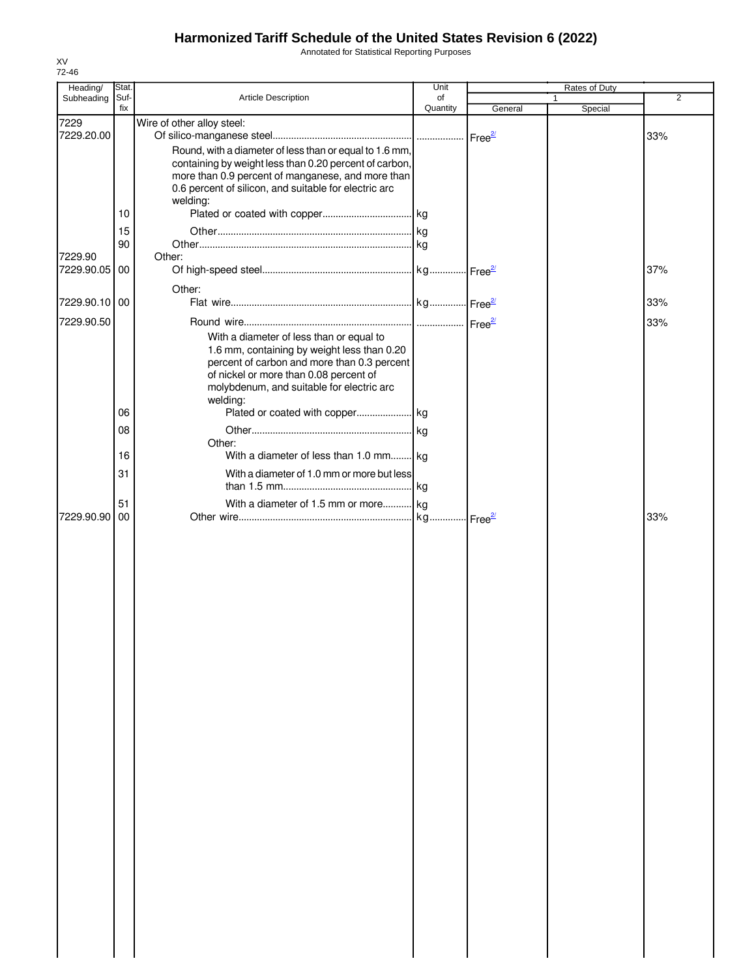Annotated for Statistical Reporting Purposes

| Heading/                 | Stat. |                                                                   | Unit     |         | Rates of Duty |     |
|--------------------------|-------|-------------------------------------------------------------------|----------|---------|---------------|-----|
| Subheading               | Suf-  | Article Description                                               | of       |         |               | 2   |
|                          | fix   |                                                                   | Quantity | General | Special       |     |
| 7229                     |       | Wire of other alloy steel:                                        |          |         |               |     |
| 7229.20.00               |       |                                                                   |          |         |               | 33% |
|                          |       | Round, with a diameter of less than or equal to 1.6 mm,           |          |         |               |     |
|                          |       | containing by weight less than 0.20 percent of carbon,            |          |         |               |     |
|                          |       | more than 0.9 percent of manganese, and more than                 |          |         |               |     |
|                          |       | 0.6 percent of silicon, and suitable for electric arc<br>welding: |          |         |               |     |
|                          | 10    |                                                                   |          |         |               |     |
|                          |       |                                                                   |          |         |               |     |
|                          | 15    |                                                                   |          |         |               |     |
|                          | 90    |                                                                   |          |         |               |     |
| 7229.90<br>7229.90.05 00 |       | Other:                                                            |          |         |               |     |
|                          |       |                                                                   |          |         |               | 37% |
|                          |       | Other:                                                            |          |         |               |     |
| 7229.90.10 00            |       |                                                                   |          |         |               | 33% |
| 7229.90.50               |       |                                                                   |          |         |               | 33% |
|                          |       | With a diameter of less than or equal to                          |          |         |               |     |
|                          |       | 1.6 mm, containing by weight less than 0.20                       |          |         |               |     |
|                          |       | percent of carbon and more than 0.3 percent                       |          |         |               |     |
|                          |       | of nickel or more than 0.08 percent of                            |          |         |               |     |
|                          |       | molybdenum, and suitable for electric arc                         |          |         |               |     |
|                          |       | welding:                                                          |          |         |               |     |
|                          | 06    |                                                                   |          |         |               |     |
|                          | 08    |                                                                   |          |         |               |     |
|                          |       | Other:                                                            |          |         |               |     |
|                          | 16    | With a diameter of less than 1.0 mm kg                            |          |         |               |     |
|                          | 31    | With a diameter of 1.0 mm or more but less                        |          |         |               |     |
|                          |       |                                                                   |          |         |               |     |
|                          | 51    | With a diameter of 1.5 mm or more kg                              |          |         |               |     |
| 7229.90.90               | 00    |                                                                   |          |         |               | 33% |
|                          |       |                                                                   |          |         |               |     |
|                          |       |                                                                   |          |         |               |     |
|                          |       |                                                                   |          |         |               |     |
|                          |       |                                                                   |          |         |               |     |
|                          |       |                                                                   |          |         |               |     |
|                          |       |                                                                   |          |         |               |     |
|                          |       |                                                                   |          |         |               |     |
|                          |       |                                                                   |          |         |               |     |
|                          |       |                                                                   |          |         |               |     |
|                          |       |                                                                   |          |         |               |     |
|                          |       |                                                                   |          |         |               |     |
|                          |       |                                                                   |          |         |               |     |
|                          |       |                                                                   |          |         |               |     |
|                          |       |                                                                   |          |         |               |     |
|                          |       |                                                                   |          |         |               |     |
|                          |       |                                                                   |          |         |               |     |
|                          |       |                                                                   |          |         |               |     |
|                          |       |                                                                   |          |         |               |     |
|                          |       |                                                                   |          |         |               |     |
|                          |       |                                                                   |          |         |               |     |
|                          |       |                                                                   |          |         |               |     |
|                          |       |                                                                   |          |         |               |     |
|                          |       |                                                                   |          |         |               |     |
|                          |       |                                                                   |          |         |               |     |
|                          |       |                                                                   |          |         |               |     |
|                          |       |                                                                   |          |         |               |     |
|                          |       |                                                                   |          |         |               |     |
|                          |       |                                                                   |          |         |               |     |
|                          |       |                                                                   |          |         |               |     |
|                          |       |                                                                   |          |         |               |     |
|                          |       |                                                                   |          |         |               |     |
|                          |       |                                                                   |          |         |               |     |